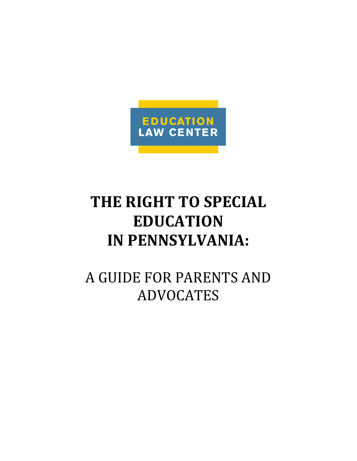

# **THE RIGHT TO SPECIAL EDUCATION IN PENNSYLVANIA:**

A GUIDE FOR PARENTS AND ADVOCATES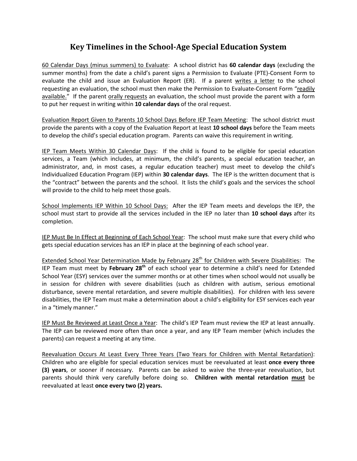### **Key Timelines in the School-Age Special Education System**

60 Calendar Days (minus summers) to Evaluate: A school district has **60 calendar days** (excluding the summer months) from the date a child's parent signs a Permission to Evaluate (PTE)-Consent Form to evaluate the child and issue an Evaluation Report (ER). If a parent writes a letter to the school requesting an evaluation, the school must then make the Permission to Evaluate-Consent Form "readily available." If the parent orally requests an evaluation, the school must provide the parent with a form to put her request in writing within **10 calendar days** of the oral request.

Evaluation Report Given to Parents 10 School Days Before IEP Team Meeting: The school district must provide the parents with a copy of the Evaluation Report at least **10 school days** before the Team meets to develop the child's special education program. Parents can waive this requirement in writing.

IEP Team Meets Within 30 Calendar Days: If the child is found to be eligible for special education services, a Team (which includes, at minimum, the child's parents, a special education teacher, an administrator, and, in most cases, a regular education teacher) must meet to develop the child's Individualized Education Program (IEP) within **30 calendar days**. The IEP is the written document that is the "contract" between the parents and the school. It lists the child's goals and the services the school will provide to the child to help meet those goals.

School Implements IEP Within 10 School Days: After the IEP Team meets and develops the IEP, the school must start to provide all the services included in the IEP no later than **10 school days** after its completion.

IEP Must Be In Effect at Beginning of Each School Year: The school must make sure that every child who gets special education services has an IEP in place at the beginning of each school year.

Extended School Year Determination Made by February 28<sup>th</sup> for Children with Severe Disabilities: The IEP Team must meet by **February 28th** of each school year to determine a child's need for Extended School Year (ESY) services over the summer months or at other times when school would not usually be in session for children with severe disabilities (such as children with autism, serious emotional disturbance, severe mental retardation, and severe multiple disabilities). For children with less severe disabilities, the IEP Team must make a determination about a child's eligibility for ESY services each year in a "timely manner."

IEP Must Be Reviewed at Least Once a Year: The child's IEP Team must review the IEP at least annually. The IEP can be reviewed more often than once a year, and any IEP Team member (which includes the parents) can request a meeting at any time.

Reevaluation Occurs At Least Every Three Years (Two Years for Children with Mental Retardation): Children who are eligible for special education services must be reevaluated at least **once every three (3) years**, or sooner if necessary. Parents can be asked to waive the three-year reevaluation, but parents should think very carefully before doing so. **Children with mental retardation must** be reevaluated at least **once every two (2) years.**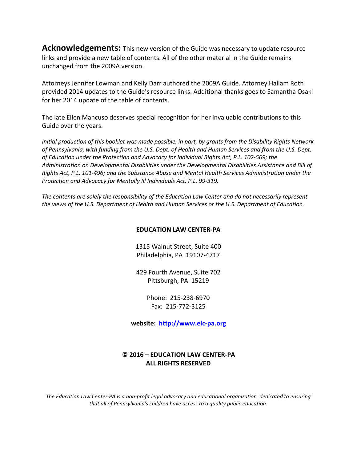**Acknowledgements:** This new version of the Guide was necessary to update resource links and provide a new table of contents. All of the other material in the Guide remains unchanged from the 2009A version.

Attorneys Jennifer Lowman and Kelly Darr authored the 2009A Guide. Attorney Hallam Roth provided 2014 updates to the Guide's resource links. Additional thanks goes to Samantha Osaki for her 2014 update of the table of contents.

The late Ellen Mancuso deserves special recognition for her invaluable contributions to this Guide over the years.

*Initial production of this booklet was made possible, in part, by grants from the Disability Rights Network of Pennsylvania, with funding from the U.S. Dept. of Health and Human Services and from the U.S. Dept. of Education under the Protection and Advocacy for Individual Rights Act, P.L. 102-569; the Administration on Developmental Disabilities under the Developmental Disabilities Assistance and Bill of Rights Act, P.L. 101-496; and the Substance Abuse and Mental Health Services Administration under the Protection and Advocacy for Mentally Ill Individuals Act, P.L. 99-319.*

*The contents are solely the responsibility of the Education Law Center and do not necessarily represent the views of the U.S. Department of Health and Human Services or the U.S. Department of Education.*

#### **EDUCATION LAW CENTER-PA**

1315 Walnut Street, Suite 400 Philadelphia, PA 19107-4717

429 Fourth Avenue, Suite 702 Pittsburgh, PA 15219

> Phone: 215-238-6970 Fax: 215-772-3125

**website: [http://www.elc-pa.org](http://www.elc-pa.org/)**

#### **© 2016 – EDUCATION LAW CENTER-PA ALL RIGHTS RESERVED**

*The Education Law Center-PA is a non-profit legal advocacy and educational organization, dedicated to ensuring that all of Pennsylvania's children have access to a quality public education.*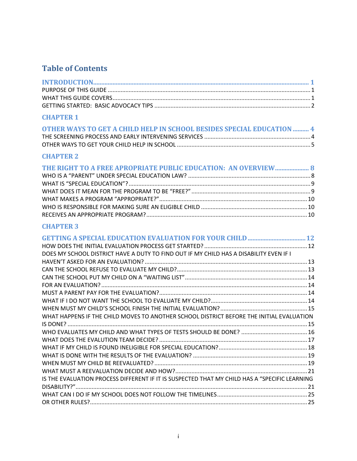### **Table of Contents**

### **CHAPTER 1**

| OTHER WAYS TO GET A CHILD HELP IN SCHOOL BESIDES SPECIAL EDUCATION  4 |  |
|-----------------------------------------------------------------------|--|
|                                                                       |  |
|                                                                       |  |

### **CHAPTER 2**

| THE RIGHT TO A FREE APROPRIATE PUBLIC EDUCATION: AN OVERVIEW 8 |  |
|----------------------------------------------------------------|--|
|                                                                |  |
|                                                                |  |
|                                                                |  |
|                                                                |  |
|                                                                |  |
|                                                                |  |

| DOES MY SCHOOL DISTRICT HAVE A DUTY TO FIND OUT IF MY CHILD HAS A DISABILITY EVEN IF I        |  |
|-----------------------------------------------------------------------------------------------|--|
|                                                                                               |  |
|                                                                                               |  |
|                                                                                               |  |
|                                                                                               |  |
|                                                                                               |  |
|                                                                                               |  |
|                                                                                               |  |
| WHAT HAPPENS IF THE CHILD MOVES TO ANOTHER SCHOOL DISTRICT BEFORE THE INITIAL EVALUATION      |  |
|                                                                                               |  |
|                                                                                               |  |
|                                                                                               |  |
|                                                                                               |  |
|                                                                                               |  |
|                                                                                               |  |
|                                                                                               |  |
| IS THE EVALUATION PROCESS DIFFERENT IF IT IS SUSPECTED THAT MY CHILD HAS A "SPECIFIC LEARNING |  |
|                                                                                               |  |
|                                                                                               |  |
|                                                                                               |  |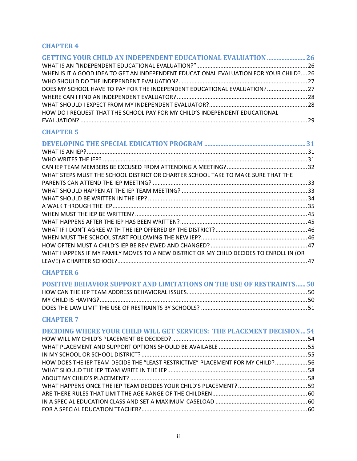### **CHAPTER 4**

| <b>GETTING YOUR CHILD AN INDEPENDENT EDUCATIONAL EVALUATION  26</b>                   |  |
|---------------------------------------------------------------------------------------|--|
|                                                                                       |  |
| WHEN IS IT A GOOD IDEA TO GET AN INDEPENDENT EDUCATIONAL EVALUATION FOR YOUR CHILD?26 |  |
|                                                                                       |  |
| DOES MY SCHOOL HAVE TO PAY FOR THE INDEPENDENT EDUCATIONAL EVALUATION? 27             |  |
|                                                                                       |  |
|                                                                                       |  |
| HOW DO I REQUEST THAT THE SCHOOL PAY FOR MY CHILD'S INDEPENDENT EDUCATIONAL           |  |
|                                                                                       |  |

### **CHAPTER 5**

| WHAT STEPS MUST THE SCHOOL DISTRICT OR CHARTER SCHOOL TAKE TO MAKE SURE THAT THE       |     |
|----------------------------------------------------------------------------------------|-----|
|                                                                                        |     |
|                                                                                        |     |
|                                                                                        |     |
|                                                                                        |     |
|                                                                                        |     |
|                                                                                        |     |
|                                                                                        |     |
|                                                                                        |     |
|                                                                                        |     |
| WHAT HAPPENS IF MY FAMILY MOVES TO A NEW DISTRICT OR MY CHILD DECIDES TO ENROLL IN (OR |     |
|                                                                                        | .47 |
|                                                                                        |     |

### **CHAPTER 6**

| <b>POSITIVE BEHAVIOR SUPPORT AND LIMITATIONS ON THE USE OF RESTRAINTS 50</b> |  |
|------------------------------------------------------------------------------|--|
|                                                                              |  |
|                                                                              |  |
|                                                                              |  |

| <b>DECIDING WHERE YOUR CHILD WILL GET SERVICES: THE PLACEMENT DECISION54</b>   |  |
|--------------------------------------------------------------------------------|--|
|                                                                                |  |
|                                                                                |  |
|                                                                                |  |
| HOW DOES THE IEP TEAM DECIDE THE "LEAST RESTRICTIVE" PLACEMENT FOR MY CHILD?56 |  |
|                                                                                |  |
|                                                                                |  |
|                                                                                |  |
|                                                                                |  |
|                                                                                |  |
|                                                                                |  |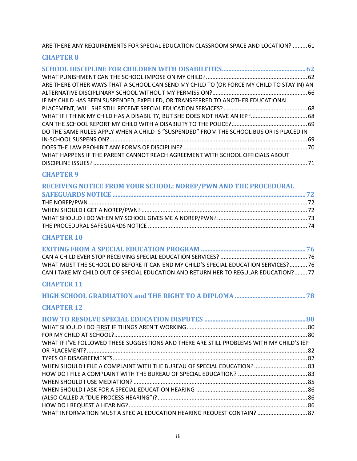ARE THERE ANY REQUIREMENTS FOR SPECIAL EDUCATION CLASSROOM SPACE AND LOCATION? .........61

#### **CHAPTER 8**

| ARE THERE OTHER WAYS THAT A SCHOOL CAN SEND MY CHILD TO (OR FORCE MY CHILD TO STAY IN) AN |  |
|-------------------------------------------------------------------------------------------|--|
|                                                                                           |  |
| IF MY CHILD HAS BEEN SUSPENDED, EXPELLED, OR TRANSFERRED TO ANOTHER EDUCATIONAL           |  |
|                                                                                           |  |
| WHAT IF I THINK MY CHILD HAS A DISABILITY, BUT SHE DOES NOT HAVE AN IEP? 68               |  |
|                                                                                           |  |
| DO THE SAME RULES APPLY WHEN A CHILD IS "SUSPENDED" FROM THE SCHOOL BUS OR IS PLACED IN   |  |
|                                                                                           |  |
|                                                                                           |  |
| WHAT HAPPENS IF THE PARENT CANNOT REACH AGREEMENT WITH SCHOOL OFFICIALS ABOUT             |  |
|                                                                                           |  |

#### **CHAPTER 9**

| RECEIVING NOTICE FROM YOUR SCHOOL: NOREP/PWN AND THE PROCEDURAL |  |
|-----------------------------------------------------------------|--|
|                                                                 |  |
|                                                                 |  |
|                                                                 |  |
|                                                                 |  |
|                                                                 |  |
|                                                                 |  |

### **CHAPTER 10**

| WHAT MUST THE SCHOOL DO BEFORE IT CAN END MY CHILD'S SPECIAL EDUCATION SERVICES? 76 |  |
|-------------------------------------------------------------------------------------|--|
| CAN I TAKE MY CHILD OUT OF SPECIAL EDUCATION AND RETURN HER TO REGULAR EDUCATION?77 |  |
|                                                                                     |  |

### **CHAPTER 11**

|--|--|--|

| WHAT IF I'VE FOLLOWED THESE SUGGESTIONS AND THERE ARE STILL PROBLEMS WITH MY CHILD'S IEP |  |
|------------------------------------------------------------------------------------------|--|
|                                                                                          |  |
|                                                                                          |  |
|                                                                                          |  |
|                                                                                          |  |
|                                                                                          |  |
|                                                                                          |  |
|                                                                                          |  |
|                                                                                          |  |
| WHAT INFORMATION MUST A SPECIAL EDUCATION HEARING REQUEST CONTAIN?  87                   |  |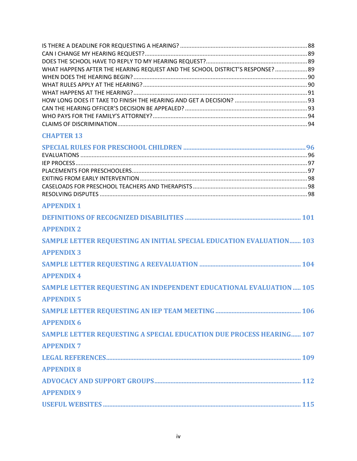| WHAT HAPPENS AFTER THE HEARING REQUEST AND THE SCHOOL DISTRICT'S RESPONSE? 89 |  |
|-------------------------------------------------------------------------------|--|
|                                                                               |  |
|                                                                               |  |
|                                                                               |  |
|                                                                               |  |
|                                                                               |  |
|                                                                               |  |
|                                                                               |  |

| <b>APPENDIX 1</b>                                                    |
|----------------------------------------------------------------------|
|                                                                      |
| <b>APPENDIX 2</b>                                                    |
| SAMPLE LETTER REQUESTING AN INITIAL SPECIAL EDUCATION EVALUATION 103 |
| <b>APPENDIX 3</b>                                                    |
|                                                                      |
| <b>APPENDIX 4</b>                                                    |
| SAMPLE LETTER REQUESTING AN INDEPENDENT EDUCATIONAL EVALUATION 105   |
| <b>APPENDIX 5</b>                                                    |
|                                                                      |
| <b>APPENDIX 6</b>                                                    |
| SAMPLE LETTER REQUESTING A SPECIAL EDUCATION DUE PROCESS HEARING 107 |
| <b>APPENDIX 7</b>                                                    |
|                                                                      |
| <b>APPENDIX 8</b>                                                    |
|                                                                      |
| <b>APPENDIX 9</b>                                                    |
|                                                                      |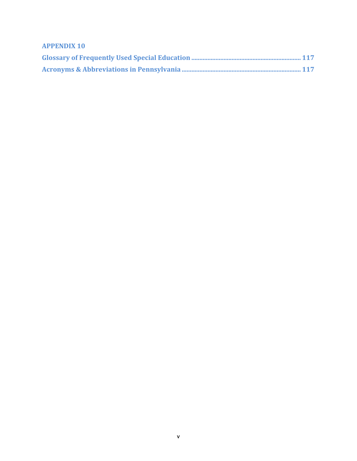**APPENDIX 10**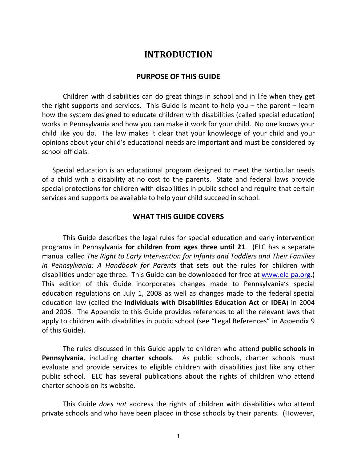### **INTRODUCTION**

#### **PURPOSE OF THIS GUIDE**

<span id="page-8-0"></span>Children with disabilities can do great things in school and in life when they get the right supports and services. This Guide is meant to help you – the parent – learn how the system designed to educate children with disabilities (called special education) works in Pennsylvania and how you can make it work for your child. No one knows your child like you do. The law makes it clear that your knowledge of your child and your opinions about your child's educational needs are important and must be considered by school officials.

Special education is an educational program designed to meet the particular needs of a child with a disability at no cost to the parents. State and federal laws provide special protections for children with disabilities in public school and require that certain services and supports be available to help your child succeed in school.

#### **WHAT THIS GUIDE COVERS**

This Guide describes the legal rules for special education and early intervention programs in Pennsylvania **for children from ages three until 21**. (ELC has a separate manual called *The Right to Early Intervention for Infants and Toddlers and Their Families in Pennsylvania: A Handbook for Parents* that sets out the rules for children with disabilities under age three. This Guide can be downloaded for free at [www.elc-pa.org.](http://www.elc-pa.org/)) This edition of this Guide incorporates changes made to Pennsylvania's special education regulations on July 1, 2008 as well as changes made to the federal special education law (called the **Individuals with Disabilities Education Act** or **IDEA**) in 2004 and 2006. The Appendix to this Guide provides references to all the relevant laws that apply to children with disabilities in public school (see "Legal References" in Appendix 9 of this Guide).

The rules discussed in this Guide apply to children who attend **public schools in Pennsylvania**, including **charter schools**. As public schools, charter schools must evaluate and provide services to eligible children with disabilities just like any other public school. ELC has several publications about the rights of children who attend charter schools on its website.

This Guide *does not* address the rights of children with disabilities who attend private schools and who have been placed in those schools by their parents. (However,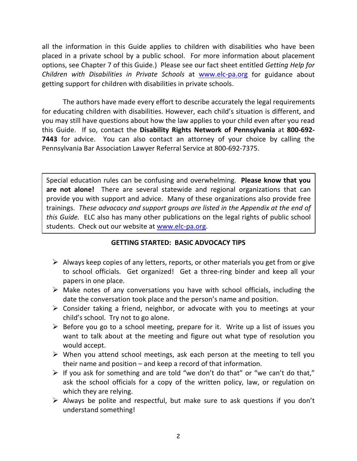all the information in this Guide applies to children with disabilities who have been placed in a private school by a public school. For more information about placement options, see Chapter 7 of this Guide.) Please see our fact sheet entitled *Getting Help for Children with Disabilities in Private Schools* at [www.elc-pa.org](http://www.elc-pa.org/) for guidance about getting support for children with disabilities in private schools.

The authors have made every effort to describe accurately the legal requirements for educating children with disabilities. However, each child's situation is different, and you may still have questions about how the law applies to your child even after you read this Guide. If so, contact the **Disability Rights Network of Pennsylvania** at **800-692- 7443** for advice. You can also contact an attorney of your choice by calling the Pennsylvania Bar Association Lawyer Referral Service at 800-692-7375.

Special education rules can be confusing and overwhelming. **Please know that you are not alone!** There are several statewide and regional organizations that can provide you with support and advice. Many of these organizations also provide free trainings. *These advocacy and support groups are listed in the Appendix at the end of this Guide.* ELC also has many other publications on the legal rights of public school students. Check out our website at [www.elc-pa.org.](http://www.elc-pa.org/)

### **GETTING STARTED: BASIC ADVOCACY TIPS**

- $\triangleright$  Always keep copies of any letters, reports, or other materials you get from or give to school officials. Get organized! Get a three-ring binder and keep all your papers in one place.
- $\triangleright$  Make notes of any conversations you have with school officials, including the date the conversation took place and the person's name and position.
- $\triangleright$  Consider taking a friend, neighbor, or advocate with you to meetings at your child's school. Try not to go alone.
- $\triangleright$  Before you go to a school meeting, prepare for it. Write up a list of issues you want to talk about at the meeting and figure out what type of resolution you would accept.
- $\triangleright$  When you attend school meetings, ask each person at the meeting to tell you their name and position – and keep a record of that information.
- $\triangleright$  If you ask for something and are told "we don't do that" or "we can't do that," ask the school officials for a copy of the written policy, law, or regulation on which they are relying.
- $\triangleright$  Always be polite and respectful, but make sure to ask questions if you don't understand something!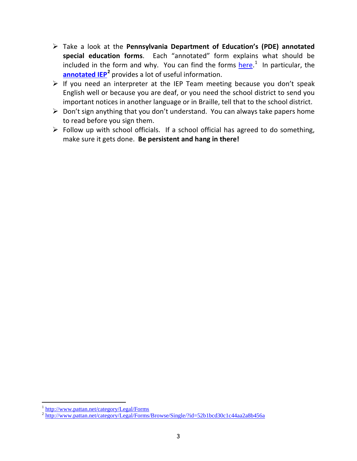- Take a look at the **Pennsylvania Department of Education's (PDE) annotated special education forms**. Each "annotated" form explains what should be included in the form and why. You can find the forms **here.**<sup>[1](#page-10-0)</sup> In particular, the **[annotated IEP](http://www.pattan.net/category/Legal/Forms/Browse/Single/?id=52b1bcd30c1c44aa2a8b456a)[2](#page-10-1)** provides a lot of useful information.
- $\triangleright$  If you need an interpreter at the IEP Team meeting because you don't speak English well or because you are deaf, or you need the school district to send you important notices in another language or in Braille, tell that to the school district.
- $\triangleright$  Don't sign anything that you don't understand. You can always take papers home to read before you sign them.
- $\triangleright$  Follow up with school officials. If a school official has agreed to do something, make sure it gets done. **Be persistent and hang in there!**

<span id="page-10-0"></span><sup>&</sup>lt;sup>1</sup> <http://www.pattan.net/category/Legal/Forms>

<span id="page-10-1"></span><sup>&</sup>lt;sup>2</sup> <http://www.pattan.net/category/Legal/Forms/Browse/Single/?id=52b1bcd30c1c44aa2a8b456a>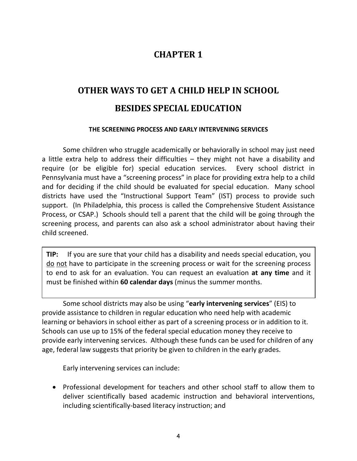### **CHAPTER 1**

## <span id="page-11-0"></span>**OTHER WAYS TO GET A CHILD HELP IN SCHOOL BESIDES SPECIAL EDUCATION**

#### **THE SCREENING PROCESS AND EARLY INTERVENING SERVICES**

Some children who struggle academically or behaviorally in school may just need a little extra help to address their difficulties – they might not have a disability and require (or be eligible for) special education services. Every school district in Pennsylvania must have a "screening process" in place for providing extra help to a child and for deciding if the child should be evaluated for special education. Many school districts have used the "Instructional Support Team" (IST) process to provide such support. (In Philadelphia, this process is called the Comprehensive Student Assistance Process, or CSAP.) Schools should tell a parent that the child will be going through the screening process, and parents can also ask a school administrator about having their child screened.

**TIP:** If you are sure that your child has a disability and needs special education, you do not have to participate in the screening process or wait for the screening process to end to ask for an evaluation. You can request an evaluation **at any time** and it must be finished within **60 calendar days** (minus the summer months.

Some school districts may also be using "**early intervening services**" (EIS) to provide assistance to children in regular education who need help with academic learning or behaviors in school either as part of a screening process or in addition to it. Schools can use up to 15% of the federal special education money they receive to provide early intervening services. Although these funds can be used for children of any age, federal law suggests that priority be given to children in the early grades.

Early intervening services can include:

• Professional development for teachers and other school staff to allow them to deliver scientifically based academic instruction and behavioral interventions, including scientifically-based literacy instruction; and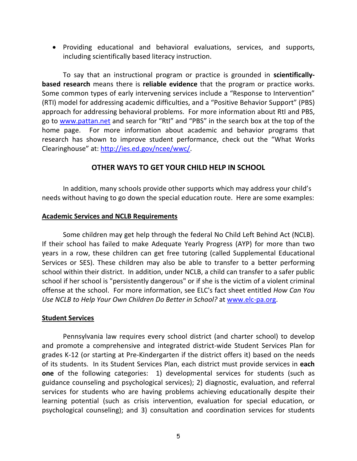• Providing educational and behavioral evaluations, services, and supports, including scientifically based literacy instruction.

To say that an instructional program or practice is grounded in **scientificallybased research** means there is **reliable evidence** that the program or practice works. Some common types of early intervening services include a "Response to Intervention" (RTI) model for addressing academic difficulties, and a "Positive Behavior Support" (PBS) approach for addressing behavioral problems. For more information about RtI and PBS, go to [www.pattan.net](http://www.pattan.net/) and search for "RtI" and "PBS" in the search box at the top of the home page. For more information about academic and behavior programs that research has shown to improve student performance, check out the "What Works Clearinghouse" at: [http://ies.ed.gov/ncee/wwc/.](http://ies.ed.gov/ncee/wwc/)

### **OTHER WAYS TO GET YOUR CHILD HELP IN SCHOOL**

In addition, many schools provide other supports which may address your child's needs without having to go down the special education route. Here are some examples:

#### **Academic Services and NCLB Requirements**

Some children may get help through the federal No Child Left Behind Act (NCLB). If their school has failed to make Adequate Yearly Progress (AYP) for more than two years in a row, these children can get free tutoring (called Supplemental Educational Services or SES). These children may also be able to transfer to a better performing school within their district. In addition, under NCLB, a child can transfer to a safer public school if her school is "persistently dangerous" or if she is the victim of a violent criminal offense at the school. For more information, see ELC's fact sheet entitled *How Can You Use NCLB to Help Your Own Children Do Better in School?* at [www.elc-pa.org.](http://www.elc-pa.org/)

#### **Student Services**

Pennsylvania law requires every school district (and charter school) to develop and promote a comprehensive and integrated district-wide Student Services Plan for grades K-12 (or starting at Pre-Kindergarten if the district offers it) based on the needs of its students. In its Student Services Plan, each district must provide services in **each one** of the following categories: 1) developmental services for students (such as guidance counseling and psychological services); 2) diagnostic, evaluation, and referral services for students who are having problems achieving educationally despite their learning potential (such as crisis intervention, evaluation for special education, or psychological counseling); and 3) consultation and coordination services for students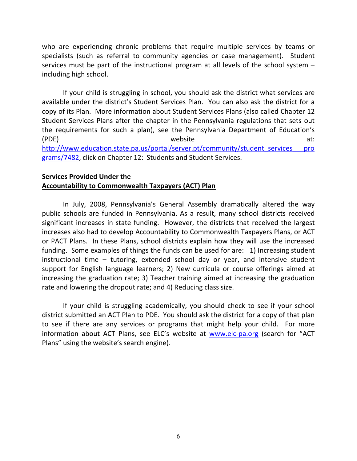who are experiencing chronic problems that require multiple services by teams or specialists (such as referral to community agencies or case management). Student services must be part of the instructional program at all levels of the school system – including high school.

If your child is struggling in school, you should ask the district what services are available under the district's Student Services Plan. You can also ask the district for a copy of its Plan. More information about Student Services Plans (also called Chapter 12 Student Services Plans after the chapter in the Pennsylvania regulations that sets out the requirements for such a plan), see the Pennsylvania Department of Education's (PDE) website at: [http://www.education.state.pa.us/portal/server.pt/community/student\\_services\\_\\_\\_pro](http://www.education.state.pa.us/portal/server.pt/community/student_services___programs/7482) [grams/7482,](http://www.education.state.pa.us/portal/server.pt/community/student_services___programs/7482) click on Chapter 12: Students and Student Services.

#### **Services Provided Under the Accountability to Commonwealth Taxpayers (ACT) Plan**

In July, 2008, Pennsylvania's General Assembly dramatically altered the way public schools are funded in Pennsylvania. As a result, many school districts received significant increases in state funding. However, the districts that received the largest increases also had to develop Accountability to Commonwealth Taxpayers Plans, or ACT or PACT Plans. In these Plans, school districts explain how they will use the increased funding. Some examples of things the funds can be used for are: 1) Increasing student instructional time – tutoring, extended school day or year, and intensive student support for English language learners; 2) New curricula or course offerings aimed at increasing the graduation rate; 3) Teacher training aimed at increasing the graduation rate and lowering the dropout rate; and 4) Reducing class size.

If your child is struggling academically, you should check to see if your school district submitted an ACT Plan to PDE.You should ask the district for a copy of that plan to see if there are any services or programs that might help your child. For more information about ACT Plans, see ELC's website at [www.elc-pa.org](http://www.elc-pa.org/) (search for "ACT Plans" using the website's search engine).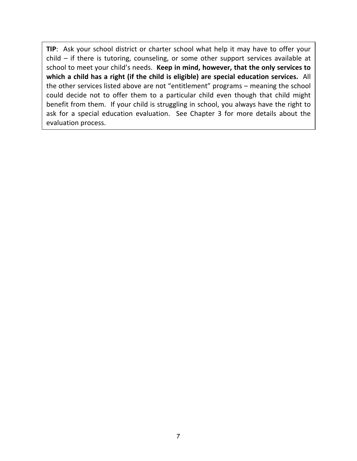**TIP**: Ask your school district or charter school what help it may have to offer your child – if there is tutoring, counseling, or some other support services available at school to meet your child's needs. **Keep in mind, however, that the only services to which a child has a right (if the child is eligible) are special education services.** All the other services listed above are not "entitlement" programs – meaning the school could decide not to offer them to a particular child even though that child might benefit from them. If your child is struggling in school, you always have the right to ask for a special education evaluation. See Chapter 3 for more details about the evaluation process.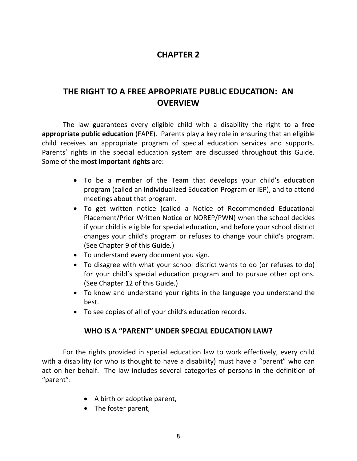### **CHAPTER 2**

### <span id="page-15-0"></span>**THE RIGHT TO A FREE APROPRIATE PUBLIC EDUCATION: AN OVERVIEW**

The law guarantees every eligible child with a disability the right to a **free appropriate public education** (FAPE). Parents play a key role in ensuring that an eligible child receives an appropriate program of special education services and supports. Parents' rights in the special education system are discussed throughout this Guide. Some of the **most important rights** are:

- To be a member of the Team that develops your child's education program (called an Individualized Education Program or IEP), and to attend meetings about that program.
- To get written notice (called a Notice of Recommended Educational Placement/Prior Written Notice or NOREP/PWN) when the school decides if your child is eligible for special education, and before your school district changes your child's program or refuses to change your child's program. (See Chapter 9 of this Guide*.*)
- To understand every document you sign.
- To disagree with what your school district wants to do (or refuses to do) for your child's special education program and to pursue other options. (See Chapter 12 of this Guide*.*)
- To know and understand your rights in the language you understand the best.
- To see copies of all of your child's education records.

### **WHO IS A "PARENT" UNDER SPECIAL EDUCATION LAW?**

For the rights provided in special education law to work effectively, every child with a disability (or who is thought to have a disability) must have a "parent" who can act on her behalf. The law includes several categories of persons in the definition of "parent":

- A birth or adoptive parent,
- The foster parent,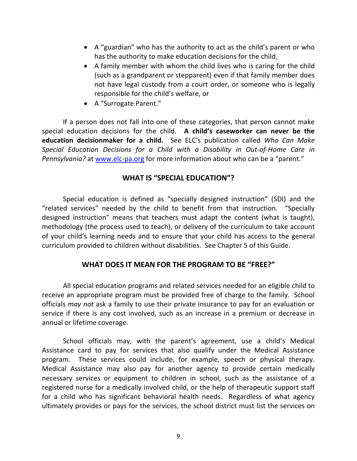- A "guardian" who has the authority to act as the child's parent or who has the authority to make education decisions for the child,
- A family member with whom the child lives who is caring for the child (such as a grandparent or stepparent) even if that family member does not have legal custody from a court order, or someone who is legally responsible for the child's welfare, or
- A "Surrogate Parent."

If a person does not fall into one of these categories, that person cannot make special education decisions for the child. **A child's caseworker can never be the education decisionmaker for a child.** See ELC's publication called *Who Can Make Special Education Decisions for a Child with a Disability in Out-of-Home Care in Pennsylvania?* at [www.elc-pa.org](http://www.elc-pa.org/) for more information about who can be a "parent."

### **WHAT IS "SPECIAL EDUCATION"?**

Special education is defined as "specially designed instruction" (SDI) and the "related services" needed by the child to benefit from that instruction. "Specially designed instruction" means that teachers must adapt the content (what is taught), methodology (the process used to teach), or delivery of the curriculum to take account of your child's learning needs and to ensure that your child has access to the general curriculum provided to children without disabilities. See Chapter 5 of this Guide.

### **WHAT DOES IT MEAN FOR THE PROGRAM TO BE "FREE?"**

All special education programs and related services needed for an eligible child to receive an appropriate program must be provided free of charge to the family. School officials *may not* ask a family to use their private insurance to pay for an evaluation or service if there is any cost involved, such as an increase in a premium or decrease in annual or lifetime coverage.

School officials may, with the parent's agreement, use a child's Medical Assistance card to pay for services that also qualify under the Medical Assistance program. These services could include, for example, speech or physical therapy. Medical Assistance may also pay for another agency to provide certain medically necessary services or equipment to children in school, such as the assistance of a registered nurse for a medically involved child, or the help of therapeutic support staff for a child who has significant behavioral health needs. Regardless of what agency ultimately provides or pays for the services, the school district must list the services on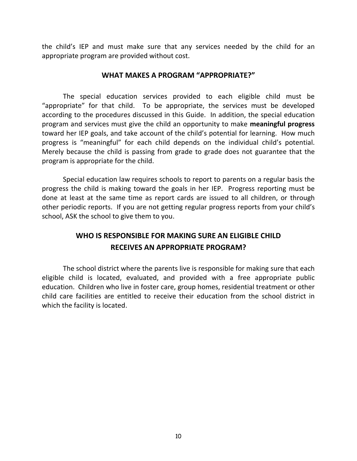the child's IEP and must make sure that any services needed by the child for an appropriate program are provided without cost.

#### **WHAT MAKES A PROGRAM "APPROPRIATE?"**

The special education services provided to each eligible child must be "appropriate" for that child. To be appropriate, the services must be developed according to the procedures discussed in this Guide. In addition, the special education program and services must give the child an opportunity to make **meaningful progress**  toward her IEP goals, and take account of the child's potential for learning. How much progress is "meaningful" for each child depends on the individual child's potential. Merely because the child is passing from grade to grade does not guarantee that the program is appropriate for the child.

Special education law requires schools to report to parents on a regular basis the progress the child is making toward the goals in her IEP. Progress reporting must be done at least at the same time as report cards are issued to all children, or through other periodic reports. If you are not getting regular progress reports from your child's school, ASK the school to give them to you.

### **WHO IS RESPONSIBLE FOR MAKING SURE AN ELIGIBLE CHILD RECEIVES AN APPROPRIATE PROGRAM?**

The school district where the parents live is responsible for making sure that each eligible child is located, evaluated, and provided with a free appropriate public education. Children who live in foster care, group homes, residential treatment or other child care facilities are entitled to receive their education from the school district in which the facility is located.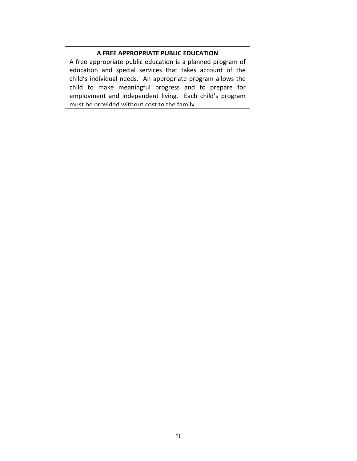#### **A FREE APPROPRIATE PUBLIC EDUCATION**

A free appropriate public education is a planned program of education and special services that takes account of the child's individual needs. An appropriate program allows the child to make meaningful progress and to prepare for employment and independent living. Each child's program must be provided without cost to the family.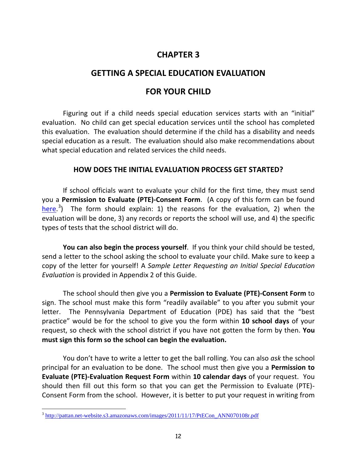### **CHAPTER 3**

### <span id="page-19-0"></span>**GETTING A SPECIAL EDUCATION EVALUATION**

### **FOR YOUR CHILD**

Figuring out if a child needs special education services starts with an "initial" evaluation. No child can get special education services until the school has completed this evaluation. The evaluation should determine if the child has a disability and needs special education as a result. The evaluation should also make recommendations about what special education and related services the child needs.

### **HOW DOES THE INITIAL EVALUATION PROCESS GET STARTED?**

If school officials want to evaluate your child for the first time, they must send you a **Permission to Evaluate (PTE)-Consent Form**. (A copy of this form can be found [here.](http://pattan.net-website.s3.amazonaws.com/images/2011/11/17/PtECon_ANN070108r.pdf)<sup>[3](#page-19-1)</sup>) The form should explain: 1) the reasons for the evaluation, 2) when the evaluation will be done, 3) any records or reports the school will use, and 4) the specific types of tests that the school district will do.

**You can also begin the process yourself**. If you think your child should be tested, send a letter to the school asking the school to evaluate your child. Make sure to keep a copy of the letter for yourself! A *Sample Letter Requesting an Initial Special Education Evaluation* is provided in Appendix 2 of this Guide.

The school should then give you a **Permission to Evaluate (PTE)-Consent Form** to sign. The school must make this form "readily available" to you after you submit your letter. The Pennsylvania Department of Education (PDE) has said that the "best practice" would be for the school to give you the form within **10 school days** of your request, so check with the school district if you have not gotten the form by then. **You must sign this form so the school can begin the evaluation.** 

You don't have to write a letter to get the ball rolling. You can also *ask* the school principal for an evaluation to be done. The school must then give you a **Permission to Evaluate (PTE)-Evaluation Request Form** within **10 calendar days** of your request. You should then fill out this form so that you can get the Permission to Evaluate (PTE)- Consent Form from the school. However, it is better to put your request in writing from

<span id="page-19-1"></span><sup>&</sup>lt;sup>3</sup> [http://pattan.net-website.s3.amazonaws.com/images/2011/11/17/PtECon\\_ANN070108r.pdf](http://pattan.net-website.s3.amazonaws.com/images/2011/11/17/PtECon_ANN070108r.pdf)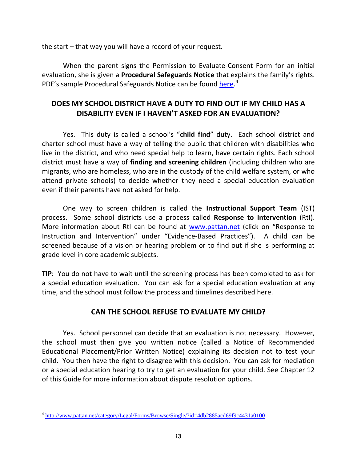the start – that way you will have a record of your request.

When the parent signs the Permission to Evaluate-Consent Form for an initial evaluation, she is given a **Procedural Safeguards Notice** that explains the family's rights. PDE's sample Procedural Safeguards Notice can be found [here.](http://www.pattan.net/category/Legal/Forms/Browse/Single/?id=4db2885acd69f9c4431a0100)<sup>[4](#page-20-0)</sup>

### **DOES MY SCHOOL DISTRICT HAVE A DUTY TO FIND OUT IF MY CHILD HAS A DISABILITY EVEN IF I HAVEN'T ASKED FOR AN EVALUATION?**

Yes. This duty is called a school's "**child find**" duty. Each school district and charter school must have a way of telling the public that children with disabilities who live in the district, and who need special help to learn, have certain rights. Each school district must have a way of **finding and screening children** (including children who are migrants, who are homeless, who are in the custody of the child welfare system, or who attend private schools) to decide whether they need a special education evaluation even if their parents have not asked for help.

One way to screen children is called the **Instructional Support Team** (IST) process. Some school districts use a process called **Response to Intervention** (RtI). More information about RtI can be found at [www.pattan.net](http://www.pattan.net/) (click on "Response to Instruction and Intervention" under "Evidence-Based Practices"). A child can be screened because of a vision or hearing problem or to find out if she is performing at grade level in core academic subjects.

**TIP**: You do not have to wait until the screening process has been completed to ask for a special education evaluation. You can ask for a special education evaluation at any time, and the school must follow the process and timelines described here.

### **CAN THE SCHOOL REFUSE TO EVALUATE MY CHILD?**

Yes. School personnel can decide that an evaluation is not necessary. However, the school must then give you written notice (called a Notice of Recommended Educational Placement/Prior Written Notice) explaining its decision not to test your child. You then have the right to disagree with this decision. You can ask for mediation or a special education hearing to try to get an evaluation for your child. See Chapter 12 of this Guide for more information about dispute resolution options.

<span id="page-20-0"></span><sup>4</sup> <http://www.pattan.net/category/Legal/Forms/Browse/Single/?id=4db2885acd69f9c4431a0100>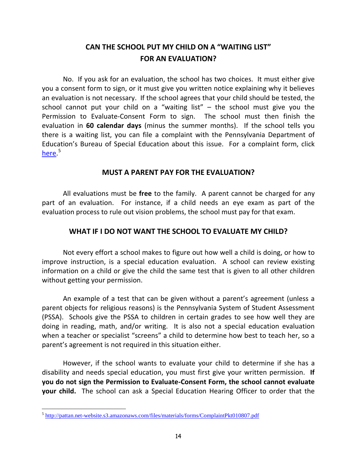### **CAN THE SCHOOL PUT MY CHILD ON A "WAITING LIST" FOR AN EVALUATION?**

No. If you ask for an evaluation, the school has two choices. It must either give you a consent form to sign, or it must give you written notice explaining why it believes an evaluation is not necessary. If the school agrees that your child should be tested, the school cannot put your child on a "waiting list"  $-$  the school must give you the Permission to Evaluate-Consent Form to sign. The school must then finish the evaluation in **60 calendar days** (minus the summer months). If the school tells you there is a waiting list, you can file a complaint with the Pennsylvania Department of Education's Bureau of Special Education about this issue. For a complaint form, click [here.](http://pattan.net-website.s3.amazonaws.com/files/materials/forms/ComplaintPkt010807.pdf)<sup>[5](#page-21-0)</sup>

### **MUST A PARENT PAY FOR THE EVALUATION?**

All evaluations must be **free** to the family. A parent cannot be charged for any part of an evaluation. For instance, if a child needs an eye exam as part of the evaluation process to rule out vision problems, the school must pay for that exam.

### **WHAT IF I DO NOT WANT THE SCHOOL TO EVALUATE MY CHILD?**

Not every effort a school makes to figure out how well a child is doing, or how to improve instruction, is a special education evaluation. A school can review existing information on a child or give the child the same test that is given to all other children without getting your permission.

An example of a test that can be given without a parent's agreement (unless a parent objects for religious reasons) is the Pennsylvania System of Student Assessment (PSSA). Schools give the PSSA to children in certain grades to see how well they are doing in reading, math, and/or writing. It is also not a special education evaluation when a teacher or specialist "screens" a child to determine how best to teach her, so a parent's agreement is not required in this situation either.

However, if the school wants to evaluate your child to determine if she has a disability and needs special education, you must first give your written permission. **If you do not sign the Permission to Evaluate-Consent Form, the school cannot evaluate your child.** The school can ask a Special Education Hearing Officer to order that the

<span id="page-21-0"></span><sup>5</sup> <http://pattan.net-website.s3.amazonaws.com/files/materials/forms/ComplaintPkt010807.pdf>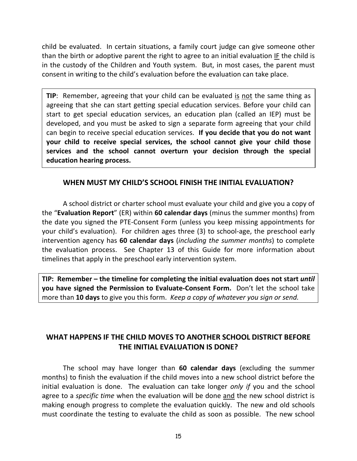child be evaluated. In certain situations, a family court judge can give someone other than the birth or adoptive parent the right to agree to an initial evaluation IF the child is in the custody of the Children and Youth system. But, in most cases, the parent must consent in writing to the child's evaluation before the evaluation can take place.

**TIP:** Remember, agreeing that your child can be evaluated is not the same thing as agreeing that she can start getting special education services. Before your child can start to get special education services, an education plan (called an IEP) must be developed, and you must be asked to sign a separate form agreeing that your child can begin to receive special education services. **If you decide that you do not want your child to receive special services, the school cannot give your child those services and the school cannot overturn your decision through the special education hearing process.**

### **WHEN MUST MY CHILD'S SCHOOL FINISH THE INITIAL EVALUATION?**

A school district or charter school must evaluate your child and give you a copy of the "**Evaluation Report**" (ER) within **60 calendar days** (minus the summer months) from the date you signed the PTE-Consent Form (unless you keep missing appointments for your child's evaluation). For children ages three (3) to school-age, the preschool early intervention agency has **60 calendar days** (*including the summer months*) to complete the evaluation process. See Chapter 13 of this Guide for more information about timelines that apply in the preschool early intervention system.

**TIP: Remember – the timeline for completing the initial evaluation does not start** *until* **you have signed the Permission to Evaluate-Consent Form.** Don't let the school take more than **10 days** to give you this form. *Keep a copy of whatever you sign or send.*

### **WHAT HAPPENS IF THE CHILD MOVES TO ANOTHER SCHOOL DISTRICT BEFORE THE INITIAL EVALUATION IS DONE?**

The school may have longer than **60 calendar days** (excluding the summer months) to finish the evaluation if the child moves into a new school district before the initial evaluation is done. The evaluation can take longer *only if* you and the school agree to a *specific time* when the evaluation will be done and the new school district is making enough progress to complete the evaluation quickly. The new and old schools must coordinate the testing to evaluate the child as soon as possible. The new school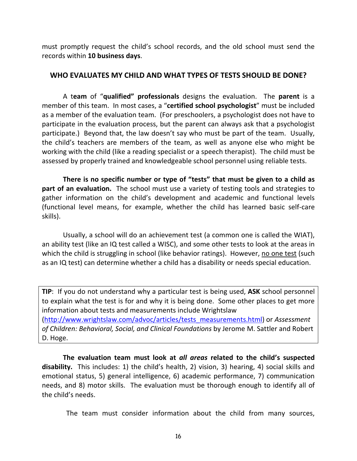must promptly request the child's school records, and the old school must send the records within **10 business days**.

#### **WHO EVALUATES MY CHILD AND WHAT TYPES OF TESTS SHOULD BE DONE?**

A t**eam** of "**qualified" professionals** designs the evaluation. The **parent** is a member of this team. In most cases, a "**certified school psychologist**" must be included as a member of the evaluation team. (For preschoolers, a psychologist does not have to participate in the evaluation process, but the parent can always ask that a psychologist participate.) Beyond that, the law doesn't say who must be part of the team. Usually, the child's teachers are members of the team, as well as anyone else who might be working with the child (like a reading specialist or a speech therapist). The child must be assessed by properly trained and knowledgeable school personnel using reliable tests.

**There is no specific number or type of "tests" that must be given to a child as part of an evaluation.** The school must use a variety of testing tools and strategies to gather information on the child's development and academic and functional levels (functional level means, for example, whether the child has learned basic self-care skills).

Usually, a school will do an achievement test (a common one is called the WIAT), an ability test (like an IQ test called a WISC), and some other tests to look at the areas in which the child is struggling in school (like behavior ratings). However, no one test (such as an IQ test) can determine whether a child has a disability or needs special education.

**TIP**: If you do not understand why a particular test is being used, **ASK** school personnel to explain what the test is for and why it is being done. Some other places to get more information about tests and measurements include Wrightslaw [\(http://www.wrightslaw.com/advoc/articles/tests\\_measurements.html\)](http://www.wrightslaw.com/advoc/articles/tests_measurements.html) or *Assessment of Children: Behavioral, Social, and Clinical Foundations* by Jerome M. Sattler and Robert D. Hoge.

**The evaluation team must look at** *all areas* **related to the child's suspected disability.** This includes: 1) the child's health, 2) vision, 3) hearing, 4) social skills and emotional status, 5) general intelligence, 6) academic performance, 7) communication needs, and 8) motor skills. The evaluation must be thorough enough to identify all of the child's needs.

The team must consider information about the child from many sources,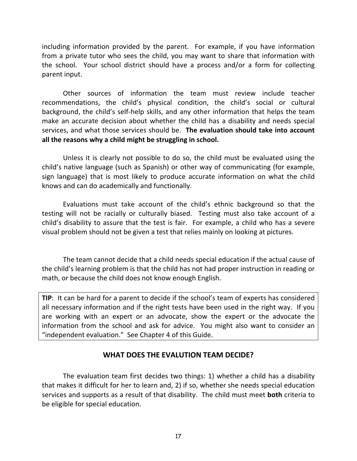including information provided by the parent. For example, if you have information from a private tutor who sees the child, you may want to share that information with the school. Your school district should have a process and/or a form for collecting parent input.

Other sources of information the team must review include teacher recommendations, the child's physical condition, the child's social or cultural background, the child's self-help skills, and any other information that helps the team make an accurate decision about whether the child has a disability and needs special services, and what those services should be. **The evaluation should take into account all the reasons why a child might be struggling in school.**

Unless it is clearly not possible to do so, the child must be evaluated using the child's native language (such as Spanish) or other way of communicating (for example, sign language) that is most likely to produce accurate information on what the child knows and can do academically and functionally.

Evaluations must take account of the child's ethnic background so that the testing will not be racially or culturally biased. Testing must also take account of a child's disability to assure that the test is fair. For example, a child who has a severe visual problem should not be given a test that relies mainly on looking at pictures.

The team cannot decide that a child needs special education if the actual cause of the child's learning problem is that the child has not had proper instruction in reading or math, or because the child does not know enough English.

**TIP**: It can be hard for a parent to decide if the school's team of experts has considered all necessary information and if the right tests have been used in the right way. If you are working with an expert or an advocate, show the expert or the advocate the information from the school and ask for advice. You might also want to consider an "independent evaluation." See Chapter 4 of this Guide.

### **WHAT DOES THE EVALUTION TEAM DECIDE?**

The evaluation team first decides two things: 1) whether a child has a disability that makes it difficult for her to learn and, 2) if so, whether she needs special education services and supports as a result of that disability. The child must meet **both** criteria to be eligible for special education.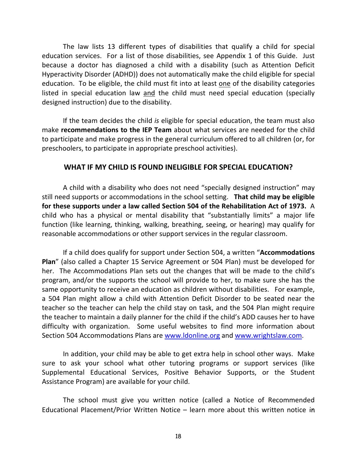The law lists 13 different types of disabilities that qualify a child for special education services. For a list of those disabilities, see Appendix 1 of this Guide. Just because a doctor has diagnosed a child with a disability (such as Attention Deficit Hyperactivity Disorder (ADHD)) does not automatically make the child eligible for special education. To be eligible, the child must fit into at least one of the disability categories listed in special education law and the child must need special education (specially designed instruction) due to the disability.

If the team decides the child *is* eligible for special education, the team must also make **recommendations to the IEP Team** about what services are needed for the child to participate and make progress in the general curriculum offered to all children (or, for preschoolers, to participate in appropriate preschool activities).

### **WHAT IF MY CHILD IS FOUND INELIGIBLE FOR SPECIAL EDUCATION?**

A child with a disability who does not need "specially designed instruction" may still need supports or accommodations in the school setting. **That child may be eligible for these supports under a law called Section 504 of the Rehabilitation Act of 1973.** A child who has a physical or mental disability that "substantially limits" a major life function (like learning, thinking, walking, breathing, seeing, or hearing) may qualify for reasonable accommodations or other support services in the regular classroom.

If a child does qualify for support under Section 504, a written "**Accommodations Plan**" (also called a Chapter 15 Service Agreement or 504 Plan) must be developed for her. The Accommodations Plan sets out the changes that will be made to the child's program, and/or the supports the school will provide to her, to make sure she has the same opportunity to receive an education as children without disabilities. For example, a 504 Plan might allow a child with Attention Deficit Disorder to be seated near the teacher so the teacher can help the child stay on task, and the 504 Plan might require the teacher to maintain a daily planner for the child if the child's ADD causes her to have difficulty with organization. Some useful websites to find more information about Section 504 Accommodations Plans are [www.ldonline.org](http://www.ldonline.org/) and [www.wrightslaw.com.](http://www.wrightslaw.com/)

In addition, your child may be able to get extra help in school other ways. Make sure to ask your school what other tutoring programs or support services (like Supplemental Educational Services, Positive Behavior Supports, or the Student Assistance Program) are available for your child.

The school must give you written notice (called a Notice of Recommended Educational Placement/Prior Written Notice – learn more about this written notice in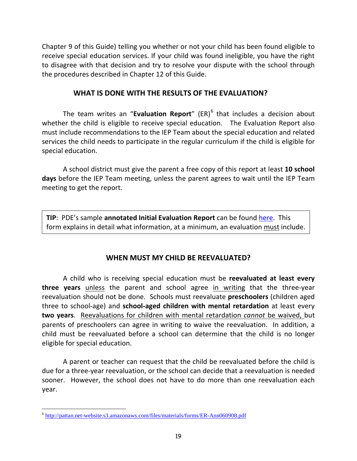Chapter 9 of this Guide) telling you whether or not your child has been found eligible to receive special education services. If your child was found ineligible, you have the right to disagree with that decision and try to resolve your dispute with the school through the procedures described in Chapter 12 of this Guide.

### **WHAT IS DONE WITH THE RESULTS OF THE EVALUATION?**

The team writes an "**Evaluation Report**" (ER)<sup>[6](#page-26-0)</sup> that includes a decision about whether the child is eligible to receive special education. The Evaluation Report also must include recommendations to the IEP Team about the special education and related services the child needs to participate in the regular curriculum if the child is eligible for special education.

A school district must give the parent a free copy of this report at least **10 school days** before the IEP Team meeting, unless the parent agrees to wait until the IEP Team meeting to get the report.

**TIP**: PDE's sample **annotated Initial Evaluation Report** can be found [here.](http://pattan.net-website.s3.amazonaws.com/files/materials/forms/ER-Ann060908.pdf) This form explains in detail what information, at a minimum, an evaluation must include.

### **WHEN MUST MY CHILD BE REEVALUATED?**

A child who is receiving special education must be **reevaluated at least every three years** unless the parent and school agree in writing that the three-year reevaluation should not be done. Schools must reevaluate **preschoolers** (children aged three to school-age) and **school-aged children with mental retardation** at least every **two years**. Reevaluations for children with mental retardation *cannot* be waived, but parents of preschoolers can agree in writing to waive the reevaluation. In addition, a child must be reevaluated before a school can determine that the child is no longer eligible for special education.

A parent or teacher can request that the child be reevaluated before the child is due for a three-year reevaluation, or the school can decide that a reevaluation is needed sooner. However, the school does not have to do more than one reevaluation each year.

<span id="page-26-0"></span><sup>6</sup> <http://pattan.net-website.s3.amazonaws.com/files/materials/forms/ER-Ann060908.pdf>  $\overline{a}$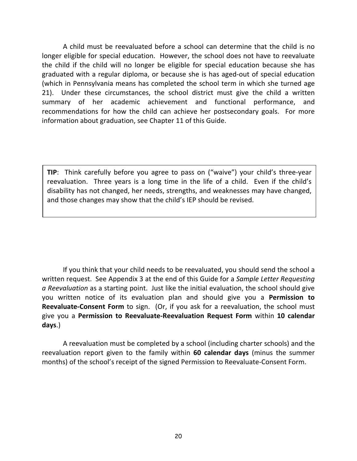A child must be reevaluated before a school can determine that the child is no longer eligible for special education. However, the school does not have to reevaluate the child if the child will no longer be eligible for special education because she has graduated with a regular diploma, or because she is has aged-out of special education (which in Pennsylvania means has completed the school term in which she turned age 21). Under these circumstances, the school district must give the child a written summary of her academic achievement and functional performance, and recommendations for how the child can achieve her postsecondary goals. For more information about graduation, see Chapter 11 of this Guide.

**TIP**: Think carefully before you agree to pass on ("waive") your child's three-year reevaluation. Three years is a long time in the life of a child. Even if the child's disability has not changed, her needs, strengths, and weaknesses may have changed, and those changes may show that the child's IEP should be revised.

If you think that your child needs to be reevaluated, you should send the school a written request. See Appendix 3 at the end of this Guide for a *Sample Letter Requesting a Reevaluation* as a starting point. Just like the initial evaluation, the school should give you written notice of its evaluation plan and should give you a **Permission to Reevaluate-Consent Form** to sign. (Or, if you ask for a reevaluation, the school must give you a **Permission to Reevaluate-Reevaluation Request Form** within **10 calendar days**.)

A reevaluation must be completed by a school (including charter schools) and the reevaluation report given to the family within **60 calendar days** (minus the summer months) of the school's receipt of the signed Permission to Reevaluate-Consent Form.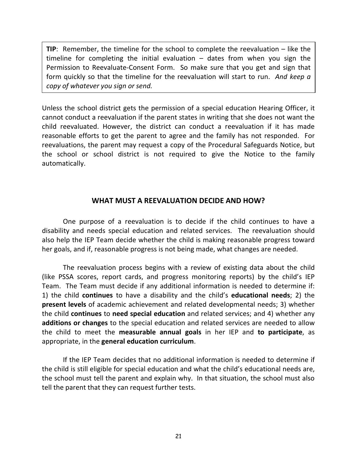**TIP**: Remember, the timeline for the school to complete the reevaluation – like the timeline for completing the initial evaluation – dates from when you sign the Permission to Reevaluate-Consent Form. So make sure that you get and sign that form quickly so that the timeline for the reevaluation will start to run. *And keep a copy of whatever you sign or send.*

Unless the school district gets the permission of a special education Hearing Officer, it cannot conduct a reevaluation if the parent states in writing that she does not want the child reevaluated. However, the district can conduct a reevaluation if it has made reasonable efforts to get the parent to agree and the family has not responded. For reevaluations, the parent may request a copy of the Procedural Safeguards Notice, but the school or school district is not required to give the Notice to the family automatically.

### **WHAT MUST A REEVALUATION DECIDE AND HOW?**

One purpose of a reevaluation is to decide if the child continues to have a disability and needs special education and related services. The reevaluation should also help the IEP Team decide whether the child is making reasonable progress toward her goals, and if, reasonable progress is not being made, what changes are needed.

The reevaluation process begins with a review of existing data about the child (like PSSA scores, report cards, and progress monitoring reports) by the child's IEP Team. The Team must decide if any additional information is needed to determine if: 1) the child **continues** to have a disability and the child's **educational needs**; 2) the **present levels** of academic achievement and related developmental needs; 3) whether the child **continues** to **need special education** and related services; and 4) whether any **additions or changes** to the special education and related services are needed to allow the child to meet the **measurable annual goals** in her IEP and **to participate**, as appropriate, in the **general education curriculum**.

If the IEP Team decides that no additional information is needed to determine if the child is still eligible for special education and what the child's educational needs are, the school must tell the parent and explain why. In that situation, the school must also tell the parent that they can request further tests.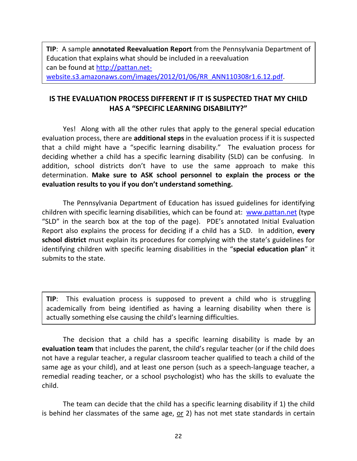**TIP**: A sample **annotated Reevaluation Report** from the Pennsylvania Department of Education that explains what should be included in a reevaluation can be found at [http://pattan.net](http://pattan.net-website.s3.amazonaws.com/images/2012/01/06/RR_ANN110308r1.6.12.pdf)[website.s3.amazonaws.com/images/2012/01/06/RR\\_ANN110308r1.6.12.pdf.](http://pattan.net-website.s3.amazonaws.com/images/2012/01/06/RR_ANN110308r1.6.12.pdf)

### **IS THE EVALUATION PROCESS DIFFERENT IF IT IS SUSPECTED THAT MY CHILD HAS A "SPECIFIC LEARNING DISABILITY?"**

Yes! Along with all the other rules that apply to the general special education evaluation process, there are **additional steps** in the evaluation process if it is suspected that a child might have a "specific learning disability." The evaluation process for deciding whether a child has a specific learning disability (SLD) can be confusing. In addition, school districts don't have to use the same approach to make this determination. **Make sure to ASK school personnel to explain the process or the evaluation results to you if you don't understand something.**

The Pennsylvania Department of Education has issued guidelines for identifying children with specific learning disabilities, which can be found at: [www.pattan.net](http://www.pattan.net/) (type "SLD" in the search box at the top of the page). PDE's annotated Initial Evaluation Report also explains the process for deciding if a child has a SLD. In addition, **every school district** must explain its procedures for complying with the state's guidelines for identifying children with specific learning disabilities in the "**special education plan**" it submits to the state.

**TIP**: This evaluation process is supposed to prevent a child who is struggling academically from being identified as having a learning disability when there is actually something else causing the child's learning difficulties.

The decision that a child has a specific learning disability is made by an **evaluation team** that includes the parent, the child's regular teacher (or if the child does not have a regular teacher, a regular classroom teacher qualified to teach a child of the same age as your child), and at least one person (such as a speech-language teacher, a remedial reading teacher, or a school psychologist) who has the skills to evaluate the child.

The team can decide that the child has a specific learning disability if 1) the child is behind her classmates of the same age, or 2) has not met state standards in certain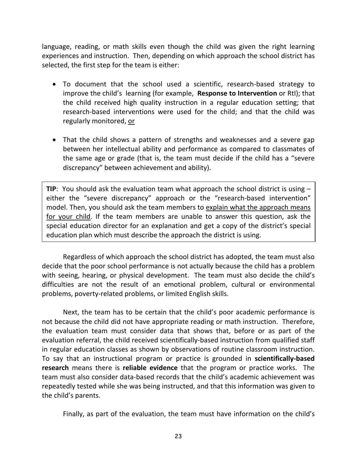language, reading, or math skills even though the child was given the right learning experiences and instruction. Then, depending on which approach the school district has selected, the first step for the team is either:

- To document that the school used a scientific, research-based strategy to improve the child's learning (for example, **Response to Intervention** or RtI); that the child received high quality instruction in a regular education setting; that research-based interventions were used for the child; and that the child was regularly monitored, or
- That the child shows a pattern of strengths and weaknesses and a severe gap between her intellectual ability and performance as compared to classmates of the same age or grade (that is, the team must decide if the child has a "severe discrepancy" between achievement and ability).

**TIP**: You should ask the evaluation team what approach the school district is using – either the "severe discrepancy" approach or the "research-based intervention" model. Then, you should ask the team members to explain what the approach means for your child. If the team members are unable to answer this question, ask the special education director for an explanation and get a copy of the district's special education plan which must describe the approach the district is using.

Regardless of which approach the school district has adopted, the team must also decide that the poor school performance is not actually because the child has a problem with seeing, hearing, or physical development. The team must also decide the child's difficulties are not the result of an emotional problem, cultural or environmental problems, poverty-related problems, or limited English skills.

Next, the team has to be certain that the child's poor academic performance is not because the child did not have appropriate reading or math instruction. Therefore, the evaluation team must consider data that shows that, before or as part of the evaluation referral, the child received scientifically-based instruction from qualified staff in regular education classes as shown by observations of routine classroom instruction. To say that an instructional program or practice is grounded in **scientifically-based research** means there is **reliable evidence** that the program or practice works. The team must also consider data-based records that the child's academic achievement was repeatedly tested while she was being instructed, and that this information was given to the child's parents.

Finally, as part of the evaluation, the team must have information on the child's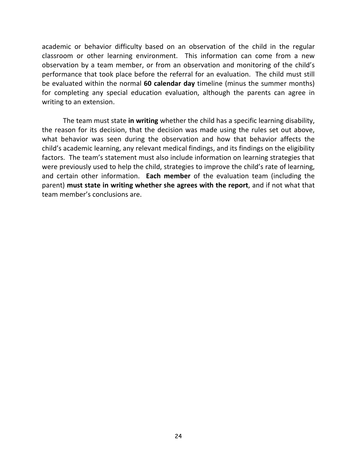academic or behavior difficulty based on an observation of the child in the regular classroom or other learning environment. This information can come from a new observation by a team member, or from an observation and monitoring of the child's performance that took place before the referral for an evaluation. The child must still be evaluated within the normal **60 calendar day** timeline (minus the summer months) for completing any special education evaluation, although the parents can agree in writing to an extension.

The team must state **in writing** whether the child has a specific learning disability, the reason for its decision, that the decision was made using the rules set out above, what behavior was seen during the observation and how that behavior affects the child's academic learning, any relevant medical findings, and its findings on the eligibility factors. The team's statement must also include information on learning strategies that were previously used to help the child, strategies to improve the child's rate of learning, and certain other information. **Each member** of the evaluation team (including the parent) **must state in writing whether she agrees with the report**, and if not what that team member's conclusions are.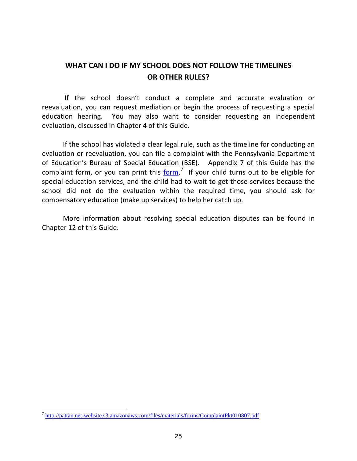### **WHAT CAN I DO IF MY SCHOOL DOES NOT FOLLOW THE TIMELINES OR OTHER RULES?**

If the school doesn't conduct a complete and accurate evaluation or reevaluation, you can request mediation or begin the process of requesting a special education hearing. You may also want to consider requesting an independent evaluation, discussed in Chapter 4 of this Guide.

If the school has violated a clear legal rule, such as the timeline for conducting an evaluation or reevaluation, you can file a complaint with the Pennsylvania Department of Education's Bureau of Special Education (BSE). Appendix 7 of this Guide has the complaint form, or you can print this  $\underline{\mathsf{form}}$ .<sup>[7](#page-32-0)</sup> If your child turns out to be eligible for special education services, and the child had to wait to get those services because the school did not do the evaluation within the required time, you should ask for compensatory education (make up services) to help her catch up.

More information about resolving special education disputes can be found in Chapter 12 of this Guide.

<span id="page-32-0"></span> $^7$  <http://pattan.net-website.s3.amazonaws.com/files/materials/forms/ComplaintPkt010807.pdf>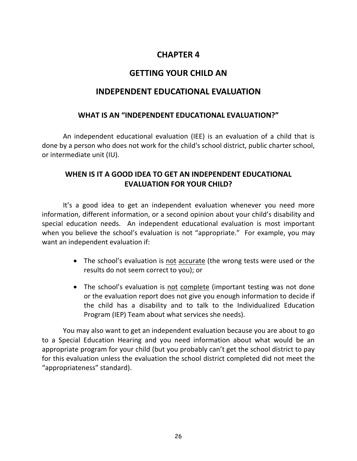### **CHAPTER 4**

### **GETTING YOUR CHILD AN**

### <span id="page-33-0"></span>**INDEPENDENT EDUCATIONAL EVALUATION**

### **WHAT IS AN "INDEPENDENT EDUCATIONAL EVALUATION?"**

An independent educational evaluation (IEE) is an evaluation of a child that is done by a person who does not work for the child's school district, public charter school, or intermediate unit (IU).

### **WHEN IS IT A GOOD IDEA TO GET AN INDEPENDENT EDUCATIONAL EVALUATION FOR YOUR CHILD?**

It's a good idea to get an independent evaluation whenever you need more information, different information, or a second opinion about your child's disability and special education needs. An independent educational evaluation is most important when you believe the school's evaluation is not "appropriate." For example, you may want an independent evaluation if:

- The school's evaluation is not accurate (the wrong tests were used or the results do not seem correct to you); or
- The school's evaluation is not complete (important testing was not done or the evaluation report does not give you enough information to decide if the child has a disability and to talk to the Individualized Education Program (IEP) Team about what services she needs).

You may also want to get an independent evaluation because you are about to go to a Special Education Hearing and you need information about what would be an appropriate program for your child (but you probably can't get the school district to pay for this evaluation unless the evaluation the school district completed did not meet the "appropriateness" standard).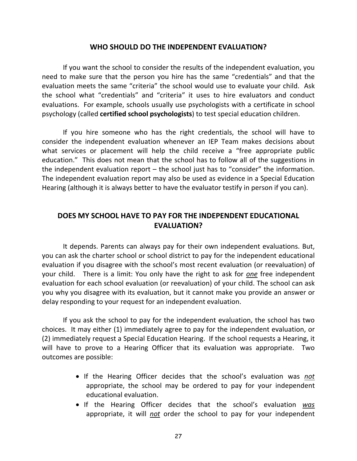#### **WHO SHOULD DO THE INDEPENDENT EVALUATION?**

If you want the school to consider the results of the independent evaluation, you need to make sure that the person you hire has the same "credentials" and that the evaluation meets the same "criteria" the school would use to evaluate your child. Ask the school what "credentials" and "criteria" it uses to hire evaluators and conduct evaluations. For example, schools usually use psychologists with a certificate in school psychology (called **certified school psychologists**) to test special education children.

If you hire someone who has the right credentials, the school will have to consider the independent evaluation whenever an IEP Team makes decisions about what services or placement will help the child receive a "free appropriate public education." This does not mean that the school has to follow all of the suggestions in the independent evaluation report – the school just has to "consider" the information. The independent evaluation report may also be used as evidence in a Special Education Hearing (although it is always better to have the evaluator testify in person if you can).

### **DOES MY SCHOOL HAVE TO PAY FOR THE INDEPENDENT EDUCATIONAL EVALUATION?**

It depends. Parents can always pay for their own independent evaluations. But, you can ask the charter school or school district to pay for the independent educational evaluation if you disagree with the school's most recent evaluation (or reevaluation) of your child. There is a limit: You only have the right to ask for *one* free independent evaluation for each school evaluation (or reevaluation) of your child. The school can ask you why you disagree with its evaluation, but it cannot make you provide an answer or delay responding to your request for an independent evaluation.

If you ask the school to pay for the independent evaluation, the school has two choices. It may either (1) immediately agree to pay for the independent evaluation, or (2) immediately request a Special Education Hearing. If the school requests a Hearing, it will have to prove to a Hearing Officer that its evaluation was appropriate. Two outcomes are possible:

- If the Hearing Officer decides that the school's evaluation was *not* appropriate, the school may be ordered to pay for your independent educational evaluation.
- If the Hearing Officer decides that the school's evaluation *was* appropriate, it will *not* order the school to pay for your independent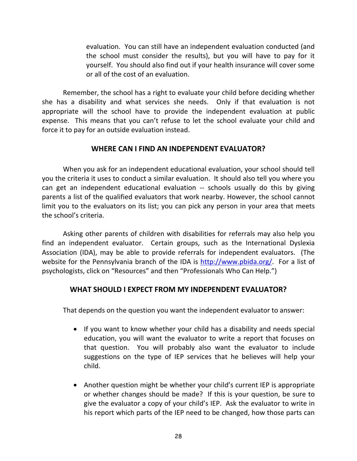evaluation. You can still have an independent evaluation conducted (and the school must consider the results), but you will have to pay for it yourself. You should also find out if your health insurance will cover some or all of the cost of an evaluation.

Remember, the school has a right to evaluate your child before deciding whether she has a disability and what services she needs. Only if that evaluation is not appropriate will the school have to provide the independent evaluation at public expense. This means that you can't refuse to let the school evaluate your child and force it to pay for an outside evaluation instead.

### **WHERE CAN I FIND AN INDEPENDENT EVALUATOR?**

When you ask for an independent educational evaluation, your school should tell you the criteria it uses to conduct a similar evaluation. It should also tell you where you can get an independent educational evaluation -- schools usually do this by giving parents a list of the qualified evaluators that work nearby. However, the school cannot limit you to the evaluators on its list; you can pick any person in your area that meets the school's criteria.

Asking other parents of children with disabilities for referrals may also help you find an independent evaluator. Certain groups, such as the International Dyslexia Association (IDA), may be able to provide referrals for independent evaluators. (The website for the Pennsylvania branch of the IDA is [http://www.pbida.org/.](http://www.pbida.org/) For a list of psychologists, click on "Resources" and then "Professionals Who Can Help.")

### **WHAT SHOULD I EXPECT FROM MY INDEPENDENT EVALUATOR?**

That depends on the question you want the independent evaluator to answer:

- If you want to know whether your child has a disability and needs special education, you will want the evaluator to write a report that focuses on that question. You will probably also want the evaluator to include suggestions on the type of IEP services that he believes will help your child.
- Another question might be whether your child's current IEP is appropriate or whether changes should be made? If this is your question, be sure to give the evaluator a copy of your child's IEP. Ask the evaluator to write in his report which parts of the IEP need to be changed, how those parts can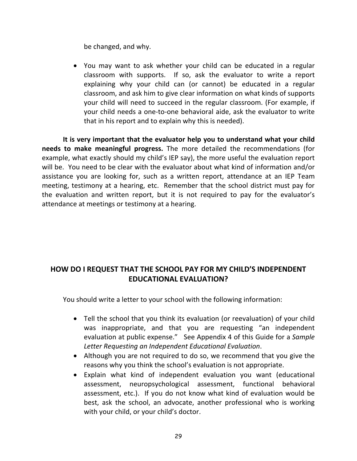be changed, and why.

• You may want to ask whether your child can be educated in a regular classroom with supports. If so, ask the evaluator to write a report explaining why your child can (or cannot) be educated in a regular classroom, and ask him to give clear information on what kinds of supports your child will need to succeed in the regular classroom. (For example, if your child needs a one-to-one behavioral aide, ask the evaluator to write that in his report and to explain why this is needed).

**It is very important that the evaluator help you to understand what your child needs to make meaningful progress.** The more detailed the recommendations (for example, what exactly should my child's IEP say), the more useful the evaluation report will be. You need to be clear with the evaluator about what kind of information and/or assistance you are looking for, such as a written report, attendance at an IEP Team meeting, testimony at a hearing, etc. Remember that the school district must pay for the evaluation and written report, but it is not required to pay for the evaluator's attendance at meetings or testimony at a hearing.

# **HOW DO I REQUEST THAT THE SCHOOL PAY FOR MY CHILD'S INDEPENDENT EDUCATIONAL EVALUATION?**

You should write a letter to your school with the following information:

- Tell the school that you think its evaluation (or reevaluation) of your child was inappropriate, and that you are requesting "an independent evaluation at public expense." See Appendix 4 of this Guide for a *Sample Letter Requesting an Independent Educational Evaluation*.
- Although you are not required to do so, we recommend that you give the reasons why you think the school's evaluation is not appropriate.
- Explain what kind of independent evaluation you want (educational assessment, neuropsychological assessment, functional behavioral assessment, etc.). If you do not know what kind of evaluation would be best, ask the school, an advocate, another professional who is working with your child, or your child's doctor.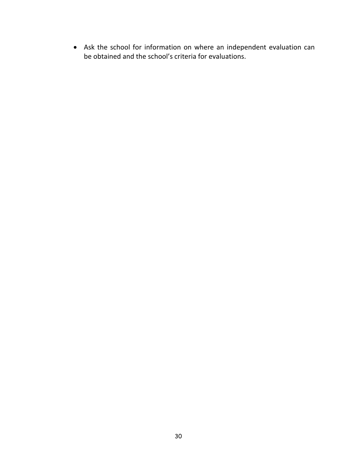• Ask the school for information on where an independent evaluation can be obtained and the school's criteria for evaluations.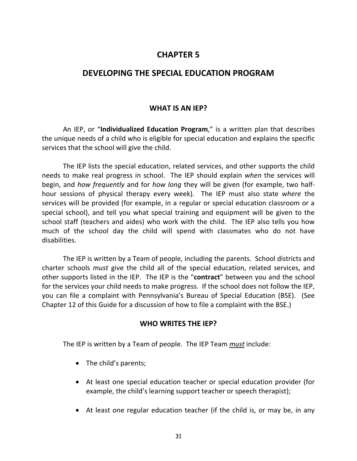# **CHAPTER 5**

# **DEVELOPING THE SPECIAL EDUCATION PROGRAM**

#### **WHAT IS AN IEP?**

An IEP, or "**Individualized Education Program**," is a written plan that describes the unique needs of a child who is eligible for special education and explains the specific services that the school will give the child.

The IEP lists the special education, related services, and other supports the child needs to make real progress in school. The IEP should explain *when* the services will begin, and *how frequently* and for *how long* they will be given (for example, two halfhour sessions of physical therapy every week). The IEP must also state *where* the services will be provided (for example, in a regular or special education classroom or a special school), and tell you what special training and equipment will be given to the school staff (teachers and aides) who work with the child. The IEP also tells you how much of the school day the child will spend with classmates who do not have disabilities.

The IEP is written by a Team of people, including the parents. School districts and charter schools *must* give the child all of the special education, related services, and other supports listed in the IEP. The IEP is the "**contract**" between you and the school for the services your child needs to make progress. If the school does not follow the IEP, you can file a complaint with Pennsylvania's Bureau of Special Education (BSE). (See Chapter 12 of this Guide for a discussion of how to file a complaint with the BSE.)

#### **WHO WRITES THE IEP?**

The IEP is written by a Team of people. The IEP Team *must* include:

- The child's parents;
- At least one special education teacher or special education provider (for example, the child's learning support teacher or speech therapist);
- At least one regular education teacher (if the child is, or may be, in any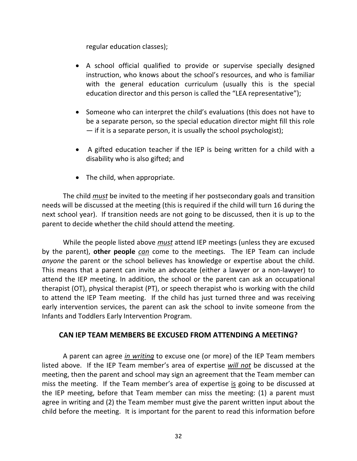regular education classes);

- A school official qualified to provide or supervise specially designed instruction, who knows about the school's resources, and who is familiar with the general education curriculum (usually this is the special education director and this person is called the "LEA representative");
- Someone who can interpret the child's evaluations (this does not have to be a separate person, so the special education director might fill this role — if it is a separate person, it is usually the school psychologist);
- A gifted education teacher if the IEP is being written for a child with a disability who is also gifted; and
- The child, when appropriate.

The child *must* be invited to the meeting if her postsecondary goals and transition needs will be discussed at the meeting (this is required if the child will turn 16 during the next school year). If transition needs are not going to be discussed, then it is up to the parent to decide whether the child should attend the meeting.

While the people listed above *must* attend IEP meetings (unless they are excused by the parent), **other people** *can* come to the meetings. The IEP Team can include *anyone* the parent or the school believes has knowledge or expertise about the child. This means that a parent can invite an advocate (either a lawyer or a non-lawyer) to attend the IEP meeting. In addition, the school or the parent can ask an occupational therapist (OT), physical therapist (PT), or speech therapist who is working with the child to attend the IEP Team meeting. If the child has just turned three and was receiving early intervention services, the parent can ask the school to invite someone from the Infants and Toddlers Early Intervention Program.

### **CAN IEP TEAM MEMBERS BE EXCUSED FROM ATTENDING A MEETING?**

A parent can agree *in writing* to excuse one (or more) of the IEP Team members listed above. If the IEP Team member's area of expertise *will not* be discussed at the meeting, then the parent and school may sign an agreement that the Team member can miss the meeting. If the Team member's area of expertise is going to be discussed at the IEP meeting, before that Team member can miss the meeting: (1) a parent must agree in writing and (2) the Team member must give the parent written input about the child before the meeting. It is important for the parent to read this information before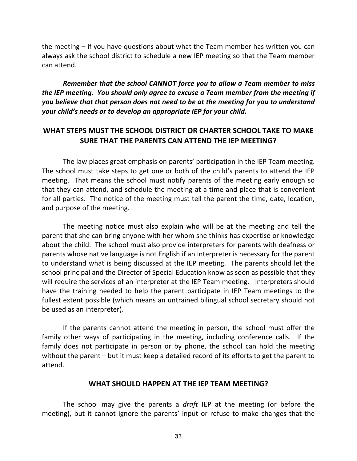the meeting – if you have questions about what the Team member has written you can always ask the school district to schedule a new IEP meeting so that the Team member can attend.

*Remember that the school CANNOT force you to allow a Team member to miss the IEP meeting. You should only agree to excuse a Team member from the meeting if you believe that that person does not need to be at the meeting for you to understand your child's needs or to develop an appropriate IEP for your child.*

# **WHAT STEPS MUST THE SCHOOL DISTRICT OR CHARTER SCHOOL TAKE TO MAKE SURE THAT THE PARENTS CAN ATTEND THE IEP MEETING?**

The law places great emphasis on parents' participation in the IEP Team meeting. The school must take steps to get one or both of the child's parents to attend the IEP meeting. That means the school must notify parents of the meeting early enough so that they can attend, and schedule the meeting at a time and place that is convenient for all parties. The notice of the meeting must tell the parent the time, date, location, and purpose of the meeting.

The meeting notice must also explain who will be at the meeting and tell the parent that she can bring anyone with her whom she thinks has expertise or knowledge about the child. The school must also provide interpreters for parents with deafness or parents whose native language is not English if an interpreter is necessary for the parent to understand what is being discussed at the IEP meeting. The parents should let the school principal and the Director of Special Education know as soon as possible that they will require the services of an interpreter at the IEP Team meeting. Interpreters should have the training needed to help the parent participate in IEP Team meetings to the fullest extent possible (which means an untrained bilingual school secretary should not be used as an interpreter).

If the parents cannot attend the meeting in person, the school must offer the family other ways of participating in the meeting, including conference calls. If the family does not participate in person or by phone, the school can hold the meeting without the parent – but it must keep a detailed record of its efforts to get the parent to attend.

#### **WHAT SHOULD HAPPEN AT THE IEP TEAM MEETING?**

The school may give the parents a *draft* IEP at the meeting (or before the meeting), but it cannot ignore the parents' input or refuse to make changes that the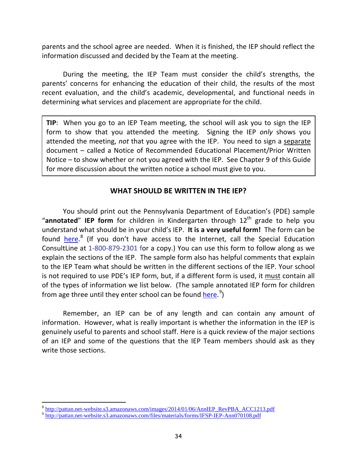parents and the school agree are needed. When it is finished, the IEP should reflect the information discussed and decided by the Team at the meeting.

During the meeting, the IEP Team must consider the child's strengths, the parents' concerns for enhancing the education of their child, the results of the most recent evaluation, and the child's academic, developmental, and functional needs in determining what services and placement are appropriate for the child.

**TIP**: When you go to an IEP Team meeting, the school will ask you to sign the IEP form to show that you attended the meeting. Signing the IEP *only* shows you attended the meeting, *not* that you agree with the IEP. You need to sign a separate document – called a Notice of Recommended Educational Placement/Prior Written Notice – to show whether or not you agreed with the IEP. See Chapter 9 of this Guide for more discussion about the written notice a school must give to you.

### **WHAT SHOULD BE WRITTEN IN THE IEP?**

You should print out the Pennsylvania Department of Education's (PDE) sample "**annotated**" **IEP form** for children in Kindergarten through 12<sup>th</sup> grade to help you understand what should be in your child's IEP. **It is a very useful form!** The form can be found *[here.](http://pattan.net-website.s3.amazonaws.com/images/2014/01/06/AnnIEP_RevPBA_ACC1213.pdf)*<sup>[8](#page-41-0)</sup> (If you don't have access to the Internet, call the Special Education ConsultLine at 1-800-879-2301 for a copy.) You can use this form to follow along as we explain the sections of the IEP. The sample form also has helpful comments that explain to the IEP Team what should be written in the different sections of the IEP. Your school is not required to use PDE's IEP form, but, if a different form is used, it must contain all of the types of information we list below. (The sample annotated IEP form for children from age three until they enter school can be found <u>here</u>.<sup>[9](#page-41-1)</sup>)

Remember, an IEP can be of any length and can contain any amount of information. However, what is really important is whether the information in the IEP is genuinely useful to parents and school staff. Here is a quick review of the major sections of an IEP and some of the questions that the IEP Team members should ask as they write those sections.

<sup>&</sup>lt;sup>8</sup> [http://pattan.net-website.s3.amazonaws.com/images/2014/01/06/AnnIEP\\_RevPBA\\_ACC1213.pdf](http://pattan.net-website.s3.amazonaws.com/images/2014/01/06/AnnIEP_RevPBA_ACC1213.pdf)<br><sup>9</sup> <http://pattan.net-website.s3.amazonaws.com/files/materials/forms/IFSP-IEP-Ann070108.pdf>  $\overline{a}$ 

<span id="page-41-1"></span><span id="page-41-0"></span>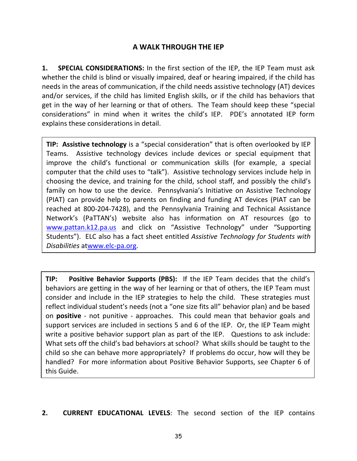# **A WALK THROUGH THE IEP**

**1. SPECIAL CONSIDERATIONS:** In the first section of the IEP, the IEP Team must ask whether the child is blind or visually impaired, deaf or hearing impaired, if the child has needs in the areas of communication, if the child needs assistive technology (AT) devices and/or services, if the child has limited English skills, or if the child has behaviors that get in the way of her learning or that of others. The Team should keep these "special considerations" in mind when it writes the child's IEP. PDE's annotated IEP form explains these considerations in detail.

**TIP: Assistive technology** is a "special consideration" that is often overlooked by IEP Teams. Assistive technology devices include devices or special equipment that improve the child's functional or communication skills (for example, a special computer that the child uses to "talk"). Assistive technology services include help in choosing the device, and training for the child, school staff, and possibly the child's family on how to use the device. Pennsylvania's Initiative on Assistive Technology (PIAT) can provide help to parents on finding and funding AT devices (PIAT can be reached at 800-204-7428), and the Pennsylvania Training and Technical Assistance Network's (PaTTAN's) website also has information on AT resources (go to [www.pattan.k12.pa.us](http://www.pattan.k12.pa.us/) and click on "Assistive Technology" under "Supporting Students"). ELC also has a fact sheet entitled *Assistive Technology for Students with Disabilities* a[twww.elc-pa.org.](http://www.elc-pa.org/)

**TIP:****Positive Behavior Supports (PBS):** If the IEP Team decides that the child's behaviors are getting in the way of her learning or that of others, the IEP Team must consider and include in the IEP strategies to help the child. These strategies must reflect individual student's needs (not a "one size fits all" behavior plan) and be based on **positive** - not punitive - approaches. This could mean that behavior goals and support services are included in sections 5 and 6 of the IEP. Or, the IEP Team might write a positive behavior support plan as part of the IEP. Questions to ask include: What sets off the child's bad behaviors at school? What skills should be taught to the child so she can behave more appropriately? If problems do occur, how will they be handled? For more information about Positive Behavior Supports, see Chapter 6 of this Guide.

**2. CURRENT EDUCATIONAL LEVELS**: The second section of the IEP contains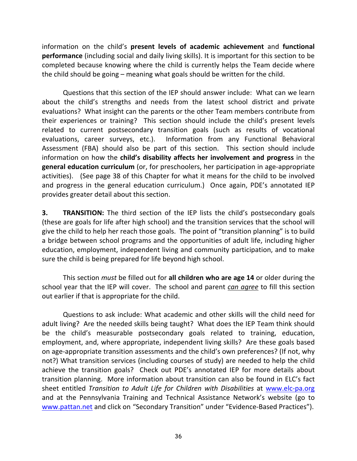information on the child's **present levels of academic achievement** and **functional performance** (including social and daily living skills). It is important for this section to be completed because knowing where the child is currently helps the Team decide where the child should be going – meaning what goals should be written for the child.

Questions that this section of the IEP should answer include: What can we learn about the child's strengths and needs from the latest school district and private evaluations? What insight can the parents or the other Team members contribute from their experiences or training? This section should include the child's present levels related to current postsecondary transition goals (such as results of vocational evaluations, career surveys, etc.). Information from any Functional Behavioral Assessment (FBA) should also be part of this section. This section should include information on how the **child's disability affects her involvement and progress** in the **general education curriculum** (or, for preschoolers, her participation in age-appropriate activities). (See page 38 of this Chapter for what it means for the child to be involved and progress in the general education curriculum.) Once again, PDE's annotated IEP provides greater detail about this section.

**3. TRANSITION:** The third section of the IEP lists the child's postsecondary goals (these are goals for life after high school) and the transition services that the school will give the child to help her reach those goals. The point of "transition planning" is to build a bridge between school programs and the opportunities of adult life, including higher education, employment, independent living and community participation, and to make sure the child is being prepared for life beyond high school.

This section *must* be filled out for **all children who are age 14** or older during the school year that the IEP will cover. The school and parent *can agree* to fill this section out earlier if that is appropriate for the child.

Questions to ask include: What academic and other skills will the child need for adult living? Are the needed skills being taught? What does the IEP Team think should be the child's measurable postsecondary goals related to training, education, employment, and, where appropriate, independent living skills? Are these goals based on age-appropriate transition assessments and the child's own preferences? (If not, why not?) What transition services (including courses of study) are needed to help the child achieve the transition goals?Check out PDE's annotated IEP for more details about transition planning. More information about transition can also be found in ELC's fact sheet entitled *Transition to Adult Life for Children with Disabilities* at [www.elc-pa.org](http://www.elc-pa.org/) and at the Pennsylvania Training and Technical Assistance Network's website (go to [www.pattan.net](http://www.pattan.net/) and click on "Secondary Transition" under "Evidence-Based Practices").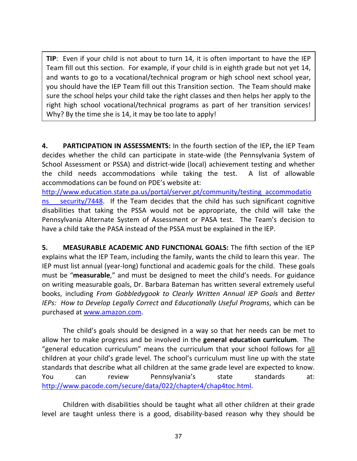**TIP**: Even if your child is not about to turn 14, it is often important to have the IEP Team fill out this section. For example, if your child is in eighth grade but not yet 14, and wants to go to a vocational/technical program or high school next school year, you should have the IEP Team fill out this Transition section. The Team should make sure the school helps your child take the right classes and then helps her apply to the right high school vocational/technical programs as part of her transition services! Why? By the time she is 14, it may be too late to apply!

**4. PARTICIPATION IN ASSESSMENTS:** In the fourth section of the IEP**,** the IEP Team decides whether the child can participate in state-wide (the Pennsylvania System of School Assessment or PSSA) and district-wide (local) achievement testing and whether the child needs accommodations while taking the test. A list of allowable accommodations can be found on PDE's website at:

[http://www.education.state.pa.us/portal/server.pt/community/testing\\_accommodatio](http://www.education.state.pa.us/portal/server.pt/community/testing_accommodations___security/7448) ns security/7448. If the Team decides that the child has such significant cognitive disabilities that taking the PSSA would not be appropriate, the child will take the Pennsylvania Alternate System of Assessment or PASA test. The Team's decision to have a child take the PASA instead of the PSSA must be explained in the IEP.

**5. MEASURABLE ACADEMIC AND FUNCTIONAL GOALS:** The fifth section of the IEP explains what the IEP Team, including the family, wants the child to learn this year. The IEP must list annual (year-long) functional and academic goals for the child. These goals must be "**measurable**," and must be designed to meet the child's needs. For guidance on writing measurable goals, Dr. Barbara Bateman has written several extremely useful books, including *From Gobbledygook to Clearly Written Annual IEP Goals* and *Better IEPs: How to Develop Legally Correct and Educationally Useful Programs*, which can be purchased at [www.amazon.com.](http://www.amazon.com/)

The child's goals should be designed in a way so that her needs can be met to allow her to make progress and be involved in the **general education curriculum**. The "general education curriculum" means the curriculum that your school follows for all children at your child's grade level. The school's curriculum must line up with the state standards that describe what all children at the same grade level are expected to know. You can review Pennsylvania's state standards at: [http://www.pacode.com/secure/data/022/chapter4/chap4toc.html.](http://www.pacode.com/secure/data/022/chapter4/chap4toc.html)

Children with disabilities should be taught what all other children at their grade level are taught unless there is a good, disability-based reason why they should be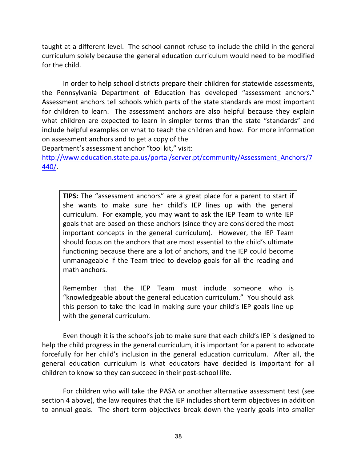taught at a different level. The school cannot refuse to include the child in the general curriculum solely because the general education curriculum would need to be modified for the child.

In order to help school districts prepare their children for statewide assessments, the Pennsylvania Department of Education has developed "assessment anchors." Assessment anchors tell schools which parts of the state standards are most important for children to learn. The assessment anchors are also helpful because they explain what children are expected to learn in simpler terms than the state "standards" and include helpful examples on what to teach the children and how. For more information on assessment anchors and to get a copy of the

Department's assessment anchor "tool kit," visit:

[http://www.education.state.pa.us/portal/server.pt/community/Assessment\\_Anchors/7](http://www.education.state.pa.us/portal/server.pt/community/Assessment_Anchors/7440/) [440/.](http://www.education.state.pa.us/portal/server.pt/community/Assessment_Anchors/7440/)

**TIPS:** The "assessment anchors" are a great place for a parent to start if she wants to make sure her child's IEP lines up with the general curriculum. For example, you may want to ask the IEP Team to write IEP goals that are based on these anchors (since they are considered the most important concepts in the general curriculum). However, the IEP Team should focus on the anchors that are most essential to the child's ultimate functioning because there are a lot of anchors, and the IEP could become unmanageable if the Team tried to develop goals for all the reading and math anchors.

Remember that the IEP Team must include someone who is "knowledgeable about the general education curriculum." You should ask this person to take the lead in making sure your child's IEP goals line up with the general curriculum.

Even though it is the school's job to make sure that each child's IEP is designed to help the child progress in the general curriculum, it is important for a parent to advocate forcefully for her child's inclusion in the general education curriculum. After all, the general education curriculum is what educators have decided is important for all children to know so they can succeed in their post-school life.

For children who will take the PASA or another alternative assessment test (see section 4 above), the law requires that the IEP includes short term objectives in addition to annual goals. The short term objectives break down the yearly goals into smaller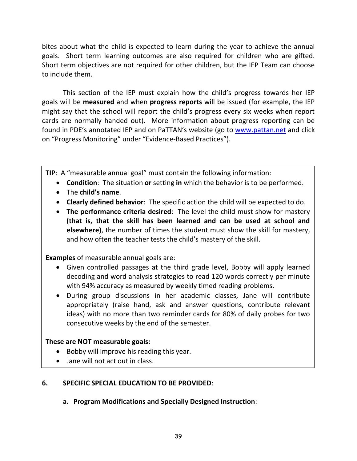bites about what the child is expected to learn during the year to achieve the annual goals. Short term learning outcomes are also required for children who are gifted. Short term objectives are not required for other children, but the IEP Team can choose to include them.

This section of the IEP must explain how the child's progress towards her IEP goals will be **measured** and when **progress reports** will be issued (for example, the IEP might say that the school will report the child's progress every six weeks when report cards are normally handed out). More information about progress reporting can be found in PDE's annotated IEP and on PaTTAN's website (go to [www.pattan.net](http://www.pattan.net/) and click on "Progress Monitoring" under "Evidence-Based Practices").

**TIP**: A "measurable annual goal" must contain the following information:

- **Condition**: The situation **or** setting **in** which the behavior is to be performed.
- The **child's name**.
- **Clearly defined behavior**: The specific action the child will be expected to do.
- **The performance criteria desired**: The level the child must show for mastery **(that is, that the skill has been learned and can be used at school and elsewhere)**, the number of times the student must show the skill for mastery, and how often the teacher tests the child's mastery of the skill.

**Examples** of measurable annual goals are:

- Given controlled passages at the third grade level, Bobby will apply learned decoding and word analysis strategies to read 120 words correctly per minute with 94% accuracy as measured by weekly timed reading problems.
- During group discussions in her academic classes, Jane will contribute appropriately (raise hand, ask and answer questions, contribute relevant ideas) with no more than two reminder cards for 80% of daily probes for two consecutive weeks by the end of the semester.

# **These are NOT measurable goals:**

- Bobby will improve his reading this year.
- Jane will not act out in class.

# **6. SPECIFIC SPECIAL EDUCATION TO BE PROVIDED**:

**a. Program Modifications and Specially Designed Instruction**: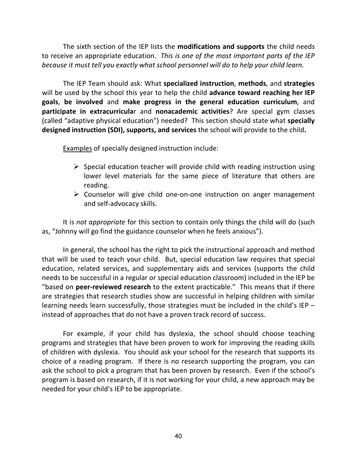The sixth section of the IEP lists the **modifications and supports** the child needs to receive an appropriate education. *This is one of the most important parts of the IEP because it must tell you exactly what school personnel will do to help your child learn.*

The IEP Team should ask: What **specialized instruction**, **methods**, and **strategies** will be used by the school this year to help the child **advance toward reaching her IEP goals**, **be involved** and **make progress in the general education curriculum**, and **participate in extracurricula**r and **nonacademic activities**? Are special gym classes (called "adaptive physical education") needed? This section should state what **specially designed instruction (SDI), supports, and services** the school will provide to the child**.**

Examples of specially designed instruction include:

- $\triangleright$  Special education teacher will provide child with reading instruction using lower level materials for the same piece of literature that others are reading.
- $\triangleright$  Counselor will give child one-on-one instruction on anger management and self-advocacy skills.

It is *not appropriate* for this section to contain only things the child will do (such as, "Johnny will go find the guidance counselor when he feels anxious").

In general, the school has the right to pick the instructional approach and method that will be used to teach your child. But, special education law requires that special education, related services, and supplementary aids and services (supports the child needs to be successful in a regular or special education classroom) included in the IEP be "based on **peer-reviewed research** to the extent practicable." This means that if there are strategies that research studies show are successful in helping children with similar learning needs learn successfully, those strategies must be included in the child's IEP – instead of approaches that do not have a proven track record of success.

For example, if your child has dyslexia, the school should choose teaching programs and strategies that have been proven to work for improving the reading skills of children with dyslexia. You should ask your school for the research that supports its choice of a reading program. If there is no research supporting the program, you can ask the school to pick a program that has been proven by research. Even if the school's program is based on research, if it is not working for your child, a new approach may be needed for your child's IEP to be appropriate.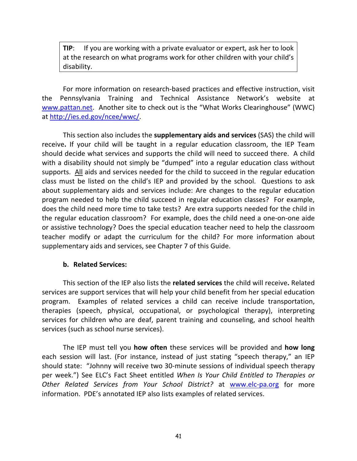**TIP:** If you are working with a private evaluator or expert, ask her to look at the research on what programs work for other children with your child's disability.

For more information on research-based practices and effective instruction, visit the Pennsylvania Training and Technical Assistance Network's website at [www.pattan.net.](http://www.pattan.net/) Another site to check out is the "What Works Clearinghouse" (WWC) at [http://ies.ed.gov/ncee/wwc/.](http://ies.ed.gov/ncee/wwc/)

This section also includes the **supplementary aids and services** (SAS) the child will receive**.** If your child will be taught in a regular education classroom, the IEP Team should decide what services and supports the child will need to succeed there. A child with a disability should not simply be "dumped" into a regular education class without supports. All aids and services needed for the child to succeed in the regular education class must be listed on the child's IEP and provided by the school. Questions to ask about supplementary aids and services include: Are changes to the regular education program needed to help the child succeed in regular education classes? For example, does the child need more time to take tests? Are extra supports needed for the child in the regular education classroom? For example, does the child need a one-on-one aide or assistive technology? Does the special education teacher need to help the classroom teacher modify or adapt the curriculum for the child? For more information about supplementary aids and services, see Chapter 7 of this Guide.

#### **b. Related Services:**

This section of the IEP also lists the **related services** the child will receive**.** Related services are support services that will help your child benefit from her special education program. Examples of related services a child can receive include transportation, therapies (speech, physical, occupational, or psychological therapy), interpreting services for children who are deaf, parent training and counseling, and school health services (such as school nurse services).

The IEP must tell you **how often** these services will be provided and **how long** each session will last. (For instance, instead of just stating "speech therapy," an IEP should state: "Johnny will receive two 30-minute sessions of individual speech therapy per week.") See ELC's Fact Sheet entitled *When Is Your Child Entitled to Therapies or Other Related Services from Your School District?* at [www.elc-pa.org](http://www.elc-pa.org/) for more information. PDE's annotated IEP also lists examples of related services.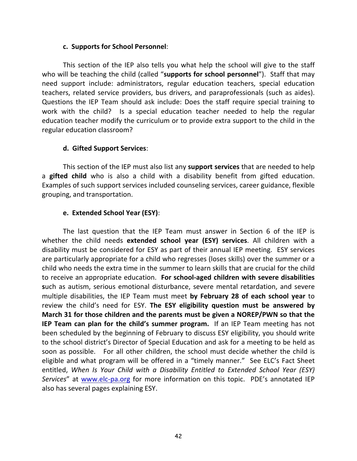#### **c. Supports for School Personnel**:

This section of the IEP also tells you what help the school will give to the staff who will be teaching the child (called "**supports for school personnel**"). Staff that may need support include: administrators, regular education teachers, special education teachers, related service providers, bus drivers, and paraprofessionals (such as aides). Questions the IEP Team should ask include: Does the staff require special training to work with the child? Is a special education teacher needed to help the regular education teacher modify the curriculum or to provide extra support to the child in the regular education classroom?

### **d. Gifted Support Services**:

This section of the IEP must also list any **support services** that are needed to help a **gifted child** who is also a child with a disability benefit from gifted education. Examples of such support services included counseling services, career guidance, flexible grouping, and transportation.

# **e. Extended School Year (ESY)**:

The last question that the IEP Team must answer in Section 6 of the IEP is whether the child needs **extended school year (ESY) services**. All children with a disability must be considered for ESY as part of their annual IEP meeting. ESY services are particularly appropriate for a child who regresses (loses skills) over the summer or a child who needs the extra time in the summer to learn skills that are crucial for the child to receive an appropriate education. **For school-aged children with severe disabilities s**uch as autism, serious emotional disturbance, severe mental retardation, and severe multiple disabilities, the IEP Team must meet **by February 28 of each school year** to review the child's need for ESY. **The ESY eligibility question must be answered by March 31 for those children and the parents must be given a NOREP/PWN so that the IEP Team can plan for the child's summer program.** If an IEP Team meeting has not been scheduled by the beginning of February to discuss ESY eligibility, you should write to the school district's Director of Special Education and ask for a meeting to be held as soon as possible. For all other children, the school must decide whether the child is eligible and what program will be offered in a "timely manner."See ELC's Fact Sheet entitled, *When Is Your Child with a Disability Entitled to Extended School Year (ESY) Services*" at [www.elc-pa.org](http://www.elc-pa.org/) for more information on this topic. PDE's annotated IEP also has several pages explaining ESY.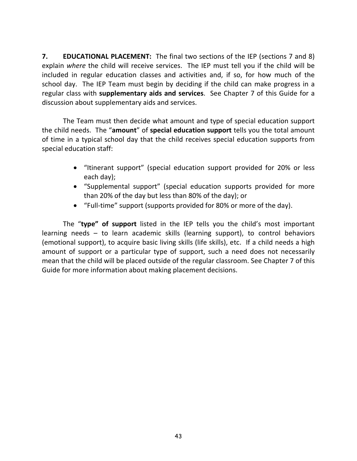**7. EDUCATIONAL PLACEMENT:** The final two sections of the IEP (sections 7 and 8) explain *where* the child will receive services. The IEP must tell you if the child will be included in regular education classes and activities and, if so, for how much of the school day. The IEP Team must begin by deciding if the child can make progress in a regular class with **supplementary aids and services**. See Chapter 7 of this Guide for a discussion about supplementary aids and services.

The Team must then decide what amount and type of special education support the child needs. The "**amount**" of **special education support** tells you the total amount of time in a typical school day that the child receives special education supports from special education staff:

- "Itinerant support" (special education support provided for 20% or less each day);
- "Supplemental support" (special education supports provided for more than 20% of the day but less than 80% of the day); or
- "Full-time" support (supports provided for 80% or more of the day).

The "**type" of support** listed in the IEP tells you the child's most important learning needs – to learn academic skills (learning support), to control behaviors (emotional support), to acquire basic living skills (life skills), etc. If a child needs a high amount of support or a particular type of support, such a need does not necessarily mean that the child will be placed outside of the regular classroom. See Chapter 7 of this Guide for more information about making placement decisions.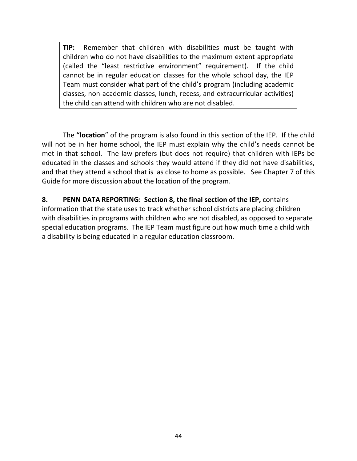**TIP:** Remember that children with disabilities must be taught with children who do not have disabilities to the maximum extent appropriate (called the "least restrictive environment" requirement). If the child cannot be in regular education classes for the whole school day, the IEP Team must consider what part of the child's program (including academic classes, non-academic classes, lunch, recess, and extracurricular activities) the child can attend with children who are not disabled.

The **"location**" of the program is also found in this section of the IEP. If the child will not be in her home school, the IEP must explain why the child's needs cannot be met in that school. The law prefers (but does not require) that children with IEPs be educated in the classes and schools they would attend if they did not have disabilities, and that they attend a school that is as close to home as possible. See Chapter 7 of this Guide for more discussion about the location of the program.

**8. PENN DATA REPORTING: Section 8, the final section of the IEP,** contains information that the state uses to track whether school districts are placing children with disabilities in programs with children who are not disabled, as opposed to separate special education programs. The IEP Team must figure out how much time a child with a disability is being educated in a regular education classroom.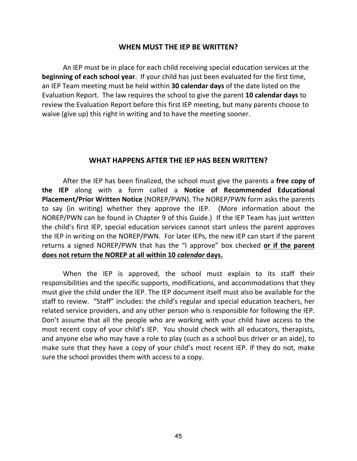#### **WHEN MUST THE IEP BE WRITTEN?**

An IEP must be in place for each child receiving special education services at the **beginning of each school year**. If your child has just been evaluated for the first time, an IEP Team meeting must be held within **30 calendar days** of the date listed on the Evaluation Report. The law requires the school to give the parent **10 calendar days** to review the Evaluation Report before this first IEP meeting, but many parents choose to waive (give up) this right in writing and to have the meeting sooner.

#### **WHAT HAPPENS AFTER THE IEP HAS BEEN WRITTEN?**

After the IEP has been finalized, the school must give the parents a **free copy of the IEP** along with a form called a **Notice of Recommended Educational Placement/Prior Written Notice** (NOREP/PWN). The NOREP/PWN form asks the parents to say (in writing) whether they approve the IEP. (More information about the NOREP/PWN can be found in Chapter 9 of this Guide.) If the IEP Team has just written the child's first IEP, special education services cannot start unless the parent approves the IEP in writing on the NOREP/PWN. For later IEPs, the new IEP can start if the parent returns a signed NOREP/PWN that has the "I approve" box checked **or if the parent does not return the NOREP at all within 10** *calendar* **days.** 

When the IEP is approved, the school must explain to its staff their responsibilities and the specific supports, modifications, and accommodations that they must give the child under the IEP. The IEP document itself must also be available for the staff to review. "Staff" includes: the child's regular and special education teachers, her related service providers, and any other person who is responsible for following the IEP. Don't assume that all the people who are working with your child have access to the most recent copy of your child's IEP. You should check with all educators, therapists, and anyone else who may have a role to play (such as a school bus driver or an aide), to make sure that they have a copy of your child's most recent IEP. If they do not, make sure the school provides them with access to a copy.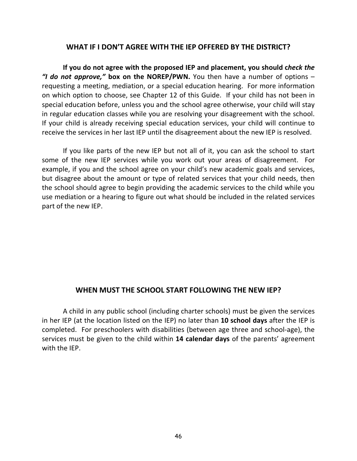#### **WHAT IF I DON'T AGREE WITH THE IEP OFFERED BY THE DISTRICT?**

**If you do not agree with the proposed IEP and placement, you should c***heck the "I do not approve,"* **box on the NOREP/PWN.** You then have a number of options – requesting a meeting, mediation, or a special education hearing. For more information on which option to choose, see Chapter 12 of this Guide. If your child has not been in special education before, unless you and the school agree otherwise, your child will stay in regular education classes while you are resolving your disagreement with the school. If your child is already receiving special education services, your child will continue to receive the services in her last IEP until the disagreement about the new IEP is resolved.

If you like parts of the new IEP but not all of it, you can ask the school to start some of the new IEP services while you work out your areas of disagreement. For example, if you and the school agree on your child's new academic goals and services, but disagree about the amount or type of related services that your child needs, then the school should agree to begin providing the academic services to the child while you use mediation or a hearing to figure out what should be included in the related services part of the new IEP.

### **WHEN MUST THE SCHOOL START FOLLOWING THE NEW IEP?**

A child in any public school (including charter schools) must be given the services in her IEP (at the location listed on the IEP) no later than **10 school days** after the IEP is completed. For preschoolers with disabilities (between age three and school-age), the services must be given to the child within **14 calendar days** of the parents' agreement with the IEP.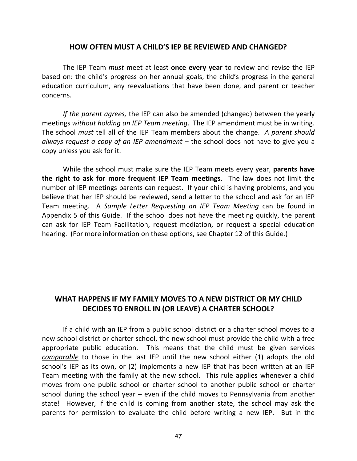#### **HOW OFTEN MUST A CHILD'S IEP BE REVIEWED AND CHANGED?**

The IEP Team *must* meet at least **once every year** to review and revise the IEP based on: the child's progress on her annual goals, the child's progress in the general education curriculum, any reevaluations that have been done, and parent or teacher concerns.

*If the parent agrees,* the IEP can also be amended (changed) between the yearly meetings *without holding an IEP Team meeting*. The IEP amendment must be in writing. The school *must* tell all of the IEP Team members about the change. *A parent should always request a copy of an IEP amendment* – the school does not have to give you a copy unless you ask for it.

While the school must make sure the IEP Team meets every year, **parents have the right to ask for more frequent IEP Team meetings**. The law does not limit the number of IEP meetings parents can request. If your child is having problems, and you believe that her IEP should be reviewed, send a letter to the school and ask for an IEP Team meeting. A *Sample Letter Requesting an IEP Team Meeting* can be found in Appendix 5 of this Guide. If the school does not have the meeting quickly, the parent can ask for IEP Team Facilitation, request mediation, or request a special education hearing. (For more information on these options, see Chapter 12 of this Guide*.*)

# **WHAT HAPPENS IF MY FAMILY MOVES TO A NEW DISTRICT OR MY CHILD DECIDES TO ENROLL IN (OR LEAVE) A CHARTER SCHOOL?**

If a child with an IEP from a public school district or a charter school moves to a new school district or charter school, the new school must provide the child with a free appropriate public education. This means that the child must be given services *comparable* to those in the last IEP until the new school either (1) adopts the old school's IEP as its own, or (2) implements a new IEP that has been written at an IEP Team meeting with the family at the new school. This rule applies whenever a child moves from one public school or charter school to another public school or charter school during the school year – even if the child moves to Pennsylvania from another state! However, if the child is coming from another state, the school may ask the parents for permission to evaluate the child before writing a new IEP. But in the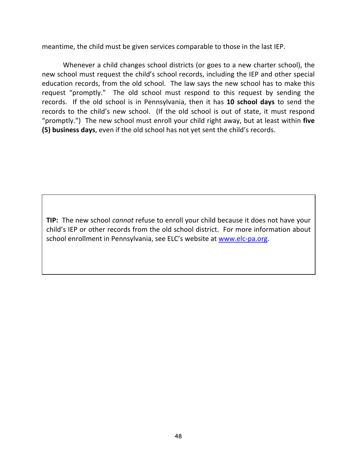meantime, the child must be given services comparable to those in the last IEP.

Whenever a child changes school districts (or goes to a new charter school), the new school must request the child's school records, including the IEP and other special education records, from the old school. The law says the new school has to make this request "promptly." The old school must respond to this request by sending the records. If the old school is in Pennsylvania, then it has **10 school days** to send the records to the child's new school. (If the old school is out of state, it must respond "promptly.") The new school must enroll your child right away, but at least within **five (5) business days**, even if the old school has not yet sent the child's records.

**TIP:** The new school *cannot* refuse to enroll your child because it does not have your child's IEP or other records from the old school district. For more information about school enrollment in Pennsylvania, see ELC's website at [www.elc-pa.org.](http://www.elc-pa.org/)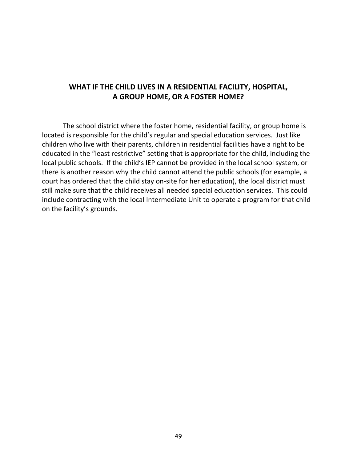# **WHAT IF THE CHILD LIVES IN A RESIDENTIAL FACILITY, HOSPITAL, A GROUP HOME, OR A FOSTER HOME?**

The school district where the foster home, residential facility, or group home is located is responsible for the child's regular and special education services. Just like children who live with their parents, children in residential facilities have a right to be educated in the "least restrictive" setting that is appropriate for the child, including the local public schools. If the child's IEP cannot be provided in the local school system, or there is another reason why the child cannot attend the public schools (for example, a court has ordered that the child stay on-site for her education), the local district must still make sure that the child receives all needed special education services. This could include contracting with the local Intermediate Unit to operate a program for that child on the facility's grounds.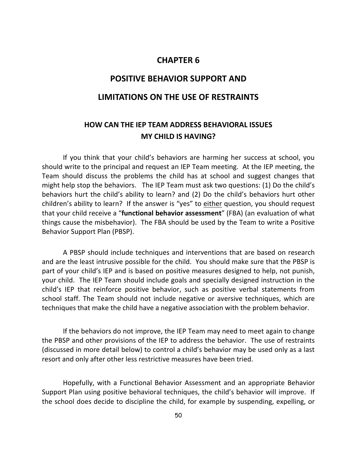### **CHAPTER 6**

### **POSITIVE BEHAVIOR SUPPORT AND**

#### **LIMITATIONS ON THE USE OF RESTRAINTS**

# **HOW CAN THE IEP TEAM ADDRESS BEHAVIORAL ISSUES MY CHILD IS HAVING?**

If you think that your child's behaviors are harming her success at school, you should write to the principal and request an IEP Team meeting. At the IEP meeting, the Team should discuss the problems the child has at school and suggest changes that might help stop the behaviors. The IEP Team must ask two questions: (1) Do the child's behaviors hurt the child's ability to learn? and (2) Do the child's behaviors hurt other children's ability to learn? If the answer is "yes" to either question, you should request that your child receive a "**functional behavior assessment**" (FBA) (an evaluation of what things cause the misbehavior). The FBA should be used by the Team to write a Positive Behavior Support Plan (PBSP).

A PBSP should include techniques and interventions that are based on research and are the least intrusive possible for the child. You should make sure that the PBSP is part of your child's IEP and is based on positive measures designed to help, not punish, your child. The IEP Team should include goals and specially designed instruction in the child's IEP that reinforce positive behavior, such as positive verbal statements from school staff. The Team should not include negative or aversive techniques, which are techniques that make the child have a negative association with the problem behavior.

If the behaviors do not improve, the IEP Team may need to meet again to change the PBSP and other provisions of the IEP to address the behavior. The use of restraints (discussed in more detail below) to control a child's behavior may be used only as a last resort and only after other less restrictive measures have been tried.

Hopefully, with a Functional Behavior Assessment and an appropriate Behavior Support Plan using positive behavioral techniques, the child's behavior will improve. If the school does decide to discipline the child, for example by suspending, expelling, or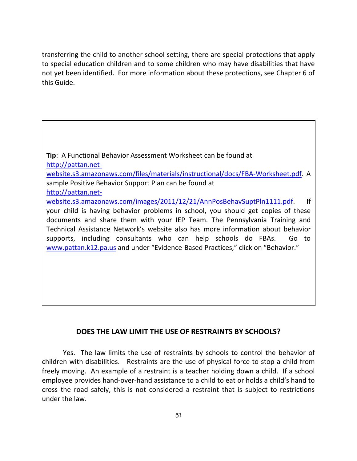transferring the child to another school setting, there are special protections that apply to special education children and to some children who may have disabilities that have not yet been identified. For more information about these protections, see Chapter 6 of this Guide.

**Tip**: A Functional Behavior Assessment Worksheet can be found at [http://pattan.net](http://pattan.net-website.s3.amazonaws.com/files/materials/instructional/docs/FBA-Worksheet.pdf)[website.s3.amazonaws.com/files/materials/instructional/docs/FBA-Worksheet.pdf.](http://pattan.net-website.s3.amazonaws.com/files/materials/instructional/docs/FBA-Worksheet.pdf) A sample Positive Behavior Support Plan can be found at [http://pattan.net](http://pattan.net-website.s3.amazonaws.com/images/2011/12/21/AnnPosBehavSuptPln1111.pdf)[website.s3.amazonaws.com/images/2011/12/21/AnnPosBehavSuptPln1111.pdf.](http://pattan.net-website.s3.amazonaws.com/images/2011/12/21/AnnPosBehavSuptPln1111.pdf) If your child is having behavior problems in school, you should get copies of these documents and share them with your IEP Team. The Pennsylvania Training and Technical Assistance Network's website also has more information about behavior supports, including consultants who can help schools do FBAs. Go to [www.pattan.k12.pa.us](http://www.pattan.k12.pa.us/) and under "Evidence-Based Practices," click on "Behavior."

### **DOES THE LAW LIMIT THE USE OF RESTRAINTS BY SCHOOLS?**

Yes. The law limits the use of restraints by schools to control the behavior of children with disabilities. Restraints are the use of physical force to stop a child from freely moving. An example of a restraint is a teacher holding down a child. If a school employee provides hand-over-hand assistance to a child to eat or holds a child's hand to cross the road safely, this is not considered a restraint that is subject to restrictions under the law.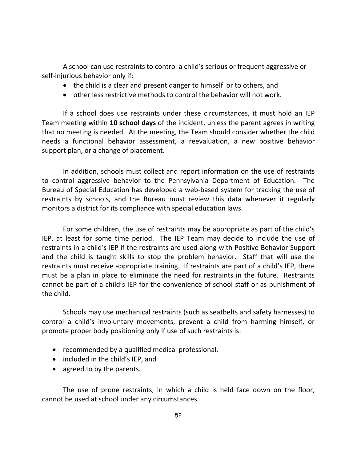A school can use restraints to control a child's serious or frequent aggressive or self-injurious behavior only if:

- the child is a clear and present danger to himself or to others, and
- other less restrictive methods to control the behavior will not work.

If a school does use restraints under these circumstances, it must hold an IEP Team meeting within **10 school days** of the incident, unless the parent agrees in writing that no meeting is needed. At the meeting, the Team should consider whether the child needs a functional behavior assessment, a reevaluation, a new positive behavior support plan, or a change of placement.

In addition, schools must collect and report information on the use of restraints to control aggressive behavior to the Pennsylvania Department of Education. The Bureau of Special Education has developed a web-based system for tracking the use of restraints by schools, and the Bureau must review this data whenever it regularly monitors a district for its compliance with special education laws.

For some children, the use of restraints may be appropriate as part of the child's IEP, at least for some time period. The IEP Team may decide to include the use of restraints in a child's IEP if the restraints are used along with Positive Behavior Support and the child is taught skills to stop the problem behavior. Staff that will use the restraints must receive appropriate training. If restraints are part of a child's IEP, there must be a plan in place to eliminate the need for restraints in the future. Restraints cannot be part of a child's IEP for the convenience of school staff or as punishment of the child.

Schools may use mechanical restraints (such as seatbelts and safety harnesses) to control a child's involuntary movements, prevent a child from harming himself, or promote proper body positioning only if use of such restraints is:

- recommended by a qualified medical professional,
- included in the child's IEP, and
- agreed to by the parents.

The use of prone restraints, in which a child is held face down on the floor, cannot be used at school under any circumstances.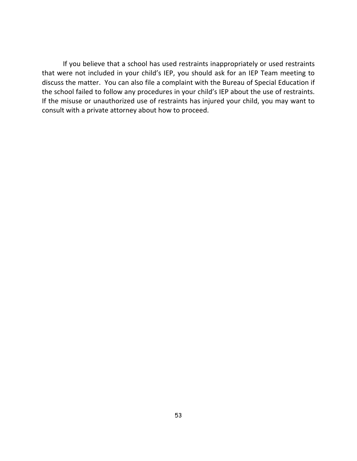If you believe that a school has used restraints inappropriately or used restraints that were not included in your child's IEP, you should ask for an IEP Team meeting to discuss the matter. You can also file a complaint with the Bureau of Special Education if the school failed to follow any procedures in your child's IEP about the use of restraints. If the misuse or unauthorized use of restraints has injured your child, you may want to consult with a private attorney about how to proceed.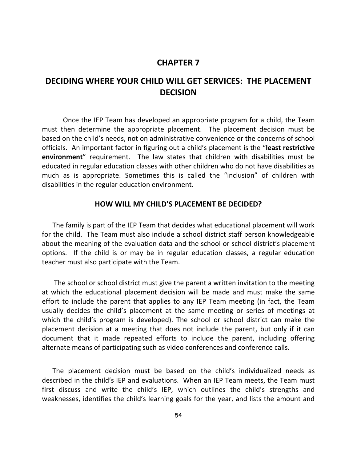#### **CHAPTER 7**

# **DECIDING WHERE YOUR CHILD WILL GET SERVICES: THE PLACEMENT DECISION**

Once the IEP Team has developed an appropriate program for a child, the Team must then determine the appropriate placement. The placement decision must be based on the child's needs, not on administrative convenience or the concerns of school officials. An important factor in figuring out a child's placement is the "**least restrictive environment**" requirement. The law states that children with disabilities must be educated in regular education classes with other children who do not have disabilities as much as is appropriate. Sometimes this is called the "inclusion" of children with disabilities in the regular education environment.

#### **HOW WILL MY CHILD'S PLACEMENT BE DECIDED?**

The family is part of the IEP Team that decides what educational placement will work for the child. The Team must also include a school district staff person knowledgeable about the meaning of the evaluation data and the school or school district's placement options. If the child is or may be in regular education classes, a regular education teacher must also participate with the Team.

The school or school district must give the parent a written invitation to the meeting at which the educational placement decision will be made and must make the same effort to include the parent that applies to any IEP Team meeting (in fact, the Team usually decides the child's placement at the same meeting or series of meetings at which the child's program is developed). The school or school district can make the placement decision at a meeting that does not include the parent, but only if it can document that it made repeated efforts to include the parent, including offering alternate means of participating such as video conferences and conference calls.

The placement decision must be based on the child's individualized needs as described in the child's IEP and evaluations. When an IEP Team meets, the Team must first discuss and write the child's IEP, which outlines the child's strengths and weaknesses, identifies the child's learning goals for the year, and lists the amount and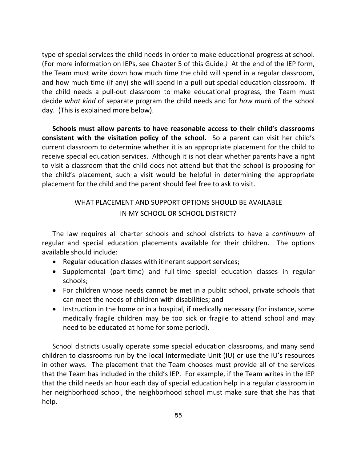type of special services the child needs in order to make educational progress at school. (For more information on IEPs, see Chapter 5 of this Guide*.)* At the end of the IEP form, the Team must write down how much time the child will spend in a regular classroom, and how much time (if any) she will spend in a pull-out special education classroom. If the child needs a pull-out classroom to make educational progress, the Team must decide *what kind* of separate program the child needs and for *how much* of the school day. (This is explained more below).

**Schools must allow parents to have reasonable access to their child's classrooms consistent with the visitation policy of the school.** So a parent can visit her child's current classroom to determine whether it is an appropriate placement for the child to receive special education services. Although it is not clear whether parents have a right to visit a classroom that the child does not attend but that the school is proposing for the child's placement, such a visit would be helpful in determining the appropriate placement for the child and the parent should feel free to ask to visit.

### WHAT PLACEMENT AND SUPPORT OPTIONS SHOULD BE AVAILABLE IN MY SCHOOL OR SCHOOL DISTRICT?

The law requires all charter schools and school districts to have a *continuum* of regular and special education placements available for their children. The options available should include:

- Regular education classes with itinerant support services;
- Supplemental (part-time) and full-time special education classes in regular schools;
- For children whose needs cannot be met in a public school, private schools that can meet the needs of children with disabilities; and
- Instruction in the home or in a hospital, if medically necessary (for instance, some medically fragile children may be too sick or fragile to attend school and may need to be educated at home for some period).

School districts usually operate some special education classrooms, and many send children to classrooms run by the local Intermediate Unit (IU) or use the IU's resources in other ways. The placement that the Team chooses must provide all of the services that the Team has included in the child's IEP. For example, if the Team writes in the IEP that the child needs an hour each day of special education help in a regular classroom in her neighborhood school, the neighborhood school must make sure that she has that help.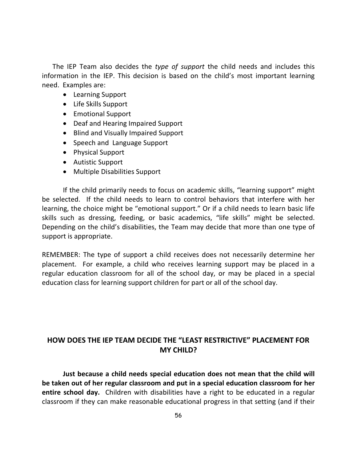The IEP Team also decides the *type of support* the child needs and includes this information in the IEP. This decision is based on the child's most important learning need. Examples are:

- Learning Support
- Life Skills Support
- Emotional Support
- Deaf and Hearing Impaired Support
- Blind and Visually Impaired Support
- Speech and Language Support
- Physical Support
- Autistic Support
- Multiple Disabilities Support

If the child primarily needs to focus on academic skills, "learning support" might be selected. If the child needs to learn to control behaviors that interfere with her learning, the choice might be "emotional support." Or if a child needs to learn basic life skills such as dressing, feeding, or basic academics, "life skills" might be selected. Depending on the child's disabilities, the Team may decide that more than one type of support is appropriate.

REMEMBER: The type of support a child receives does not necessarily determine her placement. For example, a child who receives learning support may be placed in a regular education classroom for all of the school day, or may be placed in a special education class for learning support children for part or all of the school day.

# **HOW DOES THE IEP TEAM DECIDE THE "LEAST RESTRICTIVE" PLACEMENT FOR MY CHILD?**

**Just because a child needs special education does not mean that the child will be taken out of her regular classroom and put in a special education classroom for her entire school day.** Children with disabilities have a right to be educated in a regular classroom if they can make reasonable educational progress in that setting (and if their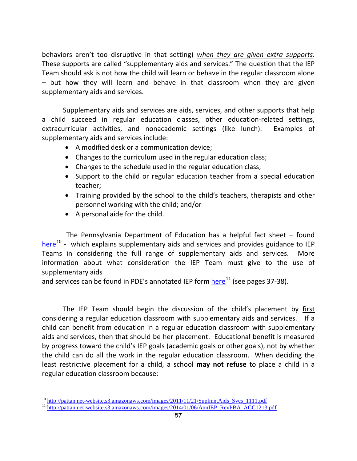behaviors aren't too disruptive in that setting) *when they are given extra supports*. These supports are called "supplementary aids and services." The question that the IEP Team should ask is not how the child will learn or behave in the regular classroom alone – but how they will learn and behave in that classroom when they are given supplementary aids and services.

Supplementary aids and services are aids, services, and other supports that help a child succeed in regular education classes, other education-related settings, extracurricular activities, and nonacademic settings (like lunch). Examples of supplementary aids and services include:

- A modified desk or a communication device;
- Changes to the curriculum used in the regular education class;
- Changes to the schedule used in the regular education class;
- Support to the child or regular education teacher from a special education teacher;
- Training provided by the school to the child's teachers, therapists and other personnel working with the child; and/or
- A personal aide for the child.

 $\overline{a}$ 

 The Pennsylvania Department of Education has a helpful fact sheet – found [here](http://pattan.net-website.s3.amazonaws.com/images/2011/11/21/SuplmntAids_Svcs_1111.pdf)<sup>[10](#page-64-0)</sup> - which explains supplementary aids and services and provides guidance to IEP Teams in considering the full range of supplementary aids and services. More information about what consideration the IEP Team must give to the use of supplementary aids

and services can be found in PDE's annotated IEP form  $here<sup>11</sup>$  $here<sup>11</sup>$  $here<sup>11</sup>$  (see pages 37-38).

The IEP Team should begin the discussion of the child's placement by first considering a regular education classroom with supplementary aids and services. If a child can benefit from education in a regular education classroom with supplementary aids and services, then that should be her placement. Educational benefit is measured by progress toward the child's IEP goals (academic goals or other goals), not by whether the child can do all the work in the regular education classroom. When deciding the least restrictive placement for a child, a school **may not refuse** to place a child in a regular education classroom because:

<span id="page-64-1"></span><span id="page-64-0"></span>

<sup>&</sup>lt;sup>10</sup> [http://pattan.net-website.s3.amazonaws.com/images/2011/11/21/SuplmntAids\\_Svcs\\_1111.pdf](http://pattan.net-website.s3.amazonaws.com/images/2011/11/21/SuplmntAids_Svcs_1111.pdf)<br><sup>11</sup> [http://pattan.net-website.s3.amazonaws.com/images/2014/01/06/AnnIEP\\_RevPBA\\_ACC1213.pdf](http://pattan.net-website.s3.amazonaws.com/images/2014/01/06/AnnIEP_RevPBA_ACC1213.pdf)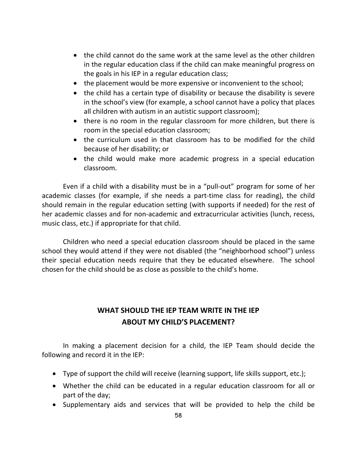- the child cannot do the same work at the same level as the other children in the regular education class if the child can make meaningful progress on the goals in his IEP in a regular education class;
- the placement would be more expensive or inconvenient to the school;
- the child has a certain type of disability or because the disability is severe in the school's view (for example, a school cannot have a policy that places all children with autism in an autistic support classroom);
- there is no room in the regular classroom for more children, but there is room in the special education classroom;
- the curriculum used in that classroom has to be modified for the child because of her disability; or
- the child would make more academic progress in a special education classroom.

Even if a child with a disability must be in a "pull-out" program for some of her academic classes (for example, if she needs a part-time class for reading), the child should remain in the regular education setting (with supports if needed) for the rest of her academic classes and for non-academic and extracurricular activities (lunch, recess, music class, etc.) if appropriate for that child.

Children who need a special education classroom should be placed in the same school they would attend if they were not disabled (the "neighborhood school") unless their special education needs require that they be educated elsewhere. The school chosen for the child should be as close as possible to the child's home.

# **WHAT SHOULD THE IEP TEAM WRITE IN THE IEP ABOUT MY CHILD'S PLACEMENT?**

In making a placement decision for a child, the IEP Team should decide the following and record it in the IEP:

- Type of support the child will receive (learning support, life skills support, etc.);
- Whether the child can be educated in a regular education classroom for all or part of the day;
- Supplementary aids and services that will be provided to help the child be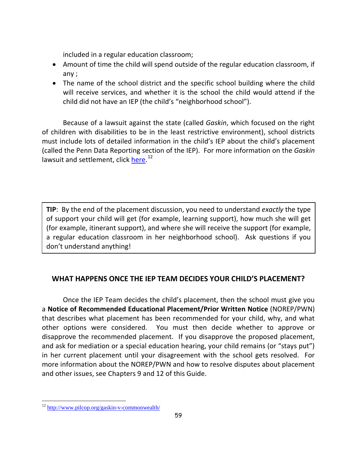included in a regular education classroom;

- Amount of time the child will spend outside of the regular education classroom, if any ;
- The name of the school district and the specific school building where the child will receive services, and whether it is the school the child would attend if the child did not have an IEP (the child's "neighborhood school").

Because of a lawsuit against the state (called *Gaskin*, which focused on the right of children with disabilities to be in the least restrictive environment), school districts must include lots of detailed information in the child's IEP about the child's placement (called the Penn Data Reporting section of the IEP). For more information on the *Gaskin* lawsuit and settlement, click [here.](http://www.pilcop.org/gaskin-v-commonwealth/)<sup>[12](#page-66-0)</sup>

**TIP**: By the end of the placement discussion, you need to understand *exactly* the type of support your child will get (for example, learning support), how much she will get (for example, itinerant support), and where she will receive the support (for example, a regular education classroom in her neighborhood school). Ask questions if you don't understand anything!

# **WHAT HAPPENS ONCE THE IEP TEAM DECIDES YOUR CHILD'S PLACEMENT?**

Once the IEP Team decides the child's placement, then the school must give you a **Notice of Recommended Educational Placement/Prior Written Notice** (NOREP/PWN) that describes what placement has been recommended for your child, why, and what other options were considered. You must then decide whether to approve or disapprove the recommended placement. If you disapprove the proposed placement, and ask for mediation or a special education hearing, your child remains (or "stays put") in her current placement until your disagreement with the school gets resolved. For more information about the NOREP/PWN and how to resolve disputes about placement and other issues, see Chapters 9 and 12 of this Guide.

 $\overline{a}$ 

<span id="page-66-0"></span><sup>&</sup>lt;sup>12</sup> <http://www.pilcop.org/gaskin-v-commonwealth/>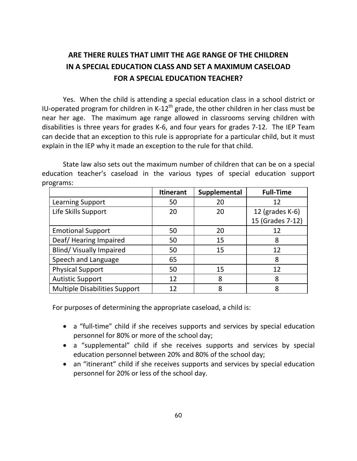# **ARE THERE RULES THAT LIMIT THE AGE RANGE OF THE CHILDREN IN A SPECIAL EDUCATION CLASS AND SET A MAXIMUM CASELOAD FOR A SPECIAL EDUCATION TEACHER?**

Yes. When the child is attending a special education class in a school district or IU-operated program for children in K-12<sup>th</sup> grade, the other children in her class must be near her age. The maximum age range allowed in classrooms serving children with disabilities is three years for grades K-6, and four years for grades 7-12. The IEP Team can decide that an exception to this rule is appropriate for a particular child, but it must explain in the IEP why it made an exception to the rule for that child.

State law also sets out the maximum number of children that can be on a special education teacher's caseload in the various types of special education support programs:

|                                      | <b>Itinerant</b> | Supplemental | <b>Full-Time</b>   |
|--------------------------------------|------------------|--------------|--------------------|
| Learning Support                     | 50               | 20           | 12                 |
| Life Skills Support                  | 20               | 20           | 12 (grades $K-6$ ) |
|                                      |                  |              | 15 (Grades 7-12)   |
| <b>Emotional Support</b>             | 50               | 20           | 12                 |
| Deaf/Hearing Impaired                | 50               | 15           | 8                  |
| <b>Blind/ Visually Impaired</b>      | 50               | 15           | 12                 |
| Speech and Language                  | 65               |              | 8                  |
| <b>Physical Support</b>              | 50               | 15           | 12                 |
| <b>Autistic Support</b>              | 12               | 8            | 8                  |
| <b>Multiple Disabilities Support</b> | 12               | 8            | 8                  |

For purposes of determining the appropriate caseload, a child is:

- a "full-time" child if she receives supports and services by special education personnel for 80% or more of the school day;
- a "supplemental" child if she receives supports and services by special education personnel between 20% and 80% of the school day;
- an "itinerant" child if she receives supports and services by special education personnel for 20% or less of the school day.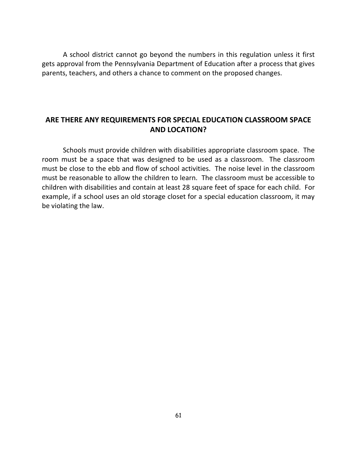A school district cannot go beyond the numbers in this regulation unless it first gets approval from the Pennsylvania Department of Education after a process that gives parents, teachers, and others a chance to comment on the proposed changes.

### **ARE THERE ANY REQUIREMENTS FOR SPECIAL EDUCATION CLASSROOM SPACE AND LOCATION?**

Schools must provide children with disabilities appropriate classroom space. The room must be a space that was designed to be used as a classroom. The classroom must be close to the ebb and flow of school activities. The noise level in the classroom must be reasonable to allow the children to learn. The classroom must be accessible to children with disabilities and contain at least 28 square feet of space for each child. For example, if a school uses an old storage closet for a special education classroom, it may be violating the law.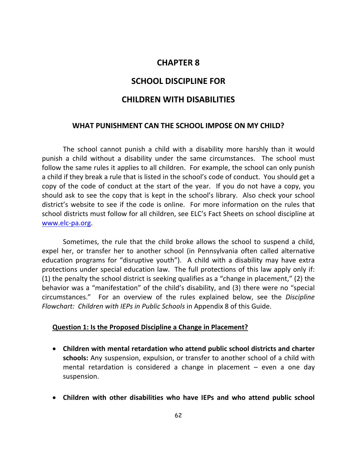### **CHAPTER 8**

### **SCHOOL DISCIPLINE FOR**

### **CHILDREN WITH DISABILITIES**

#### **WHAT PUNISHMENT CAN THE SCHOOL IMPOSE ON MY CHILD?**

The school cannot punish a child with a disability more harshly than it would punish a child without a disability under the same circumstances. The school must follow the same rules it applies to all children. For example, the school can only punish a child if they break a rule that is listed in the school's code of conduct. You should get a copy of the code of conduct at the start of the year. If you do not have a copy, you should ask to see the copy that is kept in the school's library. Also check your school district's website to see if the code is online. For more information on the rules that school districts must follow for all children, see ELC's Fact Sheets on school discipline at [www.elc-pa.org.](http://www.elc-pa.org/)

Sometimes, the rule that the child broke allows the school to suspend a child, expel her, or transfer her to another school (in Pennsylvania often called alternative education programs for "disruptive youth"). A child with a disability may have extra protections under special education law. The full protections of this law apply only if: (1) the penalty the school district is seeking qualifies as a "change in placement," (2) the behavior was a "manifestation" of the child's disability, and (3) there were no "special circumstances." For an overview of the rules explained below, see the *Discipline Flowchart: Children with IEPs in Public Schools* in Appendix 8 of this Guide.

#### **Question 1: Is the Proposed Discipline a Change in Placement?**

- **Children with mental retardation who attend public school districts and charter schools:** Any suspension, expulsion, or transfer to another school of a child with mental retardation is considered a change in placement – even a one day suspension.
- **Children with other disabilities who have IEPs and who attend public school**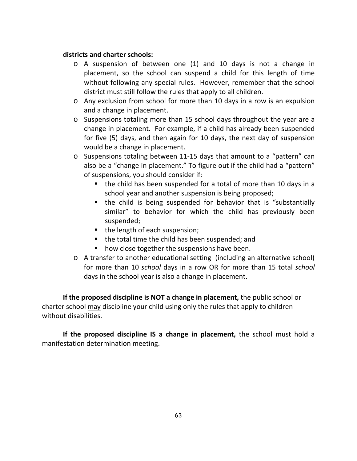#### **districts and charter schools:**

- o A suspension of between one (1) and 10 days is not a change in placement, so the school can suspend a child for this length of time without following any special rules. However, remember that the school district must still follow the rules that apply to all children.
- o Any exclusion from school for more than 10 days in a row is an expulsion and a change in placement.
- o Suspensions totaling more than 15 school days throughout the year are a change in placement. For example, if a child has already been suspended for five (5) days, and then again for 10 days, the next day of suspension would be a change in placement.
- o Suspensions totaling between 11-15 days that amount to a "pattern" can also be a "change in placement." To figure out if the child had a "pattern" of suspensions, you should consider if:
	- the child has been suspended for a total of more than 10 days in a school year and another suspension is being proposed;
	- the child is being suspended for behavior that is "substantially similar" to behavior for which the child has previously been suspended;
	- the length of each suspension;
	- the total time the child has been suspended; and
	- how close together the suspensions have been.
- o A transfer to another educational setting (including an alternative school) for more than 10 *school* days in a row OR for more than 15 total *school* days in the school year is also a change in placement.

**If the proposed discipline is NOT a change in placement,** the public school or charter school may discipline your child using only the rules that apply to children without disabilities.

**If the proposed discipline IS a change in placement,** the school must hold a manifestation determination meeting.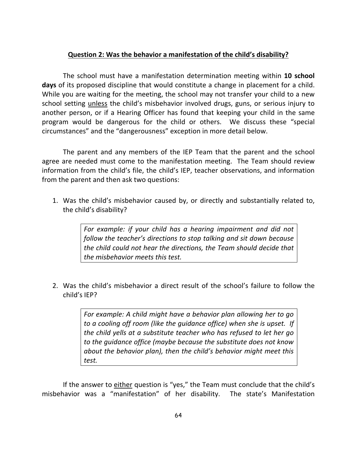#### **Question 2: Was the behavior a manifestation of the child's disability?**

The school must have a manifestation determination meeting within **10 school days** of its proposed discipline that would constitute a change in placement for a child. While you are waiting for the meeting, the school may not transfer your child to a new school setting unless the child's misbehavior involved drugs, guns, or serious injury to another person, or if a Hearing Officer has found that keeping your child in the same program would be dangerous for the child or others. We discuss these "special circumstances" and the "dangerousness" exception in more detail below.

The parent and any members of the IEP Team that the parent and the school agree are needed must come to the manifestation meeting. The Team should review information from the child's file, the child's IEP, teacher observations, and information from the parent and then ask two questions:

1. Was the child's misbehavior caused by, or directly and substantially related to, the child's disability?

> *For example: if your child has a hearing impairment and did not follow the teacher's directions to stop talking and sit down because the child could not hear the directions, the Team should decide that the misbehavior meets this test.*

2. Was the child's misbehavior a direct result of the school's failure to follow the child's IEP?

> *For example: A child might have a behavior plan allowing her to go to a cooling off room (like the guidance office) when she is upset. If the child yells at a substitute teacher who has refused to let her go to the guidance office (maybe because the substitute does not know about the behavior plan), then the child's behavior might meet this test.*

If the answer to either question is "yes," the Team must conclude that the child's misbehavior was a "manifestation" of her disability. The state's Manifestation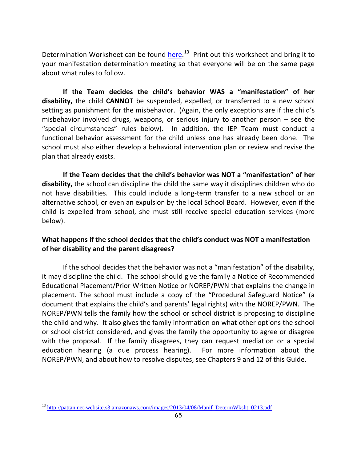Determination Worksheet can be found *here.*<sup>13</sup> Print out this worksheet and bring it to your manifestation determination meeting so that everyone will be on the same page about what rules to follow.

**If the Team decides the child's behavior WAS a "manifestation" of her disability,** the child **CANNOT** be suspended, expelled, or transferred to a new school setting as punishment for the misbehavior. (Again, the only exceptions are if the child's misbehavior involved drugs, weapons, or serious injury to another person – see the "special circumstances" rules below). In addition, the IEP Team must conduct a functional behavior assessment for the child unless one has already been done. The school must also either develop a behavioral intervention plan or review and revise the plan that already exists.

**If the Team decides that the child's behavior was NOT a "manifestation" of her disability,** the school can discipline the child the same way it disciplines children who do not have disabilities. This could include a long-term transfer to a new school or an alternative school, or even an expulsion by the local School Board. However, even if the child is expelled from school, she must still receive special education services (more below).

## **What happens if the school decides that the child's conduct was NOT a manifestation of her disability and the parent disagrees?**

If the school decides that the behavior was not a "manifestation" of the disability, it may discipline the child. The school should give the family a Notice of Recommended Educational Placement/Prior Written Notice or NOREP/PWN that explains the change in placement. The school must include a copy of the "Procedural Safeguard Notice" (a document that explains the child's and parents' legal rights) with the NOREP/PWN. The NOREP/PWN tells the family how the school or school district is proposing to discipline the child and why. It also gives the family information on what other options the school or school district considered, and gives the family the opportunity to agree or disagree with the proposal. If the family disagrees, they can request mediation or a special education hearing (a due process hearing). For more information about the NOREP/PWN, and about how to resolve disputes, see Chapters 9 and 12 of this Guide.

 $\overline{a}$ 

<span id="page-72-0"></span><sup>&</sup>lt;sup>13</sup> [http://pattan.net-website.s3.amazonaws.com/images/2013/04/08/Manif\\_DetermWksht\\_0213.pdf](http://pattan.net-website.s3.amazonaws.com/images/2013/04/08/Manif_DetermWksht_0213.pdf)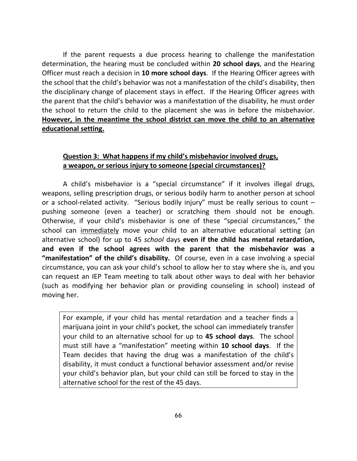If the parent requests a due process hearing to challenge the manifestation determination, the hearing must be concluded within **20 school days**, and the Hearing Officer must reach a decision in **10 more school days**. If the Hearing Officer agrees with the school that the child's behavior was not a manifestation of the child's disability, then the disciplinary change of placement stays in effect. If the Hearing Officer agrees with the parent that the child's behavior was a manifestation of the disability, he must order the school to return the child to the placement she was in before the misbehavior. **However, in the meantime the school district can move the child to an alternative educational setting.**

## **Question 3: What happens if my child's misbehavior involved drugs, a weapon, or serious injury to someone (special circumstances)?**

A child's misbehavior is a "special circumstance" if it involves illegal drugs, weapons, selling prescription drugs, or serious bodily harm to another person at school or a school-related activity. "Serious bodily injury" must be really serious to count – pushing someone (even a teacher) or scratching them should not be enough. Otherwise, if your child's misbehavior is one of these "special circumstances," the school can immediately move your child to an alternative educational setting (an alternative school) for up to 45 *school* days **even if the child has mental retardation, and even if the school agrees with the parent that the misbehavior was a "manifestation" of the child's disability.** Of course, even in a case involving a special circumstance, you can ask your child's school to allow her to stay where she is, and you can request an IEP Team meeting to talk about other ways to deal with her behavior (such as modifying her behavior plan or providing counseling in school) instead of moving her.

For example, if your child has mental retardation and a teacher finds a marijuana joint in your child's pocket, the school can immediately transfer your child to an alternative school for up to **45 school days**. The school must still have a "manifestation" meeting within **10 school days**. If the Team decides that having the drug was a manifestation of the child's disability, it must conduct a functional behavior assessment and/or revise your child's behavior plan, but your child can still be forced to stay in the alternative school for the rest of the 45 days.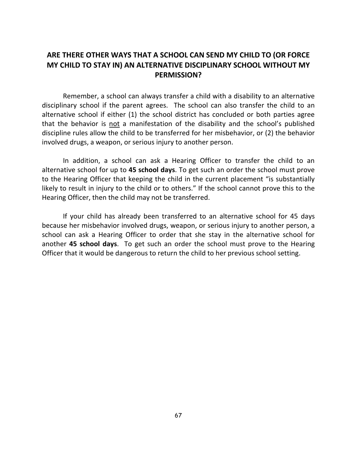## **ARE THERE OTHER WAYS THAT A SCHOOL CAN SEND MY CHILD TO (OR FORCE MY CHILD TO STAY IN) AN ALTERNATIVE DISCIPLINARY SCHOOL WITHOUT MY PERMISSION?**

Remember, a school can always transfer a child with a disability to an alternative disciplinary school if the parent agrees. The school can also transfer the child to an alternative school if either (1) the school district has concluded or both parties agree that the behavior is not a manifestation of the disability and the school's published discipline rules allow the child to be transferred for her misbehavior, or (2) the behavior involved drugs, a weapon, or serious injury to another person.

In addition, a school can ask a Hearing Officer to transfer the child to an alternative school for up to **45 school days**. To get such an order the school must prove to the Hearing Officer that keeping the child in the current placement "is substantially likely to result in injury to the child or to others." If the school cannot prove this to the Hearing Officer, then the child may not be transferred.

If your child has already been transferred to an alternative school for 45 days because her misbehavior involved drugs, weapon, or serious injury to another person, a school can ask a Hearing Officer to order that she stay in the alternative school for another **45 school days**. To get such an order the school must prove to the Hearing Officer that it would be dangerous to return the child to her previous school setting.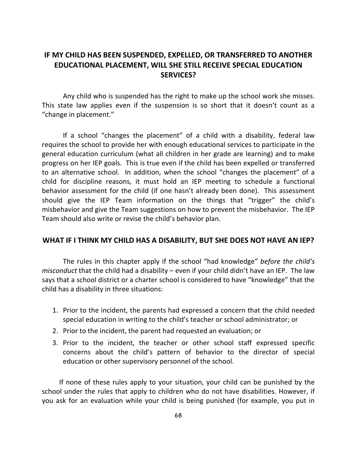## **IF MY CHILD HAS BEEN SUSPENDED, EXPELLED, OR TRANSFERRED TO ANOTHER EDUCATIONAL PLACEMENT, WILL SHE STILL RECEIVE SPECIAL EDUCATION SERVICES?**

Any child who is suspended has the right to make up the school work she misses. This state law applies even if the suspension is so short that it doesn't count as a "change in placement."

If a school "changes the placement" of a child with a disability, federal law requires the school to provide her with enough educational services to participate in the general education curriculum (what all children in her grade are learning) and to make progress on her IEP goals. This is true even if the child has been expelled or transferred to an alternative school. In addition, when the school "changes the placement" of a child for discipline reasons, it must hold an IEP meeting to schedule a functional behavior assessment for the child (if one hasn't already been done). This assessment should give the IEP Team information on the things that "trigger" the child's misbehavior and give the Team suggestions on how to prevent the misbehavior. The IEP Team should also write or revise the child's behavior plan.

#### **WHAT IF I THINK MY CHILD HAS A DISABILITY, BUT SHE DOES NOT HAVE AN IEP?**

The rules in this chapter apply if the school "had knowledge" *before the child's misconduct* that the child had a disability – even if your child didn't have an IEP. The law says that a school district or a charter school is considered to have "knowledge" that the child has a disability in three situations:

- 1. Prior to the incident, the parents had expressed a concern that the child needed special education in writing to the child's teacher or school administrator; or
- 2. Prior to the incident, the parent had requested an evaluation; or
- 3. Prior to the incident, the teacher or other school staff expressed specific concerns about the child's pattern of behavior to the director of special education or other supervisory personnel of the school.

 If none of these rules apply to your situation, your child can be punished by the school under the rules that apply to children who do not have disabilities. However, if you ask for an evaluation while your child is being punished (for example, you put in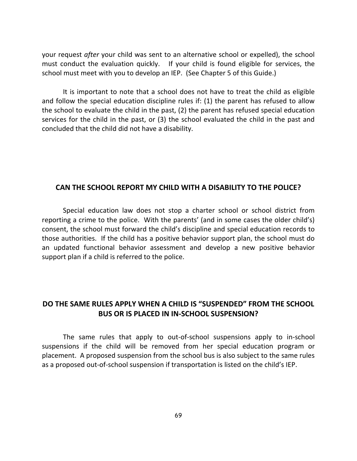your request *after* your child was sent to an alternative school or expelled), the school must conduct the evaluation quickly. If your child is found eligible for services, the school must meet with you to develop an IEP. (See Chapter 5 of this Guide.)

It is important to note that a school does not have to treat the child as eligible and follow the special education discipline rules if: (1) the parent has refused to allow the school to evaluate the child in the past, (2) the parent has refused special education services for the child in the past, or (3) the school evaluated the child in the past and concluded that the child did not have a disability.

#### **CAN THE SCHOOL REPORT MY CHILD WITH A DISABILITY TO THE POLICE?**

Special education law does not stop a charter school or school district from reporting a crime to the police. With the parents' (and in some cases the older child's) consent, the school must forward the child's discipline and special education records to those authorities. If the child has a positive behavior support plan, the school must do an updated functional behavior assessment and develop a new positive behavior support plan if a child is referred to the police.

## **DO THE SAME RULES APPLY WHEN A CHILD IS "SUSPENDED" FROM THE SCHOOL BUS OR IS PLACED IN IN-SCHOOL SUSPENSION?**

The same rules that apply to out-of-school suspensions apply to in-school suspensions if the child will be removed from her special education program or placement. A proposed suspension from the school bus is also subject to the same rules as a proposed out-of-school suspension if transportation is listed on the child's IEP.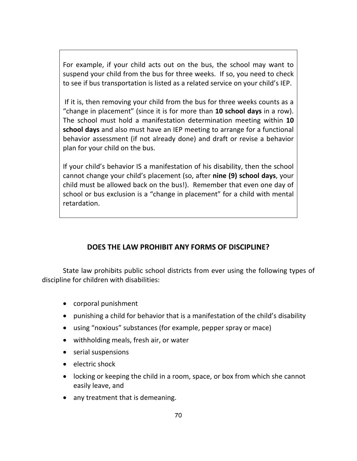For example, if your child acts out on the bus, the school may want to suspend your child from the bus for three weeks. If so, you need to check to see if bus transportation is listed as a related service on your child's IEP.

If it is, then removing your child from the bus for three weeks counts as a "change in placement" (since it is for more than **10 school days** in a row). The school must hold a manifestation determination meeting within **10 school days** and also must have an IEP meeting to arrange for a functional behavior assessment (if not already done) and draft or revise a behavior plan for your child on the bus.

If your child's behavior IS a manifestation of his disability, then the school cannot change your child's placement (so, after **nine (9) school days**, your child must be allowed back on the bus!). Remember that even one day of school or bus exclusion is a "change in placement" for a child with mental retardation.

## **DOES THE LAW PROHIBIT ANY FORMS OF DISCIPLINE?**

State law prohibits public school districts from ever using the following types of discipline for children with disabilities:

- corporal punishment
- punishing a child for behavior that is a manifestation of the child's disability
- using "noxious" substances (for example, pepper spray or mace)
- withholding meals, fresh air, or water
- serial suspensions
- electric shock
- locking or keeping the child in a room, space, or box from which she cannot easily leave, and
- any treatment that is demeaning.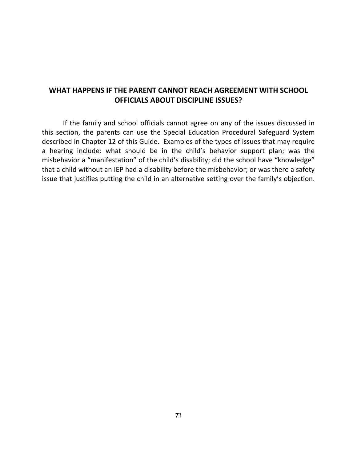## **WHAT HAPPENS IF THE PARENT CANNOT REACH AGREEMENT WITH SCHOOL OFFICIALS ABOUT DISCIPLINE ISSUES?**

If the family and school officials cannot agree on any of the issues discussed in this section, the parents can use the Special Education Procedural Safeguard System described in Chapter 12 of this Guide. Examples of the types of issues that may require a hearing include: what should be in the child's behavior support plan; was the misbehavior a "manifestation" of the child's disability; did the school have "knowledge" that a child without an IEP had a disability before the misbehavior; or was there a safety issue that justifies putting the child in an alternative setting over the family's objection.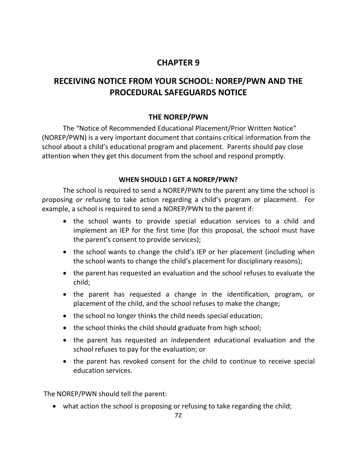# **CHAPTER 9**

# **RECEIVING NOTICE FROM YOUR SCHOOL: NOREP/PWN AND THE PROCEDURAL SAFEGUARDS NOTICE**

## **THE NOREP/PWN**

The "Notice of Recommended Educational Placement/Prior Written Notice" (NOREP/PWN) is a very important document that contains critical information from the school about a child's educational program and placement. Parents should pay close attention when they get this document from the school and respond promptly.

## **WHEN SHOULD I GET A NOREP/PWN?**

The school is required to send a NOREP/PWN to the parent any time the school is proposing *or* refusing to take action regarding a child's program or placement. For example, a school is required to send a NOREP/PWN to the parent if:

- the school wants to provide special education services to a child and implement an IEP for the first time (for this proposal, the school must have the parent's consent to provide services);
- the school wants to change the child's IEP or her placement (including when the school wants to change the child's placement for disciplinary reasons);
- the parent has requested an evaluation and the school refuses to evaluate the child;
- the parent has requested a change in the identification, program, or placement of the child, and the school refuses to make the change;
- the school no longer thinks the child needs special education;
- the school thinks the child should graduate from high school;
- the parent has requested an independent educational evaluation and the school refuses to pay for the evaluation; or
- the parent has revoked consent for the child to continue to receive special education services.

The NOREP/PWN should tell the parent:

• what action the school is proposing or refusing to take regarding the child;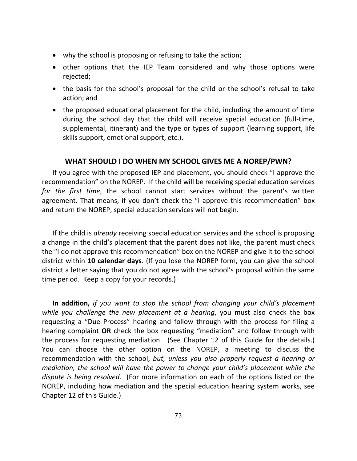- why the school is proposing or refusing to take the action;
- other options that the IEP Team considered and why those options were rejected;
- the basis for the school's proposal for the child or the school's refusal to take action; and
- the proposed educational placement for the child, including the amount of time during the school day that the child will receive special education (full-time, supplemental, itinerant) and the type or types of support (learning support, life skills support, emotional support, etc.).

#### **WHAT SHOULD I DO WHEN MY SCHOOL GIVES ME A NOREP/PWN?**

If you agree with the proposed IEP and placement, you should check "I approve the recommendation" on the NOREP. If the child will be receiving special education services *for the first time*, the school cannot start services without the parent's written agreement. That means, if you don't check the "I approve this recommendation" box and return the NOREP, special education services will not begin.

If the child is *already* receiving special education services and the school is proposing a change in the child's placement that the parent does not like, the parent must check the "I do not approve this recommendation" box on the NOREP and give it to the school district within **10 calendar days**. (If you lose the NOREP form, you can give the school district a letter saying that you do not agree with the school's proposal within the same time period. Keep a copy for your records.)

**In addition,** *if you want to stop the school from changing your child's placement while you challenge the new placement at a hearing*, you must also check the box requesting a "Due Process" hearing and follow through with the process for filing a hearing complaint **OR** check the box requesting "mediation" and follow through with the process for requesting mediation. (See Chapter 12 of this Guide for the details.) You can choose the other option on the NOREP, a meeting to discuss the recommendation with the school, *but, unless you also properly request a hearing or mediation, the school will have the power to change your child's placement while the dispute is being resolved.* (For more information on each of the options listed on the NOREP, including how mediation and the special education hearing system works, see Chapter 12 of this Guide.)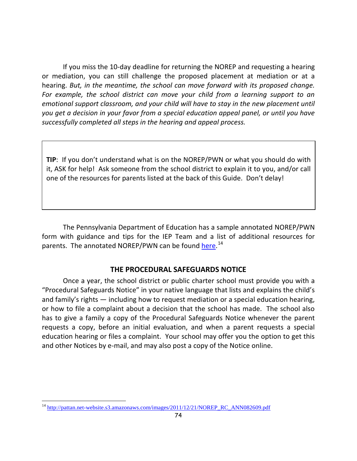If you miss the 10-day deadline for returning the NOREP and requesting a hearing or mediation, you can still challenge the proposed placement at mediation or at a hearing. *But, in the meantime, the school can move forward with its proposed change.*  For example, the school district can move your child from a learning support to an *emotional support classroom, and your child will have to stay in the new placement until you get a decision in your favor from a special education appeal panel, or until you have successfully completed all steps in the hearing and appeal process.*

**TIP**: If you don't understand what is on the NOREP/PWN or what you should do with it, ASK for help! Ask someone from the school district to explain it to you, and/or call one of the resources for parents listed at the back of this Guide. Don't delay!

The Pennsylvania Department of Education has a sample annotated NOREP/PWN form with guidance and tips for the IEP Team and a list of additional resources for parents. The annotated NOREP/PWN can be found [here.](http://pattan.net-website.s3.amazonaws.com/images/2011/12/21/NOREP_RC_ANN082609.pdf)<sup>[14](#page-81-0)</sup>

## **THE PROCEDURAL SAFEGUARDS NOTICE**

Once a year, the school district or public charter school must provide you with a "Procedural Safeguards Notice" in your native language that lists and explains the child's and family's rights — including how to request mediation or a special education hearing, or how to file a complaint about a decision that the school has made. The school also has to give a family a copy of the Procedural Safeguards Notice whenever the parent requests a copy, before an initial evaluation, and when a parent requests a special education hearing or files a complaint. Your school may offer you the option to get this and other Notices by e-mail, and may also post a copy of the Notice online.

<span id="page-81-0"></span><sup>&</sup>lt;sup>14</sup> [http://pattan.net-website.s3.amazonaws.com/images/2011/12/21/NOREP\\_RC\\_ANN082609.pdf](http://pattan.net-website.s3.amazonaws.com/images/2011/12/21/NOREP_RC_ANN082609.pdf)  $\overline{a}$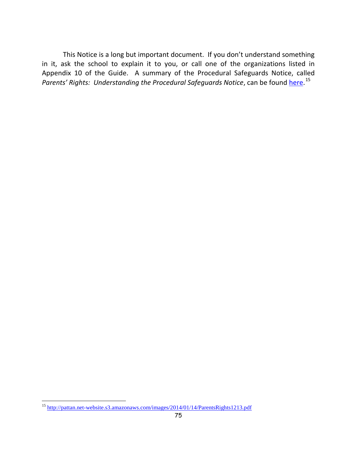This Notice is a long but important document. If you don't understand something in it, ask the school to explain it to you, or call one of the organizations listed in Appendix 10 of the Guide. A summary of the Procedural Safeguards Notice, called Parents' Rights: Understanding the Procedural Safeguards Notice, can be found [here.](http://pattan.net-website.s3.amazonaws.com/images/2014/01/14/ParentsRights1213.pdf)<sup>[15](#page-82-0)</sup>

<span id="page-82-0"></span><sup>&</sup>lt;sup>15</sup> <http://pattan.net-website.s3.amazonaws.com/images/2014/01/14/ParentsRights1213.pdf>  $\overline{a}$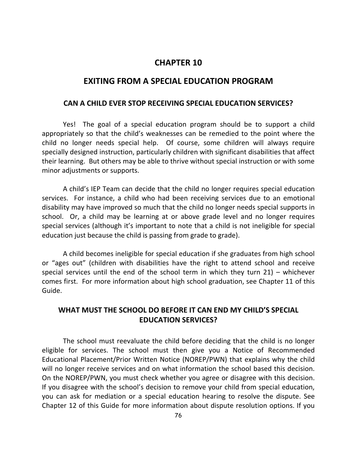## **CHAPTER 10**

#### **EXITING FROM A SPECIAL EDUCATION PROGRAM**

#### **CAN A CHILD EVER STOP RECEIVING SPECIAL EDUCATION SERVICES?**

Yes! The goal of a special education program should be to support a child appropriately so that the child's weaknesses can be remedied to the point where the child no longer needs special help. Of course, some children will always require specially designed instruction, particularly children with significant disabilities that affect their learning. But others may be able to thrive without special instruction or with some minor adjustments or supports.

A child's IEP Team can decide that the child no longer requires special education services. For instance, a child who had been receiving services due to an emotional disability may have improved so much that the child no longer needs special supports in school. Or, a child may be learning at or above grade level and no longer requires special services (although it's important to note that a child is not ineligible for special education just because the child is passing from grade to grade).

A child becomes ineligible for special education if she graduates from high school or "ages out" (children with disabilities have the right to attend school and receive special services until the end of the school term in which they turn 21) – whichever comes first. For more information about high school graduation, see Chapter 11 of this Guide.

## **WHAT MUST THE SCHOOL DO BEFORE IT CAN END MY CHILD'S SPECIAL EDUCATION SERVICES?**

The school must reevaluate the child before deciding that the child is no longer eligible for services. The school must then give you a Notice of Recommended Educational Placement/Prior Written Notice (NOREP/PWN) that explains why the child will no longer receive services and on what information the school based this decision. On the NOREP/PWN, you must check whether you agree or disagree with this decision. If you disagree with the school's decision to remove your child from special education, you can ask for mediation or a special education hearing to resolve the dispute. See Chapter 12 of this Guide for more information about dispute resolution options. If you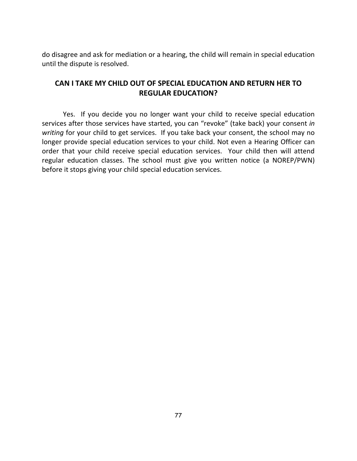do disagree and ask for mediation or a hearing, the child will remain in special education until the dispute is resolved.

## **CAN I TAKE MY CHILD OUT OF SPECIAL EDUCATION AND RETURN HER TO REGULAR EDUCATION?**

Yes. If you decide you no longer want your child to receive special education services after those services have started, you can "revoke" (take back) your consent *in writing* for your child to get services. If you take back your consent, the school may no longer provide special education services to your child. Not even a Hearing Officer can order that your child receive special education services. Your child then will attend regular education classes. The school must give you written notice (a NOREP/PWN) before it stops giving your child special education services.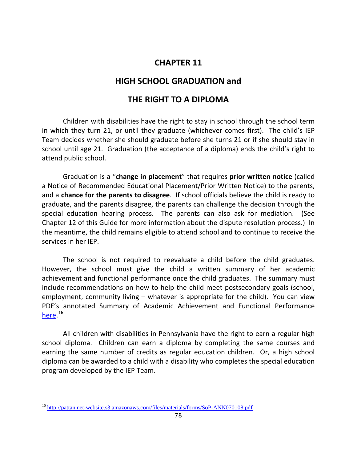## **CHAPTER 11**

## **HIGH SCHOOL GRADUATION and**

## **THE RIGHT TO A DIPLOMA**

Children with disabilities have the right to stay in school through the school term in which they turn 21, or until they graduate (whichever comes first). The child's IEP Team decides whether she should graduate before she turns 21 or if she should stay in school until age 21. Graduation (the acceptance of a diploma) ends the child's right to attend public school.

Graduation is a "**change in placement**" that requires **prior written notice** (called a Notice of Recommended Educational Placement/Prior Written Notice) to the parents, and a **chance for the parents to disagree**. If school officials believe the child is ready to graduate, and the parents disagree, the parents can challenge the decision through the special education hearing process. The parents can also ask for mediation. (See Chapter 12 of this Guide for more information about the dispute resolution process.) In the meantime, the child remains eligible to attend school and to continue to receive the services in her IEP.

The school is not required to reevaluate a child before the child graduates. However, the school must give the child a written summary of her academic achievement and functional performance once the child graduates. The summary must include recommendations on how to help the child meet postsecondary goals (school, employment, community living – whatever is appropriate for the child). You can view PDE's annotated Summary of Academic Achievement and Functional Performance [here.](http://pattan.net-website.s3.amazonaws.com/files/materials/forms/SoP-ANN070108.pdf) <sup>[16](#page-85-0)</sup>

All children with disabilities in Pennsylvania have the right to earn a regular high school diploma. Children can earn a diploma by completing the same courses and earning the same number of credits as regular education children. Or, a high school diploma can be awarded to a child with a disability who completes the special education program developed by the IEP Team.

 $\overline{a}$ 

<span id="page-85-0"></span><sup>&</sup>lt;sup>16</sup> <http://pattan.net-website.s3.amazonaws.com/files/materials/forms/SoP-ANN070108.pdf>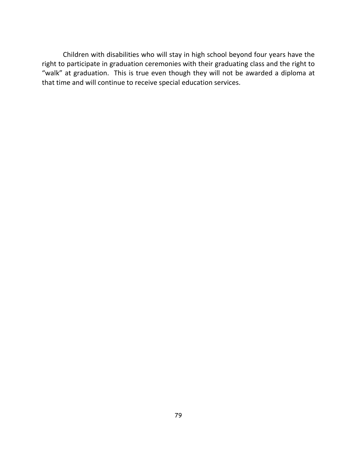Children with disabilities who will stay in high school beyond four years have the right to participate in graduation ceremonies with their graduating class and the right to "walk" at graduation. This is true even though they will not be awarded a diploma at that time and will continue to receive special education services.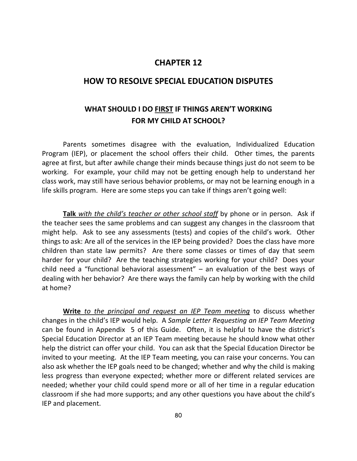## **CHAPTER 12**

## **HOW TO RESOLVE SPECIAL EDUCATION DISPUTES**

## **WHAT SHOULD I DO FIRST IF THINGS AREN'T WORKING FOR MY CHILD AT SCHOOL?**

Parents sometimes disagree with the evaluation, Individualized Education Program (IEP), or placement the school offers their child. Other times, the parents agree at first, but after awhile change their minds because things just do not seem to be working. For example, your child may not be getting enough help to understand her class work, may still have serious behavior problems, or may not be learning enough in a life skills program. Here are some steps you can take if things aren't going well:

**Talk** *with the child's teacher or other school staff* by phone or in person. Ask if the teacher sees the same problems and can suggest any changes in the classroom that might help. Ask to see any assessments (tests) and copies of the child's work. Other things to ask: Are all of the services in the IEP being provided? Does the class have more children than state law permits? Are there some classes or times of day that seem harder for your child? Are the teaching strategies working for your child? Does your child need a "functional behavioral assessment" – an evaluation of the best ways of dealing with her behavior? Are there ways the family can help by working with the child at home?

**Write** *to the principal and request an IEP Team meeting* to discuss whether changes in the child's IEP would help. A *Sample Letter Requesting an IEP Team Meeting* can be found in Appendix 5 of this Guide. Often, it is helpful to have the district's Special Education Director at an IEP Team meeting because he should know what other help the district can offer your child. You can ask that the Special Education Director be invited to your meeting. At the IEP Team meeting, you can raise your concerns. You can also ask whether the IEP goals need to be changed; whether and why the child is making less progress than everyone expected; whether more or different related services are needed; whether your child could spend more or all of her time in a regular education classroom if she had more supports; and any other questions you have about the child's IEP and placement.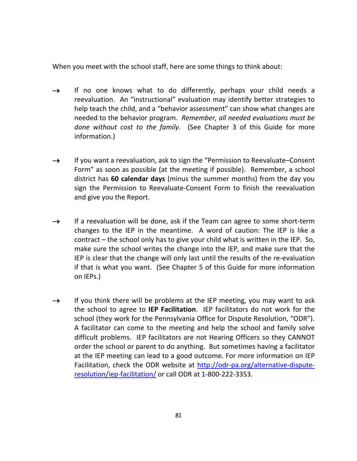When you meet with the school staff, here are some things to think about:

- $\rightarrow$  If no one knows what to do differently, perhaps your child needs a reevaluation. An "instructional" evaluation may identify better strategies to help teach the child, and a "behavior assessment" can show what changes are needed to the behavior program. *Remember, all needed evaluations must be done without cost to the family.* (See Chapter 3 of this Guide for more information.)
- $\rightarrow$  If you want a reevaluation, ask to sign the "Permission to Reevaluate–Consent Form" as soon as possible (at the meeting if possible). Remember, a school district has **60 calendar days** (minus the summer months) from the day you sign the Permission to Reevaluate-Consent Form to finish the reevaluation and give you the Report.
- $\rightarrow$  If a reevaluation will be done, ask if the Team can agree to some short-term changes to the IEP in the meantime. A word of caution: The IEP is like a contract – the school only has to give your child what is written in the IEP. So, make sure the school writes the change into the IEP, and make sure that the IEP is clear that the change will only last until the results of the re-evaluation if that is what you want. (See Chapter 5 of this Guide for more information on IEPs.)
- $\rightarrow$  If you think there will be problems at the IEP meeting, you may want to ask the school to agree to **IEP Facilitation**. IEP facilitators do not work for the school (they work for the Pennsylvania Office for Dispute Resolution, "ODR"). A facilitator can come to the meeting and help the school and family solve difficult problems. IEP facilitators are not Hearing Officers so they CANNOT order the school or parent to do anything. But sometimes having a facilitator at the IEP meeting can lead to a good outcome. For more information on IEP Facilitation, check the ODR website at [http://odr-pa.org/alternative-dispute](http://odr-pa.org/alternative-dispute-resolution/iep-facilitation/)[resolution/iep-facilitation/](http://odr-pa.org/alternative-dispute-resolution/iep-facilitation/) or call ODR at 1-800-222-3353.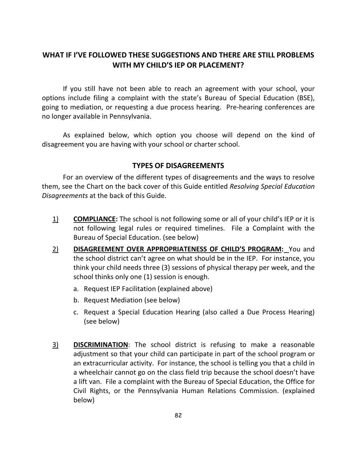## **WHAT IF I'VE FOLLOWED THESE SUGGESTIONS AND THERE ARE STILL PROBLEMS WITH MY CHILD'S IEP OR PLACEMENT?**

If you still have not been able to reach an agreement with your school, your options include filing a complaint with the state's Bureau of Special Education (BSE), going to mediation, or requesting a due process hearing. Pre-hearing conferences are no longer available in Pennsylvania.

As explained below, which option you choose will depend on the kind of disagreement you are having with your school or charter school.

## **TYPES OF DISAGREEMENTS**

For an overview of the different types of disagreements and the ways to resolve them, see the Chart on the back cover of this Guide entitled *Resolving Special Education Disagreements* at the back of this Guide.

- 1) **COMPLIANCE:** The school is not following some or all of your child's IEP or it is not following legal rules or required timelines. File a Complaint with the Bureau of Special Education. (see below)
- 2) **DISAGREEMENT OVER APPROPRIATENESS OF CHILD'S PROGRAM:** You and the school district can't agree on what should be in the IEP. For instance, you think your child needs three (3) sessions of physical therapy per week, and the school thinks only one (1) session is enough.
	- a. Request IEP Facilitation (explained above)
	- b. Request Mediation (see below)
	- c. Request a Special Education Hearing (also called a Due Process Hearing) (see below)
- 3) **DISCRIMINATION**: The school district is refusing to make a reasonable adjustment so that your child can participate in part of the school program or an extracurricular activity. For instance, the school is telling you that a child in a wheelchair cannot go on the class field trip because the school doesn't have a lift van. File a complaint with the Bureau of Special Education, the Office for Civil Rights, or the Pennsylvania Human Relations Commission. (explained below)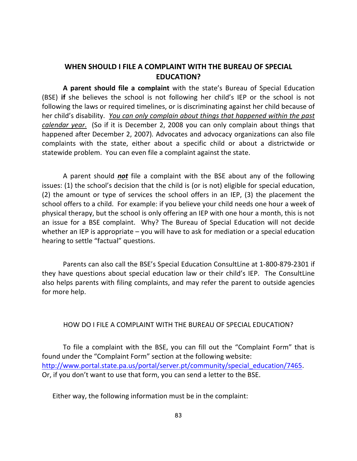## **WHEN SHOULD I FILE A COMPLAINT WITH THE BUREAU OF SPECIAL EDUCATION?**

**A parent should file a complaint** with the state's Bureau of Special Education (BSE) **if** she believes the school is not following her child's IEP or the school is not following the laws or required timelines, or is discriminating against her child because of her child's disability. *You can only complain about things that happened within the past calendar year*. (So if it is December 2, 2008 you can only complain about things that happened after December 2, 2007)*.* Advocates and advocacy organizations can also file complaints with the state, either about a specific child or about a districtwide or statewide problem. You can even file a complaint against the state.

A parent should *not* file a complaint with the BSE about any of the following issues: (1) the school's decision that the child is (or is not) eligible for special education, (2) the amount or type of services the school offers in an IEP, (3) the placement the school offers to a child. For example: if you believe your child needs one hour a week of physical therapy, but the school is only offering an IEP with one hour a month, this is not an issue for a BSE complaint. Why? The Bureau of Special Education will not decide whether an IEP is appropriate – you will have to ask for mediation or a special education hearing to settle "factual" questions.

Parents can also call the BSE's Special Education ConsultLine at 1-800-879-2301 if they have questions about special education law or their child's IEP. The ConsultLine also helps parents with filing complaints, and may refer the parent to outside agencies for more help.

#### HOW DO I FILE A COMPLAINT WITH THE BUREAU OF SPECIAL EDUCATION?

To file a complaint with the BSE, you can fill out the "Complaint Form" that is found under the "Complaint Form" section at the following website: [http://www.portal.state.pa.us/portal/server.pt/community/special\\_education/7465.](http://www.portal.state.pa.us/portal/server.pt/community/special_education/7465) Or, if you don't want to use that form, you can send a letter to the BSE.

Either way, the following information must be in the complaint: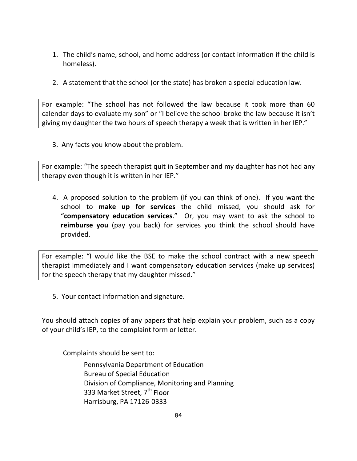- 1. The child's name, school, and home address (or contact information if the child is homeless).
- 2. A statement that the school (or the state) has broken a special education law.

For example: "The school has not followed the law because it took more than 60 calendar days to evaluate my son" or "I believe the school broke the law because it isn't giving my daughter the two hours of speech therapy a week that is written in her IEP."

3. Any facts you know about the problem.

For example: "The speech therapist quit in September and my daughter has not had any therapy even though it is written in her IEP."

4. A proposed solution to the problem (if you can think of one). If you want the school to **make up for services** the child missed, you should ask for "**compensatory education services**." Or, you may want to ask the school to **reimburse you** (pay you back) for services you think the school should have provided.

For example: "I would like the BSE to make the school contract with a new speech therapist immediately and I want compensatory education services (make up services) for the speech therapy that my daughter missed."

5. Your contact information and signature.

You should attach copies of any papers that help explain your problem, such as a copy of your child's IEP, to the complaint form or letter.

Complaints should be sent to:

Pennsylvania Department of Education Bureau of Special Education Division of Compliance, Monitoring and Planning 333 Market Street, 7<sup>th</sup> Floor Harrisburg, PA 17126-0333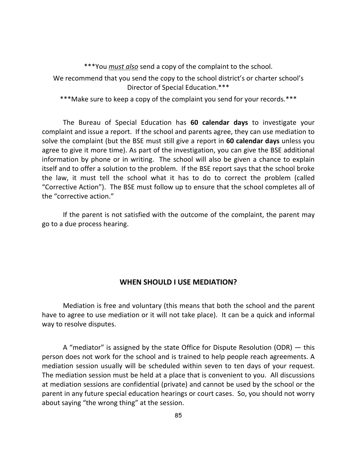\*\*\*You *must also* send a copy of the complaint to the school.

We recommend that you send the copy to the school district's or charter school's Director of Special Education.\*\*\*

\*\*\*Make sure to keep a copy of the complaint you send for your records.\*\*\*

The Bureau of Special Education has **60 calendar days** to investigate your complaint and issue a report. If the school and parents agree, they can use mediation to solve the complaint (but the BSE must still give a report in **60 calendar days** unless you agree to give it more time). As part of the investigation, you can give the BSE additional information by phone or in writing. The school will also be given a chance to explain itself and to offer a solution to the problem. If the BSE report says that the school broke the law, it must tell the school what it has to do to correct the problem (called "Corrective Action"). The BSE must follow up to ensure that the school completes all of the "corrective action."

If the parent is not satisfied with the outcome of the complaint, the parent may go to a due process hearing.

#### **WHEN SHOULD I USE MEDIATION?**

Mediation is free and voluntary (this means that both the school and the parent have to agree to use mediation or it will not take place). It can be a quick and informal way to resolve disputes.

A "mediator" is assigned by the state Office for Dispute Resolution (ODR) — this person does not work for the school and is trained to help people reach agreements. A mediation session usually will be scheduled within seven to ten days of your request. The mediation session must be held at a place that is convenient to you. All discussions at mediation sessions are confidential (private) and cannot be used by the school or the parent in any future special education hearings or court cases. So, you should not worry about saying "the wrong thing" at the session.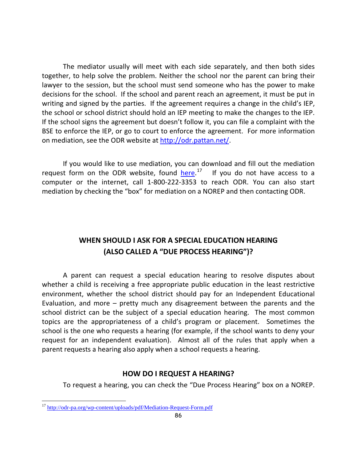The mediator usually will meet with each side separately, and then both sides together, to help solve the problem. Neither the school nor the parent can bring their lawyer to the session, but the school must send someone who has the power to make decisions for the school. If the school and parent reach an agreement, it must be put in writing and signed by the parties. If the agreement requires a change in the child's IEP, the school or school district should hold an IEP meeting to make the changes to the IEP. If the school signs the agreement but doesn't follow it, you can file a complaint with the BSE to enforce the IEP, or go to court to enforce the agreement. For more information on mediation, see the ODR website at [http://odr.pattan.net/.](http://odr.pattan.net/)

If you would like to use mediation, you can download and fill out the mediation request form on the ODR website, found *here*.<sup>17</sup> If you do not have access to a computer or the internet, call 1-800-222-3353 to reach ODR. You can also start mediation by checking the "box" for mediation on a NOREP and then contacting ODR.

## **WHEN SHOULD I ASK FOR A SPECIAL EDUCATION HEARING (ALSO CALLED A "DUE PROCESS HEARING")?**

A parent can request a special education hearing to resolve disputes about whether a child is receiving a free appropriate public education in the least restrictive environment, whether the school district should pay for an Independent Educational Evaluation, and more – pretty much any disagreement between the parents and the school district can be the subject of a special education hearing. The most common topics are the appropriateness of a child's program or placement. Sometimes the school is the one who requests a hearing (for example, if the school wants to deny your request for an independent evaluation). Almost all of the rules that apply when a parent requests a hearing also apply when a school requests a hearing.

#### **HOW DO I REQUEST A HEARING?**

To request a hearing, you can check the "Due Process Hearing" box on a NOREP.

 $\overline{a}$ 

<span id="page-93-0"></span><sup>&</sup>lt;sup>17</sup> <http://odr-pa.org/wp-content/uploads/pdf/Mediation-Request-Form.pdf>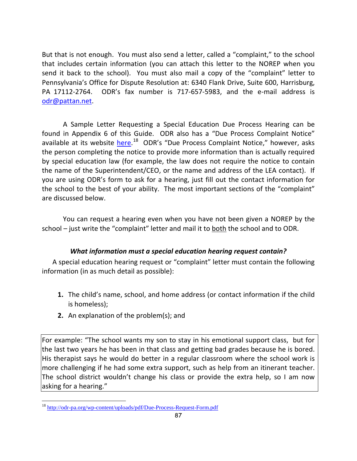But that is not enough. You must also send a letter, called a "complaint," to the school that includes certain information (you can attach this letter to the NOREP when you send it back to the school). You must also mail a copy of the "complaint" letter to Pennsylvania's Office for Dispute Resolution at: 6340 Flank Drive, Suite 600, Harrisburg, PA 17112-2764. ODR's fax number is 717-657-5983, and the e-mail address is [odr@pattan.net.](mailto:odr@pattan.net)

A Sample Letter Requesting a Special Education Due Process Hearing can be found in Appendix 6 of this Guide. ODR also has a "Due Process Complaint Notice" available at its website [here.](http://odr-pa.org/wp-content/uploads/pdf/Due-Process-Request-Form.pdf)<sup>[18](#page-94-0)</sup> ODR's "Due Process Complaint Notice," however, asks the person completing the notice to provide more information than is actually required by special education law (for example, the law does not require the notice to contain the name of the Superintendent/CEO, or the name and address of the LEA contact). If you are using ODR's form to ask for a hearing, just fill out the contact information for the school to the best of your ability. The most important sections of the "complaint" are discussed below.

You can request a hearing even when you have not been given a NOREP by the school – just write the "complaint" letter and mail it to both the school and to ODR.

## *What information must a special education hearing request contain?*

A special education hearing request or "complaint" letter must contain the following information (in as much detail as possible):

- **1.** The child's name, school, and home address (or contact information if the child is homeless);
- **2.** An explanation of the problem(s); and

For example: "The school wants my son to stay in his emotional support class, but for the last two years he has been in that class and getting bad grades because he is bored. His therapist says he would do better in a regular classroom where the school work is more challenging if he had some extra support, such as help from an itinerant teacher. The school district wouldn't change his class or provide the extra help, so I am now asking for a hearing."

 $\overline{a}$ 

<span id="page-94-0"></span><sup>&</sup>lt;sup>18</sup> <http://odr-pa.org/wp-content/uploads/pdf/Due-Process-Request-Form.pdf>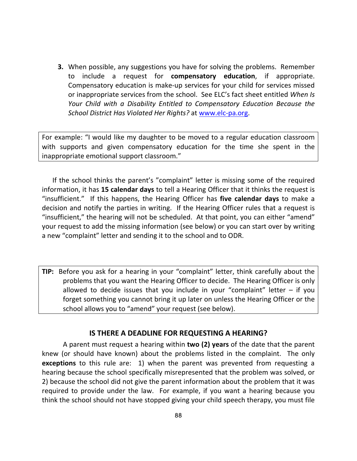**3.** When possible, any suggestions you have for solving the problems. Remember to include a request for **compensatory education**, if appropriate. Compensatory education is make-up services for your child for services missed or inappropriate services from the school. See ELC's fact sheet entitled *When Is Your Child with a Disability Entitled to Compensatory Education Because the School District Has Violated Her Rights?* at [www.elc-pa.org.](http://www.elc-pa.org/)

For example: "I would like my daughter to be moved to a regular education classroom with supports and given compensatory education for the time she spent in the inappropriate emotional support classroom."

If the school thinks the parent's "complaint" letter is missing some of the required information, it has **15 calendar days** to tell a Hearing Officer that it thinks the request is "insufficient." If this happens, the Hearing Officer has **five calendar days** to make a decision and notify the parties in writing. If the Hearing Officer rules that a request is "insufficient," the hearing will not be scheduled. At that point, you can either "amend" your request to add the missing information (see below) or you can start over by writing a new "complaint" letter and sending it to the school and to ODR.

**TIP:** Before you ask for a hearing in your "complaint" letter, think carefully about the problems that you want the Hearing Officer to decide. The Hearing Officer is only allowed to decide issues that you include in your "complaint" letter  $-$  if you forget something you cannot bring it up later on unless the Hearing Officer or the school allows you to "amend" your request (see below).

#### **IS THERE A DEADLINE FOR REQUESTING A HEARING?**

A parent must request a hearing within **two (2) years** of the date that the parent knew (or should have known) about the problems listed in the complaint. The only **exceptions** to this rule are: 1) when the parent was prevented from requesting a hearing because the school specifically misrepresented that the problem was solved, or 2) because the school did not give the parent information about the problem that it was required to provide under the law. For example, if you want a hearing because you think the school should not have stopped giving your child speech therapy, you must file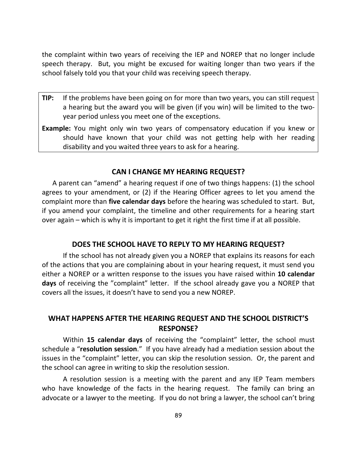the complaint within two years of receiving the IEP and NOREP that no longer include speech therapy. But, you might be excused for waiting longer than two years if the school falsely told you that your child was receiving speech therapy.

- **TIP:** If the problems have been going on for more than two years, you can still request a hearing but the award you will be given (if you win) will be limited to the twoyear period unless you meet one of the exceptions.
- **Example:** You might only win two years of compensatory education if you knew or should have known that your child was not getting help with her reading disability and you waited three years to ask for a hearing.

#### **CAN I CHANGE MY HEARING REQUEST?**

A parent can "amend" a hearing request if one of two things happens: (1) the school agrees to your amendment, or (2) if the Hearing Officer agrees to let you amend the complaint more than **five calendar days** before the hearing was scheduled to start. But, if you amend your complaint, the timeline and other requirements for a hearing start over again – which is why it is important to get it right the first time if at all possible.

#### **DOES THE SCHOOL HAVE TO REPLY TO MY HEARING REQUEST?**

If the school has not already given you a NOREP that explains its reasons for each of the actions that you are complaining about in your hearing request, it must send you either a NOREP or a written response to the issues you have raised within **10 calendar days** of receiving the "complaint" letter. If the school already gave you a NOREP that covers all the issues, it doesn't have to send you a new NOREP.

#### **WHAT HAPPENS AFTER THE HEARING REQUEST AND THE SCHOOL DISTRICT'S RESPONSE?**

Within **15 calendar days** of receiving the "complaint" letter, the school must schedule a "**resolution session**." If you have already had a mediation session about the issues in the "complaint" letter, you can skip the resolution session. Or, the parent and the school can agree in writing to skip the resolution session.

A resolution session is a meeting with the parent and any IEP Team members who have knowledge of the facts in the hearing request. The family can bring an advocate or a lawyer to the meeting. If you do not bring a lawyer, the school can't bring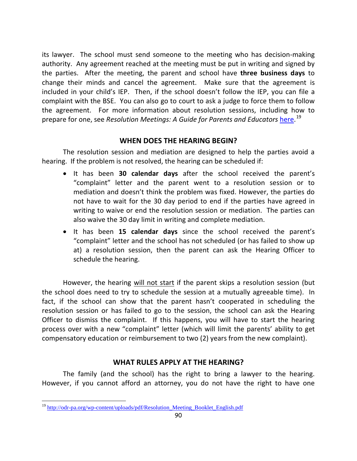its lawyer. The school must send someone to the meeting who has decision-making authority. Any agreement reached at the meeting must be put in writing and signed by the parties. After the meeting, the parent and school have **three business days** to change their minds and cancel the agreement. Make sure that the agreement is included in your child's IEP. Then, if the school doesn't follow the IEP, you can file a complaint with the BSE. You can also go to court to ask a judge to force them to follow the agreement. For more information about resolution sessions, including how to prepare for one, see *Resolution Meetings: A Guide for Parents and Educators* [here.](http://odr-pa.org/wp-content/uploads/pdf/Resolution_Meeting_Booklet_English.pdf)<sup>[19](#page-97-0)</sup>

## **WHEN DOES THE HEARING BEGIN?**

The resolution session and mediation are designed to help the parties avoid a hearing. If the problem is not resolved, the hearing can be scheduled if:

- It has been **30 calendar days** after the school received the parent's "complaint" letter and the parent went to a resolution session or to mediation and doesn't think the problem was fixed. However, the parties do not have to wait for the 30 day period to end if the parties have agreed in writing to waive or end the resolution session or mediation. The parties can also waive the 30 day limit in writing and complete mediation.
- It has been **15 calendar days** since the school received the parent's "complaint" letter and the school has not scheduled (or has failed to show up at) a resolution session, then the parent can ask the Hearing Officer to schedule the hearing.

However, the hearing will not start if the parent skips a resolution session (but the school does need to try to schedule the session at a mutually agreeable time). In fact, if the school can show that the parent hasn't cooperated in scheduling the resolution session or has failed to go to the session, the school can ask the Hearing Officer to dismiss the complaint. If this happens, you will have to start the hearing process over with a new "complaint" letter (which will limit the parents' ability to get compensatory education or reimbursement to two (2) years from the new complaint).

## **WHAT RULES APPLY AT THE HEARING?**

The family (and the school) has the right to bring a lawyer to the hearing. However, if you cannot afford an attorney, you do not have the right to have one

<span id="page-97-0"></span><sup>&</sup>lt;sup>19</sup> [http://odr-pa.org/wp-content/uploads/pdf/Resolution\\_Meeting\\_Booklet\\_English.pdf](http://odr-pa.org/wp-content/uploads/pdf/Resolution_Meeting_Booklet_English.pdf)  $\overline{a}$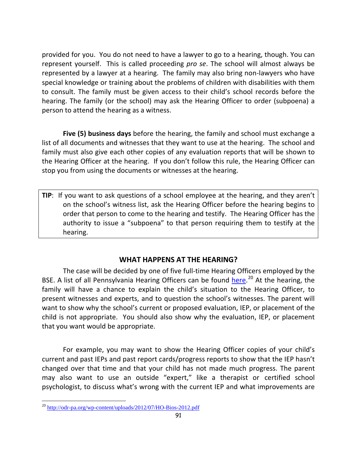provided for you. You do not need to have a lawyer to go to a hearing, though. You can represent yourself. This is called proceeding *pro se*. The school will almost always be represented by a lawyer at a hearing. The family may also bring non-lawyers who have special knowledge or training about the problems of children with disabilities with them to consult. The family must be given access to their child's school records before the hearing. The family (or the school) may ask the Hearing Officer to order (subpoena) a person to attend the hearing as a witness.

 **Five (5) business days** before the hearing, the family and school must exchange a list of all documents and witnesses that they want to use at the hearing. The school and family must also give each other copies of any evaluation reports that will be shown to the Hearing Officer at the hearing. If you don't follow this rule, the Hearing Officer can stop you from using the documents or witnesses at the hearing.

**TIP**: If you want to ask questions of a school employee at the hearing, and they aren't on the school's witness list, ask the Hearing Officer before the hearing begins to order that person to come to the hearing and testify. The Hearing Officer has the authority to issue a "subpoena" to that person requiring them to testify at the hearing.

## **WHAT HAPPENS AT THE HEARING?**

The case will be decided by one of five full-time Hearing Officers employed by the BSE. A list of all Pennsylvania Hearing Officers can be found [here.](http://odr-pa.org/wp-content/uploads/2012/07/HO-Bios-2012.pdf)<sup>[20](#page-98-0)</sup> At the hearing, the family will have a chance to explain the child's situation to the Hearing Officer, to present witnesses and experts, and to question the school's witnesses. The parent will want to show why the school's current or proposed evaluation, IEP, or placement of the child is not appropriate. You should also show why the evaluation, IEP, or placement that you want would be appropriate.

For example, you may want to show the Hearing Officer copies of your child's current and past IEPs and past report cards/progress reports to show that the IEP hasn't changed over that time and that your child has not made much progress. The parent may also want to use an outside "expert," like a therapist or certified school psychologist, to discuss what's wrong with the current IEP and what improvements are

<span id="page-98-0"></span><sup>&</sup>lt;sup>20</sup> <http://odr-pa.org/wp-content/uploads/2012/07/HO-Bios-2012.pdf>  $\overline{a}$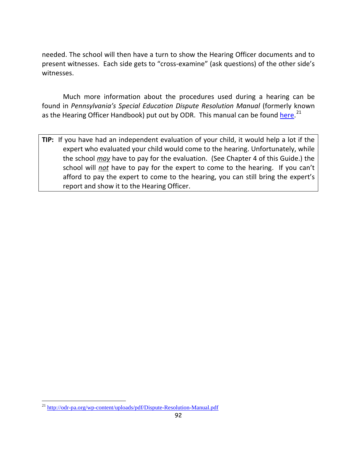needed. The school will then have a turn to show the Hearing Officer documents and to present witnesses. Each side gets to "cross-examine" (ask questions) of the other side's witnesses.

Much more information about the procedures used during a hearing can be found in *Pennsylvania's Special Education Dispute Resolution Manual* (formerly known as the Hearing Officer Handbook) put out by ODR. This manual can be found *here.*<sup>[21](#page-99-0)</sup>

**TIP:** If you have had an independent evaluation of your child, it would help a lot if the expert who evaluated your child would come to the hearing. Unfortunately, while the school *may* have to pay for the evaluation. (See Chapter 4 of this Guide.) the school will *not* have to pay for the expert to come to the hearing. If you can't afford to pay the expert to come to the hearing, you can still bring the expert's report and show it to the Hearing Officer.

 $\overline{a}$ 

<span id="page-99-0"></span><sup>&</sup>lt;sup>21</sup> <http://odr-pa.org/wp-content/uploads/pdf/Dispute-Resolution-Manual.pdf>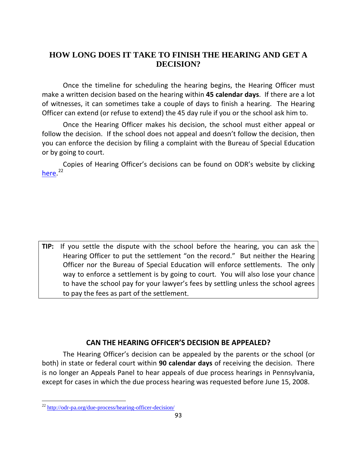## **HOW LONG DOES IT TAKE TO FINISH THE HEARING AND GET A DECISION?**

Once the timeline for scheduling the hearing begins, the Hearing Officer must make a written decision based on the hearing within **45 calendar days**. If there are a lot of witnesses, it can sometimes take a couple of days to finish a hearing. The Hearing Officer can extend (or refuse to extend) the 45 day rule if you or the school ask him to.

Once the Hearing Officer makes his decision, the school must either appeal or follow the decision. If the school does not appeal and doesn't follow the decision, then you can enforce the decision by filing a complaint with the Bureau of Special Education or by going to court.

Copies of Hearing Officer's decisions can be found on ODR's website by clicking [here.](http://odr-pa.org/due-process/hearing-officer-decision/)<sup>[22](#page-100-0)</sup>

**TIP:** If you settle the dispute with the school before the hearing, you can ask the Hearing Officer to put the settlement "on the record." But neither the Hearing Officer nor the Bureau of Special Education will enforce settlements. The only way to enforce a settlement is by going to court. You will also lose your chance to have the school pay for your lawyer's fees by settling unless the school agrees to pay the fees as part of the settlement.

## **CAN THE HEARING OFFICER'S DECISION BE APPEALED?**

The Hearing Officer's decision can be appealed by the parents or the school (or both) in state or federal court within **90 calendar days** of receiving the decision. There is no longer an Appeals Panel to hear appeals of due process hearings in Pennsylvania, except for cases in which the due process hearing was requested before June 15, 2008.

 $\overline{a}$ 

<span id="page-100-0"></span><sup>&</sup>lt;sup>22</sup> <http://odr-pa.org/due-process/hearing-officer-decision/>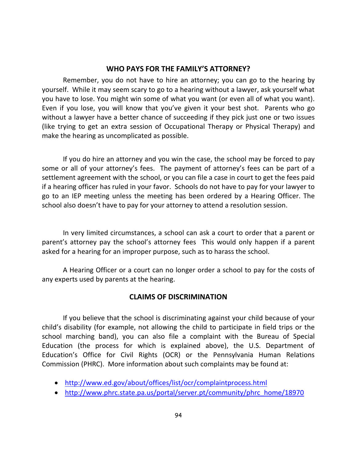#### **WHO PAYS FOR THE FAMILY'S ATTORNEY?**

Remember, you do not have to hire an attorney; you can go to the hearing by yourself. While it may seem scary to go to a hearing without a lawyer, ask yourself what you have to lose. You might win some of what you want (or even all of what you want). Even if you lose, you will know that you've given it your best shot. Parents who go without a lawyer have a better chance of succeeding if they pick just one or two issues (like trying to get an extra session of Occupational Therapy or Physical Therapy) and make the hearing as uncomplicated as possible.

If you do hire an attorney and you win the case, the school may be forced to pay some or all of your attorney's fees. The payment of attorney's fees can be part of a settlement agreement with the school, or you can file a case in court to get the fees paid if a hearing officer has ruled in your favor. Schools do not have to pay for your lawyer to go to an IEP meeting unless the meeting has been ordered by a Hearing Officer. The school also doesn't have to pay for your attorney to attend a resolution session.

In very limited circumstances, a school can ask a court to order that a parent or parent's attorney pay the school's attorney fees This would only happen if a parent asked for a hearing for an improper purpose, such as to harass the school.

A Hearing Officer or a court can no longer order a school to pay for the costs of any experts used by parents at the hearing.

## **CLAIMS OF DISCRIMINATION**

If you believe that the school is discriminating against your child because of your child's disability (for example, not allowing the child to participate in field trips or the school marching band), you can also file a complaint with the Bureau of Special Education (the process for which is explained above), the U.S. Department of Education's Office for Civil Rights (OCR) or the Pennsylvania Human Relations Commission (PHRC). More information about such complaints may be found at:

- <http://www.ed.gov/about/offices/list/ocr/complaintprocess.html>
- [http://www.phrc.state.pa.us/portal/server.pt/community/phrc\\_home/18970](http://www.phrc.state.pa.us/portal/server.pt/community/phrc_home/18970)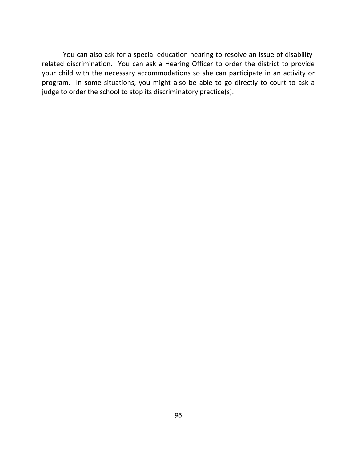You can also ask for a special education hearing to resolve an issue of disabilityrelated discrimination. You can ask a Hearing Officer to order the district to provide your child with the necessary accommodations so she can participate in an activity or program. In some situations, you might also be able to go directly to court to ask a judge to order the school to stop its discriminatory practice(s).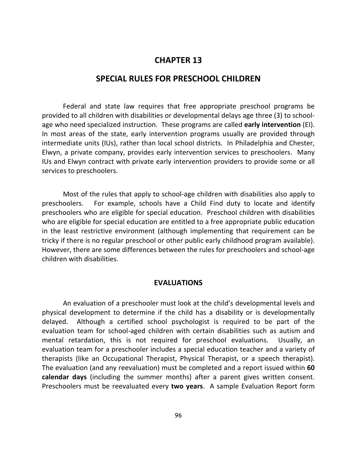## **CHAPTER 13**

## **SPECIAL RULES FOR PRESCHOOL CHILDREN**

Federal and state law requires that free appropriate preschool programs be provided to all children with disabilities or developmental delays age three (3) to schoolage who need specialized instruction. These programs are called **early intervention** (EI). In most areas of the state, early intervention programs usually are provided through intermediate units (IUs), rather than local school districts. In Philadelphia and Chester, Elwyn, a private company, provides early intervention services to preschoolers. Many IUs and Elwyn contract with private early intervention providers to provide some or all services to preschoolers.

Most of the rules that apply to school-age children with disabilities also apply to preschoolers. For example, schools have a Child Find duty to locate and identify preschoolers who are eligible for special education. Preschool children with disabilities who are eligible for special education are entitled to a free appropriate public education in the least restrictive environment (although implementing that requirement can be tricky if there is no regular preschool or other public early childhood program available). However, there are some differences between the rules for preschoolers and school-age children with disabilities.

#### **EVALUATIONS**

An evaluation of a preschooler must look at the child's developmental levels and physical development to determine if the child has a disability or is developmentally delayed. Although a certified school psychologist is required to be part of the evaluation team for school-aged children with certain disabilities such as autism and mental retardation, this is not required for preschool evaluations. Usually, an evaluation team for a preschooler includes a special education teacher and a variety of therapists (like an Occupational Therapist, Physical Therapist, or a speech therapist). The evaluation (and any reevaluation) must be completed and a report issued within **60 calendar days** (including the summer months) after a parent gives written consent. Preschoolers must be reevaluated every **two years**. A sample Evaluation Report form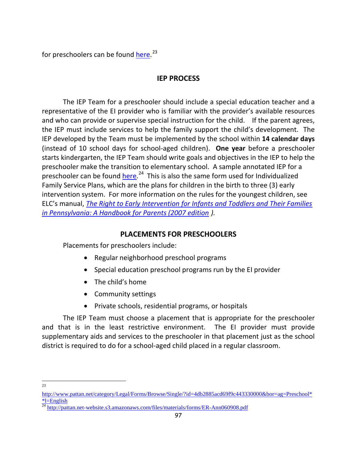for preschoolers can be found <u>here</u>.<sup>[23](#page-104-0)</sup>

## **IEP PROCESS**

The IEP Team for a preschooler should include a special education teacher and a representative of the EI provider who is familiar with the provider's available resources and who can provide or supervise special instruction for the child. If the parent agrees, the IEP must include services to help the family support the child's development. The IEP developed by the Team must be implemented by the school within **14 calendar days** (instead of 10 school days for school-aged children). **One year** before a preschooler starts kindergarten, the IEP Team should write goals and objectives in the IEP to help the preschooler make the transition to elementary school. A sample annotated IEP for a preschooler can be found **[here.](http://pattan.net-website.s3.amazonaws.com/files/materials/forms/ER-Ann060908.pdf)**<sup>24</sup> This is also the same form used for Individualized Family Service Plans, which are the plans for children in the birth to three (3) early intervention system. For more information on the rules for the youngest children, see ELC's manual, *[The Right to Early Intervention for Infants and Toddlers and Their Families](http://drnpa.org/File/publications/the-right-to-early-intervention-for-infants-and-toddlers-and-their-families-in-pennsylvania-.pdf)  [in Pennsylvania: A Handbook for Parents \(2007](http://drnpa.org/File/publications/the-right-to-early-intervention-for-infants-and-toddlers-and-their-families-in-pennsylvania-.pdf) edition ).* 

## **PLACEMENTS FOR PRESCHOOLERS**

Placements for preschoolers include:

- Regular neighborhood preschool programs
- Special education preschool programs run by the EI provider
- The child's home
- Community settings
- Private schools, residential programs, or hospitals

The IEP Team must choose a placement that is appropriate for the preschooler and that is in the least restrictive environment. The EI provider must provide supplementary aids and services to the preschooler in that placement just as the school district is required to do for a school-aged child placed in a regular classroom.

<sup>&</sup>lt;sup>23</sup>

<span id="page-104-0"></span>[http://www.pattan.net/category/Legal/Forms/Browse/Single/?id=4db2885acd69f9c443330000&bor=ag=Preschool\\*](http://www.pattan.net/category/Legal/Forms/Browse/Single/?id=4db2885acd69f9c443330000&bor=ag=Preschool**l=English) [\\*l=English](http://www.pattan.net/category/Legal/Forms/Browse/Single/?id=4db2885acd69f9c443330000&bor=ag=Preschool**l=English)

<span id="page-104-1"></span> $\frac{24 \text{ http://pattern.net-website.s3.amazonaws.com/files/materials/forms/ER-Ann060908.pdf}}{24 \text{ http://pattern.net-website.s3.amazonaws.com/files/materials/forms/ER-Ann060908.pdf}}$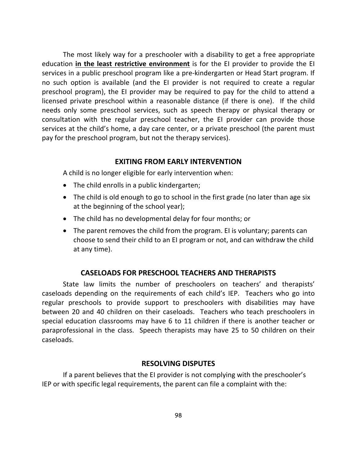The most likely way for a preschooler with a disability to get a free appropriate education **in the least restrictive environment** is for the EI provider to provide the EI services in a public preschool program like a pre-kindergarten or Head Start program. If no such option is available (and the EI provider is not required to create a regular preschool program), the EI provider may be required to pay for the child to attend a licensed private preschool within a reasonable distance (if there is one). If the child needs only some preschool services, such as speech therapy or physical therapy or consultation with the regular preschool teacher, the EI provider can provide those services at the child's home, a day care center, or a private preschool (the parent must pay for the preschool program, but not the therapy services).

#### **EXITING FROM EARLY INTERVENTION**

A child is no longer eligible for early intervention when:

- The child enrolls in a public kindergarten;
- The child is old enough to go to school in the first grade (no later than age six at the beginning of the school year);
- The child has no developmental delay for four months; or
- The parent removes the child from the program. EI is voluntary; parents can choose to send their child to an EI program or not, and can withdraw the child at any time).

#### **CASELOADS FOR PRESCHOOL TEACHERS AND THERAPISTS**

State law limits the number of preschoolers on teachers' and therapists' caseloads depending on the requirements of each child's IEP. Teachers who go into regular preschools to provide support to preschoolers with disabilities may have between 20 and 40 children on their caseloads. Teachers who teach preschoolers in special education classrooms may have 6 to 11 children if there is another teacher or paraprofessional in the class. Speech therapists may have 25 to 50 children on their caseloads.

#### **RESOLVING DISPUTES**

If a parent believes that the EI provider is not complying with the preschooler's IEP or with specific legal requirements, the parent can file a complaint with the: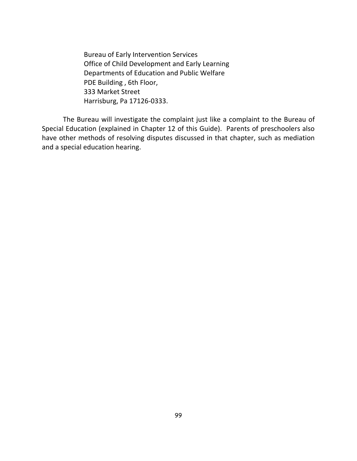Bureau of Early Intervention Services Office of Child Development and Early Learning Departments of Education and Public Welfare PDE Building , 6th Floor, 333 Market Street Harrisburg, Pa 17126-0333.

The Bureau will investigate the complaint just like a complaint to the Bureau of Special Education (explained in Chapter 12 of this Guide). Parents of preschoolers also have other methods of resolving disputes discussed in that chapter, such as mediation and a special education hearing.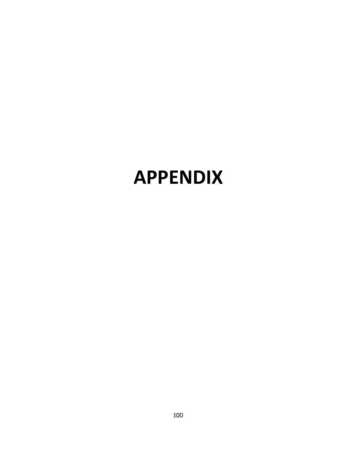# **APPENDIX**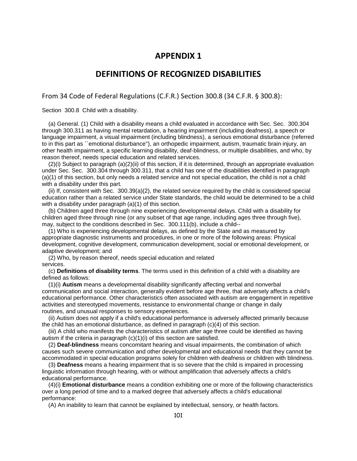### **DEFINITIONS OF RECOGNIZED DISABILITIES**

From 34 Code of Federal Regulations (C.F.R.) Section 300.8 (34 C.F.R. § 300.8):

Section 300.8 Child with a disability.

 (a) General. (1) Child with a disability means a child evaluated in accordance with Sec. Sec. 300.304 through 300.311 as having mental retardation, a hearing impairment (including deafness), a speech or language impairment, a visual impairment (including blindness), a serious emotional disturbance (referred to in this part as ``emotional disturbance''), an orthopedic impairment, autism, traumatic brain injury, an other health impairment, a specific learning disability, deaf-blindness, or multiple disabilities, and who, by reason thereof, needs special education and related services.

 (2)(i) Subject to paragraph (a)(2)(ii) of this section, if it is determined, through an appropriate evaluation under Sec. Sec. 300.304 through 300.311, that a child has one of the disabilities identified in paragraph (a)(1) of this section, but only needs a related service and not special education, the child is not a child with a disability under this part.

 (ii) If, consistent with Sec. 300.39(a)(2), the related service required by the child is considered special education rather than a related service under State standards, the child would be determined to be a child with a disability under paragraph (a)(1) of this section.

 (b) Children aged three through nine experiencing developmental delays. Child with a disability for children aged three through nine (or any subset of that age range, including ages three through five), may, subject to the conditions described in Sec. 300.111(b), include a child--

 (1) Who is experiencing developmental delays, as defined by the State and as measured by appropriate diagnostic instruments and procedures, in one or more of the following areas: Physical development, cognitive development, communication development, social or emotional development, or adaptive development; and

 (2) Who, by reason thereof, needs special education and related services.

 (c) **Definitions of disability terms**. The terms used in this definition of a child with a disability are defined as follows:

 (1)(i) **Autism** means a developmental disability significantly affecting verbal and nonverbal communication and social interaction, generally evident before age three, that adversely affects a child's educational performance. Other characteristics often associated with autism are engagement in repetitive activities and stereotyped movements, resistance to environmental change or change in daily routines, and unusual responses to sensory experiences.

 (ii) Autism does not apply if a child's educational performance is adversely affected primarily because the child has an emotional disturbance, as defined in paragraph (c)(4) of this section.

 (iii) A child who manifests the characteristics of autism after age three could be identified as having autism if the criteria in paragraph (c)(1)(i) of this section are satisfied.

 (2) **Deaf-blindness** means concomitant hearing and visual impairments, the combination of which causes such severe communication and other developmental and educational needs that they cannot be accommodated in special education programs solely for children with deafness or children with blindness.

 (3) **Deafness** means a hearing impairment that is so severe that the child is impaired in processing linguistic information through hearing, with or without amplification that adversely affects a child's educational performance.

 (4)(i) **Emotional disturbance** means a condition exhibiting one or more of the following characteristics over a long period of time and to a marked degree that adversely affects a child's educational performance:

(A) An inability to learn that cannot be explained by intellectual, sensory, or health factors.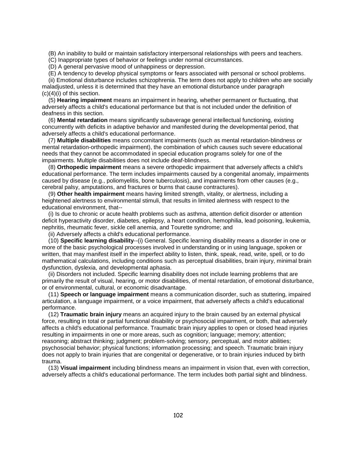(B) An inability to build or maintain satisfactory interpersonal relationships with peers and teachers.

(C) Inappropriate types of behavior or feelings under normal circumstances.

(D) A general pervasive mood of unhappiness or depression.

(E) A tendency to develop physical symptoms or fears associated with personal or school problems.

 (ii) Emotional disturbance includes schizophrenia. The term does not apply to children who are socially maladjusted, unless it is determined that they have an emotional disturbance under paragraph (c)(4)(i) of this section.

 (5) **Hearing impairment** means an impairment in hearing, whether permanent or fluctuating, that adversely affects a child's educational performance but that is not included under the definition of deafness in this section.

 (6) **Mental retardation** means significantly subaverage general intellectual functioning, existing concurrently with deficits in adaptive behavior and manifested during the developmental period, that adversely affects a child's educational performance.

 (7) **Multiple disabilities** means concomitant impairments (such as mental retardation-blindness or mental retardation-orthopedic impairment), the combination of which causes such severe educational needs that they cannot be accommodated in special education programs solely for one of the impairments. Multiple disabilities does not include deaf-blindness.

 (8) **Orthopedic impairment** means a severe orthopedic impairment that adversely affects a child's educational performance. The term includes impairments caused by a congenital anomaly, impairments caused by disease (e.g., poliomyelitis, bone tuberculosis), and impairments from other causes (e.g., cerebral palsy, amputations, and fractures or burns that cause contractures).

 (9) **Other health impairment** means having limited strength, vitality, or alertness, including a heightened alertness to environmental stimuli, that results in limited alertness with respect to the educational environment, that--

 (i) Is due to chronic or acute health problems such as asthma, attention deficit disorder or attention deficit hyperactivity disorder, diabetes, epilepsy, a heart condition, hemophilia, lead poisoning, leukemia, nephritis, rheumatic fever, sickle cell anemia, and Tourette syndrome; and

(ii) Adversely affects a child's educational performance.

 (10) **Specific learning disability**--(i) General. Specific learning disability means a disorder in one or more of the basic psychological processes involved in understanding or in using language, spoken or written, that may manifest itself in the imperfect ability to listen, think, speak, read, write, spell, or to do mathematical calculations, including conditions such as perceptual disabilities, brain injury, minimal brain dysfunction, dyslexia, and developmental aphasia.

 (ii) Disorders not included. Specific learning disability does not include learning problems that are primarily the result of visual, hearing, or motor disabilities, of mental retardation, of emotional disturbance, or of environmental, cultural, or economic disadvantage.

 (11) **Speech or language impairment** means a communication disorder, such as stuttering, impaired articulation, a language impairment, or a voice impairment, that adversely affects a child's educational performance.

 (12) **Traumatic brain injury** means an acquired injury to the brain caused by an external physical force, resulting in total or partial functional disability or psychosocial impairment, or both, that adversely affects a child's educational performance. Traumatic brain injury applies to open or closed head injuries resulting in impairments in one or more areas, such as cognition; language; memory; attention; reasoning; abstract thinking; judgment; problem-solving; sensory, perceptual, and motor abilities; psychosocial behavior; physical functions; information processing; and speech. Traumatic brain injury does not apply to brain injuries that are congenital or degenerative, or to brain injuries induced by birth trauma.

 (13) **Visual impairment** including blindness means an impairment in vision that, even with correction, adversely affects a child's educational performance. The term includes both partial sight and blindness.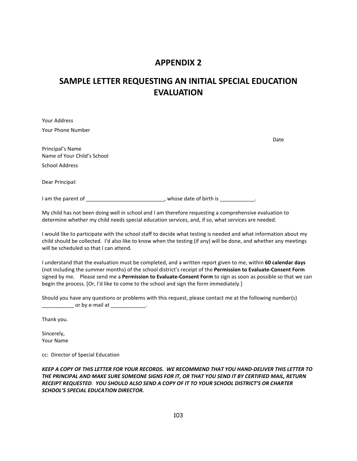# **SAMPLE LETTER REQUESTING AN INITIAL SPECIAL EDUCATION EVALUATION**

| Your Address                |                          |      |
|-----------------------------|--------------------------|------|
| Your Phone Number           |                          |      |
|                             |                          | Date |
| Principal's Name            |                          |      |
| Name of Your Child's School |                          |      |
| <b>School Address</b>       |                          |      |
| Dear Principal:             |                          |      |
|                             |                          |      |
| I am the parent of          | , whose date of birth is |      |

My child has not been doing well in school and I am therefore requesting a comprehensive evaluation to determine whether my child needs special education services, and, if so, what services are needed.

I would like to participate with the school staff to decide what testing is needed and what information about my child should be collected. I'd also like to know when the testing (if any) will be done, and whether any meetings will be scheduled so that I can attend.

I understand that the evaluation must be completed, and a written report given to me, within **60 calendar days** (not including the summer months) of the school district's receipt of the **Permission to Evaluate-Consent Form** signed by me. Please send me a **Permission to Evaluate-Consent Form** to sign as soon as possible so that we can begin the process. [Or, I'd like to come to the school and sign the form immediately.]

Should you have any questions or problems with this request, please contact me at the following number(s)  $\Box$  or by e-mail at  $\Box$ 

Thank you.

Sincerely, Your Name

cc: Director of Special Education

*KEEP A COPY OF THIS LETTER FOR YOUR RECORDS. WE RECOMMEND THAT YOU HAND-DELIVER THIS LETTER TO THE PRINCIPAL AND MAKE SURE SOMEONE SIGNS FOR IT, OR THAT YOU SEND IT BY CERTIFIED MAIL, RETURN RECEIPT REQUESTED*. *YOU SHOULD ALSO SEND A COPY OF IT TO YOUR SCHOOL DISTRICT'S OR CHARTER SCHOOL'S SPECIAL EDUCATION DIRECTOR.*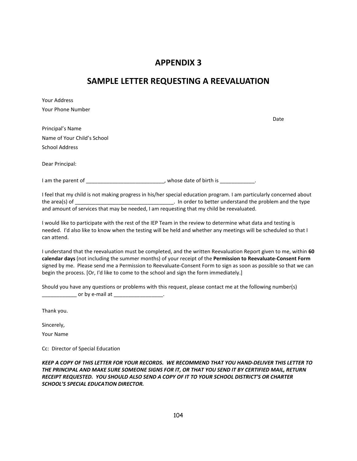## **SAMPLE LETTER REQUESTING A REEVALUATION**

| Your Address                                                                                                                                                                                                                       |                                                                                                                     |
|------------------------------------------------------------------------------------------------------------------------------------------------------------------------------------------------------------------------------------|---------------------------------------------------------------------------------------------------------------------|
| Your Phone Number                                                                                                                                                                                                                  |                                                                                                                     |
|                                                                                                                                                                                                                                    | Date                                                                                                                |
| Principal's Name                                                                                                                                                                                                                   |                                                                                                                     |
| Name of Your Child's School                                                                                                                                                                                                        |                                                                                                                     |
| <b>School Address</b>                                                                                                                                                                                                              |                                                                                                                     |
| Dear Principal:                                                                                                                                                                                                                    |                                                                                                                     |
| I am the parent of <b>the contract of the contract of the contract of state of birth is contract of the contract of the contract of the contract of the contract of the contract of the contract of the contract of the contra</b> |                                                                                                                     |
| and amount of services that may be needed, I am requesting that my child be reevaluated.                                                                                                                                           | I feel that my child is not making progress in his/her special education program. I am particularly concerned about |
| $\mathbf{r}$ . The state of the state of the state of the state of the state of the state of the state of the state of the state of the state of the state of the state of the state of the state of the state of the state of th  |                                                                                                                     |

I would like to participate with the rest of the IEP Team in the review to determine what data and testing is needed. I'd also like to know when the testing will be held and whether any meetings will be scheduled so that I can attend.

I understand that the reevaluation must be completed, and the written Reevaluation Report given to me, within **60 calendar days** (not including the summer months) of your receipt of the **Permission to Reevaluate-Consent Form** signed by me. Please send me a Permission to Reevaluate-Consent Form to sign as soon as possible so that we can begin the process. [Or, I'd like to come to the school and sign the form immediately.]

Should you have any questions or problems with this request, please contact me at the following number(s) \_\_\_\_\_\_\_\_\_\_\_\_\_\_\_\_\_ or by e-mail at \_\_\_\_\_\_\_\_\_\_\_\_\_\_\_\_\_\_\_\_\_\_.

Thank you.

Sincerely,

Your Name

Cc: Director of Special Education

*KEEP A COPY OF THIS LETTER FOR YOUR RECORDS. WE RECOMMEND THAT YOU HAND-DELIVER THIS LETTER TO THE PRINCIPAL AND MAKE SURE SOMEONE SIGNS FOR IT, OR THAT YOU SEND IT BY CERTIFIED MAIL, RETURN RECEIPT REQUESTED. YOU SHOULD ALSO SEND A COPY OF IT TO YOUR SCHOOL DISTRICT'S OR CHARTER SCHOOL'S SPECIAL EDUCATION DIRECTOR.*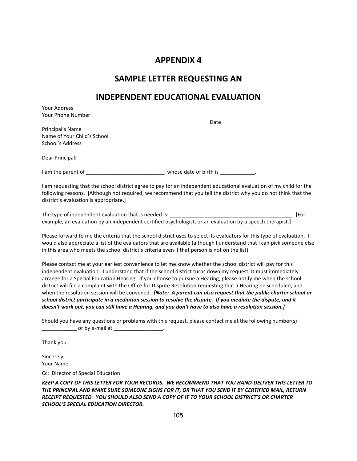## **SAMPLE LETTER REQUESTING AN**

## **INDEPENDENT EDUCATIONAL EVALUATION**

Your Address Your Phone Number

Date

Principal's Name Name of Your Child's School School's Address

Dear Principal:

I am the parent of \_\_\_\_\_\_\_\_\_\_\_\_\_\_\_\_\_\_\_\_\_\_\_\_\_\_, whose date of birth is \_\_\_\_\_\_\_\_\_\_\_.

I am requesting that the school district agree to pay for an independent educational evaluation of my child for the following reasons. [Although not required, we recommend that you tell the district why you do not think that the district's evaluation is appropriate.]

The type of independent evaluation that is needed is: \_\_\_\_\_\_\_\_\_\_\_\_\_\_\_\_\_\_\_\_\_\_\_\_\_\_\_\_\_\_\_\_\_\_\_\_\_\_\_\_\_\_. [For example, an evaluation by an independent certified psychologist, or an evaluation by a speech therapist.]

Please forward to me the criteria that the school district uses to select its evaluators for this type of evaluation. I would also appreciate a list of the evaluators that are available (although I understand that I can pick someone else in this area who meets the school district's criteria even if that person is not on the list).

Please contact me at your earliest convenience to let me know whether the school district will pay for this independent evaluation. I understand that if the school district turns down my request, it must immediately arrange for a Special Education Hearing. If you choose to pursue a Hearing, please notify me when the school district will file a complaint with the Office for Dispute Resolution requesting that a Hearing be scheduled, and when the resolution session will be convened. *[Note: A parent can also request that the public charter school or school district participate in a mediation session to resolve the dispute. If you mediate the dispute, and it doesn't work out, you can still have a Hearing, and you don't have to also have a resolution session.]*

Should you have any questions or problems with this request, please contact me at the following number(s) <u>\_\_\_\_\_\_\_\_</u>\_\_\_\_\_\_ or by e-mail at \_\_\_\_\_\_\_\_\_\_\_\_\_\_\_\_\_\_\_\_\_\_\_.

Thank you.

Sincerely, Your Name

Cc: Director of Special Education

*KEEP A COPY OF THIS LETTER FOR YOUR RECORDS. WE RECOMMEND THAT YOU HAND-DELIVER THIS LETTER TO THE PRINCIPAL AND MAKE SURE SOMEONE SIGNS FOR IT, OR THAT YOU SEND IT BY CERTIFIED MAIL, RETURN RECEIPT REQUESTED. YOU SHOULD ALSO SEND A COPY OF IT TO YOUR SCHOOL DISTRICT'S OR CHARTER SCHOOL'S SPECIAL EDUCATION DIRECTOR.*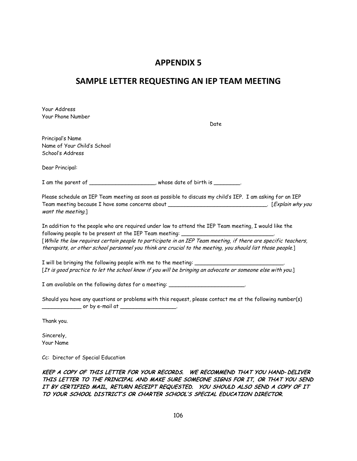## **SAMPLE LETTER REQUESTING AN IEP TEAM MEETING**

| Your Address<br>Your Phone Number<br>Date                                                                                                                                                                                                                                                                                                                                                       |
|-------------------------------------------------------------------------------------------------------------------------------------------------------------------------------------------------------------------------------------------------------------------------------------------------------------------------------------------------------------------------------------------------|
|                                                                                                                                                                                                                                                                                                                                                                                                 |
| Principal's Name<br>Name of Your Child's School<br>School's Address                                                                                                                                                                                                                                                                                                                             |
| Dear Principal:                                                                                                                                                                                                                                                                                                                                                                                 |
| I am the parent of ______________________, whose date of birth is _________.                                                                                                                                                                                                                                                                                                                    |
| Please schedule an IEP Team meeting as soon as possible to discuss my child's IEP. I am asking for an IEP<br>want the meeting.]                                                                                                                                                                                                                                                                 |
| In addition to the people who are required under law to attend the IEP Team meeting, I would like the<br>following people to be present at the IEP Team meeting:<br>[While the law requires certain people to participate in an IEP Team meeting, if there are specific teachers,<br>therapists, or other school personnel you think are crucial to the meeting, you should list those people.] |
|                                                                                                                                                                                                                                                                                                                                                                                                 |
| [It is good practice to let the school know if you will be bringing an advocate or someone else with you.]                                                                                                                                                                                                                                                                                      |
| I am available on the following dates for a meeting: ___________________________                                                                                                                                                                                                                                                                                                                |
| Should you have any questions or problems with this request, please contact me at the following number(s)                                                                                                                                                                                                                                                                                       |
| Thank you.                                                                                                                                                                                                                                                                                                                                                                                      |
| Sincerely,<br>Your Name                                                                                                                                                                                                                                                                                                                                                                         |
| Cc: Director of Special Education                                                                                                                                                                                                                                                                                                                                                               |

KEEP A COPY OF THIS LETTER FOR YOUR RECORDS. WE RECOMMEND THAT YOU HAND- DELIVER THIS LETTER TO THE PRINCIPAL AND MAKE SURE SOMEONE SIGNS FOR IT, OR THAT YOU SEND IT BY CERTIFIED MAIL, RETURN RECEIPT REQUESTED. YOU SHOULD ALSO SEND A COPY OF IT TO YOUR SCHOOL DISTRICT'S OR CHARTER SCHOOL'S SPECIAL EDUCATION DIRECTOR.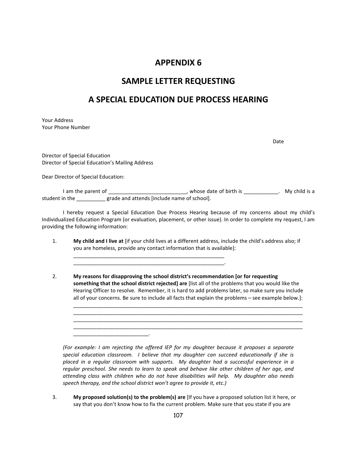## **SAMPLE LETTER REQUESTING**

## **A SPECIAL EDUCATION DUE PROCESS HEARING**

Your Address Your Phone Number

Date

Director of Special Education Director of Special Education's Mailing Address

\_\_\_\_\_\_\_\_\_\_\_\_\_\_\_\_\_\_\_\_\_\_\_\_\_\_.

Dear Director of Special Education:

I am the parent of \_\_\_\_\_\_\_\_\_\_\_\_\_\_\_\_\_\_\_\_\_\_\_\_\_\_\_\_, whose date of birth is \_\_\_\_\_\_\_\_\_\_\_. My child is a student in the \_\_\_\_\_\_\_\_\_\_ grade and attends [include name of school].

I hereby request a Special Education Due Process Hearing because of my concerns about my child's Individualized Education Program (or evaluation, placement, or other issue). In order to complete my request, I am providing the following information:

1. **My child and I live at** [if your child lives at a different address, include the child's address also; if you are homeless, provide any contact information that is available]:

\_\_\_\_\_\_\_\_\_\_\_\_\_\_\_\_\_\_\_\_\_\_\_\_\_\_\_\_\_\_\_\_\_\_\_\_\_\_\_\_\_\_\_\_\_\_\_\_\_\_\_\_ \_\_\_\_\_\_\_\_\_\_\_\_\_\_\_\_\_\_\_\_\_\_\_\_\_\_\_\_\_\_\_\_\_\_\_\_\_\_\_\_\_\_\_\_\_\_\_\_\_\_\_\_.

2. **My reasons for disapproving the school district's recommendation [or for requesting something that the school district rejected] are** [list all of the problems that you would like the Hearing Officer to resolve. Remember, it is hard to add problems later, so make sure you include all of your concerns. Be sure to include all facts that explain the problems – see example below.]: \_\_\_\_\_\_\_\_\_\_\_\_\_\_\_\_\_\_\_\_\_\_\_\_\_\_\_\_\_\_\_\_\_\_\_\_\_\_\_\_\_\_\_\_\_\_\_\_\_\_\_\_\_\_\_\_\_\_\_\_\_\_\_\_\_\_\_\_\_\_\_\_\_\_\_\_\_\_\_

\_\_\_\_\_\_\_\_\_\_\_\_\_\_\_\_\_\_\_\_\_\_\_\_\_\_\_\_\_\_\_\_\_\_\_\_\_\_\_\_\_\_\_\_\_\_\_\_\_\_\_\_\_\_\_\_\_\_\_\_\_\_\_\_\_\_\_\_\_\_\_\_\_\_\_\_\_\_\_ \_\_\_\_\_\_\_\_\_\_\_\_\_\_\_\_\_\_\_\_\_\_\_\_\_\_\_\_\_\_\_\_\_\_\_\_\_\_\_\_\_\_\_\_\_\_\_\_\_\_\_\_\_\_\_\_\_\_\_\_\_\_\_\_\_\_\_\_\_\_\_\_\_\_\_\_\_\_\_

*(For example: I am rejecting the offered IEP for my daughter because it proposes a separate special education classroom. I believe that my daughter can succeed educationally if she is placed in a regular classroom with supports. My daughter had a successful experience in a regular preschool. She needs to learn to speak and behave like other children of her age, and attending class with children who do not have disabilities will help. My daughter also needs speech therapy, and the school district won't agree to provide it, etc.)*

3. **My proposed solution(s) to the problem(s) are** [If you have a proposed solution list it here, or say that you don't know how to fix the current problem. Make sure that you state if you are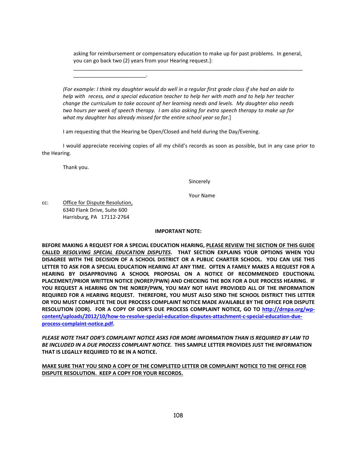asking for reimbursement or compensatory education to make up for past problems. In general, you can go back two (2) years from your Hearing request.]: \_\_\_\_\_\_\_\_\_\_\_\_\_\_\_\_\_\_\_\_\_\_\_\_\_\_\_\_\_\_\_\_\_\_\_\_\_\_\_\_\_\_\_\_\_\_\_\_\_\_\_\_\_\_\_\_\_\_\_\_\_\_\_\_\_\_\_\_\_\_\_\_\_\_\_\_\_\_\_

*(For example: I think my daughter would do well in a regular first grade class if she had an aide to help with recess, and a special education teacher to help her with math and to help her teacher change the curriculum to take account of her learning needs and levels. My daughter also needs two hours per week of speech therapy. I am also asking for extra speech therapy to make up for what my daughter has already missed for the entire school year so far.*]

I am requesting that the Hearing be Open/Closed and held during the Day/Evening.

I would appreciate receiving copies of all my child's records as soon as possible, but in any case prior to the Hearing.

Thank you.

Sincerely

Your Name

cc: Office for Dispute Resolution, 6340 Flank Drive, Suite 600 Harrisburg, PA 17112-2764

\_\_\_\_\_\_\_\_\_\_\_\_\_\_\_\_\_\_\_\_\_\_\_\_\_.

#### **IMPORTANT NOTE:**

**BEFORE MAKING A REQUEST FOR A SPECIAL EDUCATION HEARING, PLEASE REVIEW THE SECTION OF THIS GUIDE CALLED** *RESOLVING SPECIAL EDUCATION DISPUTES***. THAT SECTION EXPLAINS YOUR OPTIONS WHEN YOU DISAGREE WITH THE DECISION OF A SCHOOL DISTRICT OR A PUBLIC CHARTER SCHOOL. YOU CAN USE THIS LETTER TO ASK FOR A SPECIAL EDUCATION HEARING AT ANY TIME. OFTEN A FAMILY MAKES A REQUEST FOR A HEARING BY DISAPPROVING A SCHOOL PROPOSAL ON A NOTICE OF RECOMMENDED EDUCTIONAL PLACEMENT/PRIOR WRITTEN NOTICE (NOREP/PWN) AND CHECKING THE BOX FOR A DUE PROCESS HEARING. IF YOU REQUEST A HEARING ON THE NOREP/PWN, YOU MAY NOT HAVE PROVIDED ALL OF THE INFORMATION REQUIRED FOR A HEARING REQUEST. THEREFORE, YOU MUST ALSO SEND THE SCHOOL DISTRICT THIS LETTER OR YOU MUST COMPLETE THE DUE PROCESS COMPLAINT NOTICE MADE AVAILABLE BY THE OFFICE FOR DISPUTE RESOLUTION (ODR). FOR A COPY OF ODR'S DUE PROCESS COMPLAINT NOTICE, GO TO [http://drnpa.org/wp](http://drnpa.org/wp-content/uploads/2012/10/how-to-resolve-special-education-disputes-attachment-c-special-education-due-process-complaint-notice.pdf)[content/uploads/2012/10/how-to-resolve-special-education-disputes-attachment-c-special-education-due](http://drnpa.org/wp-content/uploads/2012/10/how-to-resolve-special-education-disputes-attachment-c-special-education-due-process-complaint-notice.pdf)[process-complaint-notice.pdf.](http://drnpa.org/wp-content/uploads/2012/10/how-to-resolve-special-education-disputes-attachment-c-special-education-due-process-complaint-notice.pdf)** 

*PLEASE NOTE THAT ODR'S COMPLAINT NOTICE ASKS FOR MORE INFORMATION THAN IS REQUIRED BY LAW TO BE INCLUDED IN A DUE PROCESS COMPLAINT NOTICE.* **THIS SAMPLE LETTER PROVIDES JUST THE INFORMATION THAT IS LEGALLY REQUIRED TO BE IN A NOTICE.** 

**MAKE SURE THAT YOU SEND A COPY OF THE COMPLETED LETTER OR COMPLAINT NOTICE TO THE OFFICE FOR DISPUTE RESOLUTION. KEEP A COPY FOR YOUR RECORDS.**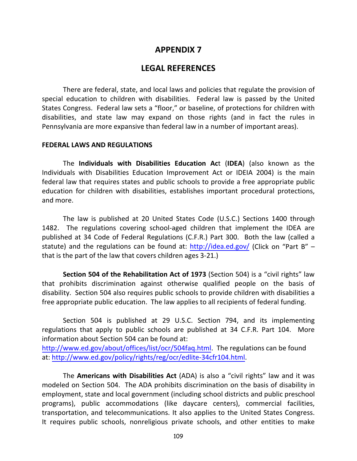## **LEGAL REFERENCES**

There are federal, state, and local laws and policies that regulate the provision of special education to children with disabilities. Federal law is passed by the United States Congress. Federal law sets a "floor," or baseline, of protections for children with disabilities, and state law may expand on those rights (and in fact the rules in Pennsylvania are more expansive than federal law in a number of important areas).

### **FEDERAL LAWS AND REGULATIONS**

The **Individuals with Disabilities Education Ac**t (**IDEA**) (also known as the Individuals with Disabilities Education Improvement Act or IDEIA 2004) is the main federal law that requires states and public schools to provide a free appropriate public education for children with disabilities, establishes important procedural protections, and more.

The law is published at 20 United States Code (U.S.C.) Sections 1400 through 1482. The regulations covering school-aged children that implement the IDEA are published at 34 Code of Federal Regulations (C.F.R.) Part 300. Both the law (called a statute) and the regulations can be found at:<http://idea.ed.gov/> (Click on "Part B" – that is the part of the law that covers children ages 3-21.)

**Section 504 of the Rehabilitation Act of 1973** (Section 504) is a "civil rights" law that prohibits discrimination against otherwise qualified people on the basis of disability. Section 504 also requires public schools to provide children with disabilities a free appropriate public education. The law applies to all recipients of federal funding.

Section 504 is published at 29 U.S.C. Section 794, and its implementing regulations that apply to public schools are published at 34 C.F.R. Part 104. More information about Section 504 can be found at:

[http://www.ed.gov/about/offices/list/ocr/504faq.html.](http://www.ed.gov/about/offices/list/ocr/504faq.html) The regulations can be found at: [http://www.ed.gov/policy/rights/reg/ocr/edlite-34cfr104.html.](http://www.ed.gov/policy/rights/reg/ocr/edlite-34cfr104.html)

The **Americans with Disabilities Act** (ADA) is also a "civil rights" law and it was modeled on Section 504. The ADA prohibits discrimination on the basis of disability in employment, state and local government (including school districts and public preschool programs), public accommodations (like daycare centers), commercial facilities, transportation, and telecommunications. It also applies to the United States Congress. It requires public schools, nonreligious private schools, and other entities to make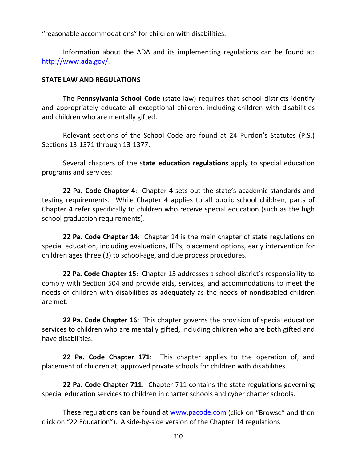"reasonable accommodations" for children with disabilities.

Information about the ADA and its implementing regulations can be found at: [http://www.ada.gov/.](http://www.ada.gov/)

### **STATE LAW AND REGULATIONS**

The **Pennsylvania School Code** (state law) requires that school districts identify and appropriately educate all exceptional children, including children with disabilities and children who are mentally gifted.

Relevant sections of the School Code are found at 24 Purdon's Statutes (P.S.) Sections 13-1371 through 13-1377.

Several chapters of the s**tate education regulations** apply to special education programs and services:

**22 Pa. Code Chapter 4**: Chapter 4 sets out the state's academic standards and testing requirements. While Chapter 4 applies to all public school children, parts of Chapter 4 refer specifically to children who receive special education (such as the high school graduation requirements).

**22 Pa. Code Chapter 14**: Chapter 14 is the main chapter of state regulations on special education, including evaluations, IEPs, placement options, early intervention for children ages three (3) to school-age, and due process procedures.

**22 Pa. Code Chapter 15**: Chapter 15 addresses a school district's responsibility to comply with Section 504 and provide aids, services, and accommodations to meet the needs of children with disabilities as adequately as the needs of nondisabled children are met.

**22 Pa. Code Chapter 16**: This chapter governs the provision of special education services to children who are mentally gifted, including children who are both gifted and have disabilities.

**22 Pa. Code Chapter 171**: This chapter applies to the operation of, and placement of children at, approved private schools for children with disabilities.

**22 Pa. Code Chapter 711**: Chapter 711 contains the state regulations governing special education services to children in charter schools and cyber charter schools.

These regulations can be found at [www.pacode.com](http://www.pacode.com/) (click on "Browse" and then click on "22 Education"). A side-by-side version of the Chapter 14 regulations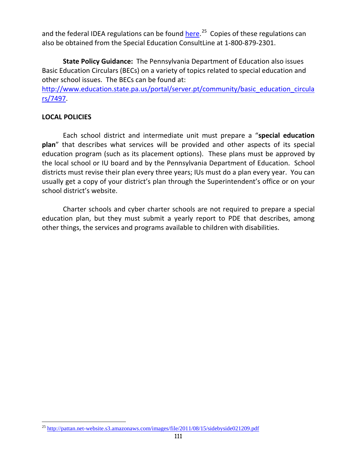and the federal IDEA regulations can be found *here.<sup>25</sup>* Copies of these regulations can also be obtained from the Special Education ConsultLine at 1-800-879-2301.

**State Policy Guidance:** The Pennsylvania Department of Education also issues Basic Education Circulars (BECs) on a variety of topics related to special education and other school issues. The BECs can be found at:

[http://www.education.state.pa.us/portal/server.pt/community/basic\\_education\\_circula](http://www.education.state.pa.us/portal/server.pt/community/basic_education_circulars/7497) [rs/7497.](http://www.education.state.pa.us/portal/server.pt/community/basic_education_circulars/7497)

## **LOCAL POLICIES**

Each school district and intermediate unit must prepare a "**special education plan**" that describes what services will be provided and other aspects of its special education program (such as its placement options). These plans must be approved by the local school or IU board and by the Pennsylvania Department of Education. School districts must revise their plan every three years; IUs must do a plan every year. You can usually get a copy of your district's plan through the Superintendent's office or on your school district's website.

Charter schools and cyber charter schools are not required to prepare a special education plan, but they must submit a yearly report to PDE that describes, among other things, the services and programs available to children with disabilities.

<span id="page-118-0"></span><sup>&</sup>lt;sup>25</sup> <http://pattan.net-website.s3.amazonaws.com/images/file/2011/08/15/sidebyside021209.pdf>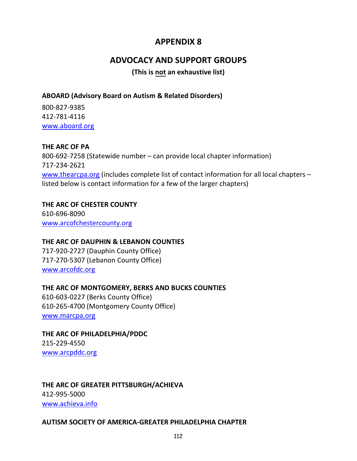# **ADVOCACY AND SUPPORT GROUPS**

**(This is not an exhaustive list)**

## **ABOARD (Advisory Board on Autism & Related Disorders)**

800-827-9385 412-781-4116 [www.aboard.org](http://www.aboard.org/)

## **THE ARC OF PA**

800-692-7258 (Statewide number – can provide local chapter information) 717-234-2621 [www.thearcpa.org](http://www.thearcpa.org/) (includes complete list of contact information for all local chapters – listed below is contact information for a few of the larger chapters)

## **THE ARC OF CHESTER COUNTY**

610-696-8090 [www.arcofchestercounty.org](http://www.arcofchestercounty.org/)

## **THE ARC OF DAUPHIN & LEBANON COUNTIES**

717-920-2727 (Dauphin County Office) 717-270-5307 (Lebanon County Office) [www.arcofdc.org](http://www.arcofdc.org/)

## **THE ARC OF MONTGOMERY, BERKS AND BUCKS COUNTIES**

610-603-0227 (Berks County Office) 610-265-4700 (Montgomery County Office) [www.marcpa.org](http://www.marcpa.org/)

# **THE ARC OF PHILADELPHIA/PDDC**

215-229-4550 [www.arcpddc.org](http://www.arcpddc.org/)

#### **THE ARC OF GREATER PITTSBURGH/ACHIEVA** 412-995-5000

[www.achieva.info](http://www.achieva.info/)

## **AUTISM SOCIETY OF AMERICA-GREATER PHILADELPHIA CHAPTER**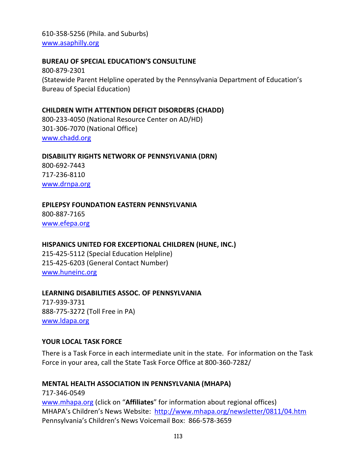610-358-5256 (Phila. and Suburbs) [www.asaphilly.org](http://www.asaphilly.org/)

### **BUREAU OF SPECIAL EDUCATION'S CONSULTLINE**

800-879-2301 (Statewide Parent Helpline operated by the Pennsylvania Department of Education's Bureau of Special Education)

## **CHILDREN WITH ATTENTION DEFICIT DISORDERS (CHADD)**

800-233-4050 (National Resource Center on AD/HD) 301-306-7070 (National Office) [www.chadd.org](http://www.chadd.org/)

### **DISABILITY RIGHTS NETWORK OF PENNSYLVANIA (DRN)**

800-692-7443 717-236-8110 [www.drnpa.org](http://www.drnpa.org/)

## **EPILEPSY FOUNDATION EASTERN PENNSYLVANIA**

800-887-7165 [www.efepa.org](http://www.efepa.org/)

### **HISPANICS UNITED FOR EXCEPTIONAL CHILDREN (HUNE, INC.)**

215-425-5112 (Special Education Helpline) 215-425-6203 (General Contact Number) [www.huneinc.org](http://www.huneinc.org/)

## **LEARNING DISABILITIES ASSOC. OF PENNSYLVANIA**

717-939-3731 888-775-3272 (Toll Free in PA) [www.ldapa.org](http://www.ldapa.org/)

### **YOUR LOCAL TASK FORCE**

There is a Task Force in each intermediate unit in the state. For information on the Task Force in your area, call the State Task Force Office at 800-360-7282/

### **MENTAL HEALTH ASSOCIATION IN PENNSYLVANIA (MHAPA)**

717-346-0549 [www.mhapa.org](http://www.mhapa.org/) (click on "**Affiliates**" for information about regional offices) MHAPA's Children's News Website: <http://www.mhapa.org/newsletter/0811/04.htm> Pennsylvania's Children's News Voicemail Box: 866-578-3659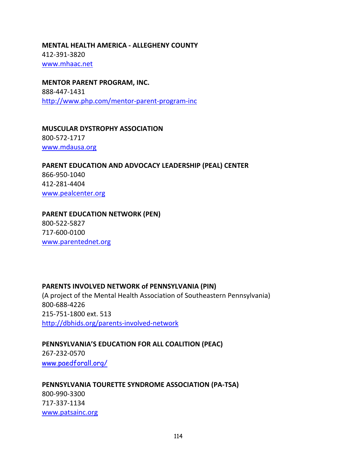**MENTAL HEALTH AMERICA - ALLEGHENY COUNTY** 412-391-3820 [www.mhaac.net](http://www.mhaac.net/)

**MENTOR PARENT PROGRAM, INC.** 888-447-1431 <http://www.php.com/mentor-parent-program-inc>

**MUSCULAR DYSTROPHY ASSOCIATION** 800-572-1717 [www.mdausa.org](http://www.mdausa.org/)

**PARENT EDUCATION AND ADVOCACY LEADERSHIP (PEAL) CENTER** 866-950-1040 412-281-4404 [www.pealcenter.org](http://www.pealcenter.org/)

**PARENT EDUCATION NETWORK (PEN)** 800-522-5827 717-600-0100 [www.parentednet.org](http://www.parentednet.org/)

[www.patsainc.org](http://www.patsainc.org/)

### **PARENTS INVOLVED NETWORK of PENNSYLVANIA (PIN)**

(A project of the Mental Health Association of Southeastern Pennsylvania) 800-688-4226 215-751-1800 ext. 513 <http://dbhids.org/parents-involved-network>

**PENNSYLVANIA'S EDUCATION FOR ALL COALITION (PEAC)** 267-232-0570 [www.paedforall.org/](http://www.paedforall.org/)

**PENNSYLVANIA TOURETTE SYNDROME ASSOCIATION (PA-TSA)** 800-990-3300 717-337-1134

114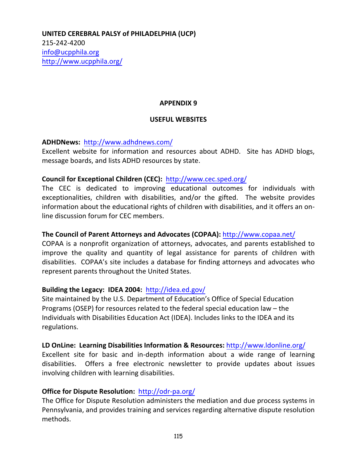**UNITED CEREBRAL PALSY of PHILADELPHIA (UCP)** 215-242-4200 [info@ucpphila.org](mailto:info@ucpphila.org) <http://www.ucpphila.org/>

#### **APPENDIX 9**

#### **USEFUL WEBSITES**

**ADHDNews:** <http://www.adhdnews.com/>

Excellent website for information and resources about ADHD. Site has ADHD blogs, message boards, and lists ADHD resources by state.

### **Council for Exceptional Children (CEC):** <http://www.cec.sped.org/>

The CEC is dedicated to improving educational outcomes for individuals with exceptionalities, children with disabilities, and/or the gifted. The website provides information about the educational rights of children with disabilities, and it offers an online discussion forum for CEC members.

### **The Council of Parent Attorneys and Advocates (COPAA):** <http://www.copaa.net/>

COPAA is a nonprofit organization of attorneys, advocates, and parents established to improve the quality and quantity of legal assistance for parents of children with disabilities. COPAA's site includes a database for finding attorneys and advocates who represent parents throughout the United States.

### **Building the Legacy: IDEA 2004:** <http://idea.ed.gov/>

Site maintained by the U.S. Department of Education's Office of Special Education Programs (OSEP) for resources related to the federal special education law – the Individuals with Disabilities Education Act (IDEA). Includes links to the IDEA and its regulations.

#### **LD OnLine: Learning Disabilities Information & Resources:** <http://www.ldonline.org/>

Excellent site for basic and in-depth information about a wide range of learning disabilities. Offers a free electronic newsletter to provide updates about issues involving children with learning disabilities.

### **Office for Dispute Resolution:** <http://odr-pa.org/>

The Office for Dispute Resolution administers the mediation and due process systems in Pennsylvania, and provides training and services regarding alternative dispute resolution methods.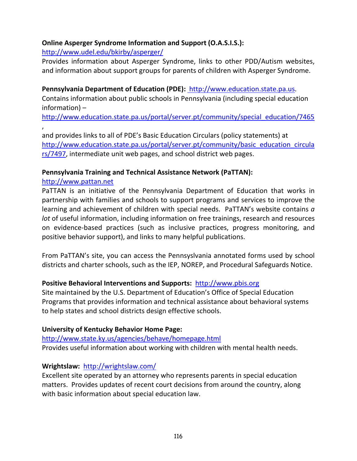## **Online Asperger Syndrome Information and Support (O.A.S.I.S.):**

## <http://www.udel.edu/bkirby/asperger/>

Provides information about Asperger Syndrome, links to other PDD/Autism websites, and information about support groups for parents of children with Asperger Syndrome.

## **Pennsylvania Department of Education (PDE):** [http://www.education.state.pa.us.](http://www.pde.state.pa.us/)

Contains information about public schools in Pennsylvania (including special education information) –

[http://www.education.state.pa.us/portal/server.pt/community/special\\_education/7465](http://www.education.state.pa.us/portal/server.pt/community/special_education/7465) ,

and provides links to all of PDE's Basic Education Circulars (policy statements) at [http://www.education.state.pa.us/portal/server.pt/community/basic\\_education\\_circula](http://www.education.state.pa.us/portal/server.pt/community/basic_education_circulars/7497) [rs/7497,](http://www.education.state.pa.us/portal/server.pt/community/basic_education_circulars/7497) intermediate unit web pages, and school district web pages.

## **Pennsylvania Training and Technical Assistance Network (PaTTAN):**

## [http://www.pattan.net](http://www.pattan.net/)

PaTTAN is an initiative of the Pennsylvania Department of Education that works in partnership with families and schools to support programs and services to improve the learning and achievement of children with special needs. PaTTAN's website contains *a lot* of useful information, including information on free trainings, research and resources on evidence-based practices (such as inclusive practices, progress monitoring, and positive behavior support), and links to many helpful publications.

From PaTTAN's site, you can access the Pennsyslvania annotated forms used by school districts and charter schools, such as the IEP, NOREP, and Procedural Safeguards Notice.

## **Positive Behavioral Interventions and Supports:** [http://www.pbis.org](http://www.pbis.org/)

Site maintained by the U.S. Department of Education's Office of Special Education Programs that provides information and technical assistance about behavioral systems to help states and school districts design effective schools.

## **University of Kentucky Behavior Home Page:**

<http://www.state.ky.us/agencies/behave/homepage.html> Provides useful information about working with children with mental health needs.

## **Wrightslaw:** <http://wrightslaw.com/>

Excellent site operated by an attorney who represents parents in special education matters. Provides updates of recent court decisions from around the country, along with basic information about special education law.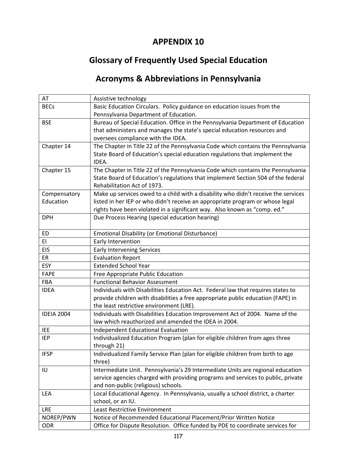# **Glossary of Frequently Used Special Education**

# **Acronyms & Abbreviations in Pennsylvania**

| AT                | Assistive technology                                                               |
|-------------------|------------------------------------------------------------------------------------|
| <b>BECs</b>       | Basic Education Circulars. Policy guidance on education issues from the            |
|                   | Pennsylvania Department of Education.                                              |
| <b>BSE</b>        | Bureau of Special Education. Office in the Pennsylvania Department of Education    |
|                   | that administers and manages the state's special education resources and           |
|                   | oversees compliance with the IDEA.                                                 |
| Chapter 14        | The Chapter in Title 22 of the Pennsylvania Code which contains the Pennsylvania   |
|                   | State Board of Education's special education regulations that implement the        |
|                   | IDEA.                                                                              |
| Chapter 15        | The Chapter in Title 22 of the Pennsylvania Code which contains the Pennsylvania   |
|                   | State Board of Education's regulations that implement Section 504 of the federal   |
|                   | Rehabilitation Act of 1973.                                                        |
| Compensatory      | Make up services owed to a child with a disability who didn't receive the services |
| Education         | listed in her IEP or who didn't receive an appropriate program or whose legal      |
|                   | rights have been violated in a significant way. Also known as "comp. ed."          |
| <b>DPH</b>        | Due Process Hearing (special education hearing)                                    |
|                   |                                                                                    |
| ED                | Emotional Disability (or Emotional Disturbance)                                    |
| EI                | Early Intervention                                                                 |
| <b>EIS</b>        | <b>Early Intervening Services</b>                                                  |
| ER                | <b>Evaluation Report</b>                                                           |
| <b>ESY</b>        | <b>Extended School Year</b>                                                        |
| FAPE              | Free Appropriate Public Education                                                  |
| FBA               | <b>Functional Behavior Assessment</b>                                              |
| <b>IDEA</b>       | Individuals with Disabilities Education Act. Federal law that requires states to   |
|                   | provide children with disabilities a free appropriate public education (FAPE) in   |
|                   | the least restrictive environment (LRE).                                           |
| <b>IDEIA 2004</b> | Individuals with Disabilities Education Improvement Act of 2004. Name of the       |
|                   | law which reauthorized and amended the IDEA in 2004.                               |
| <b>IEE</b>        | <b>Independent Educational Evaluation</b>                                          |
| <b>IEP</b>        | Individualized Education Program (plan for eligible children from ages three       |
|                   | through 21)                                                                        |
| <b>IFSP</b>       | Individualized Family Service Plan (plan for eligible children from birth to age   |
|                   | three)                                                                             |
| IU                | Intermediate Unit. Pennsylvania's 29 Intermediate Units are regional education     |
|                   | service agencies charged with providing programs and services to public, private   |
|                   | and non-public (religious) schools.                                                |
| LEA               | Local Educational Agency. In Pennsylvania, usually a school district, a charter    |
|                   | school, or an IU.                                                                  |
| LRE               | Least Restrictive Environment                                                      |
| NOREP/PWN         | Notice of Recommended Educational Placement/Prior Written Notice                   |
| <b>ODR</b>        | Office for Dispute Resolution. Office funded by PDE to coordinate services for     |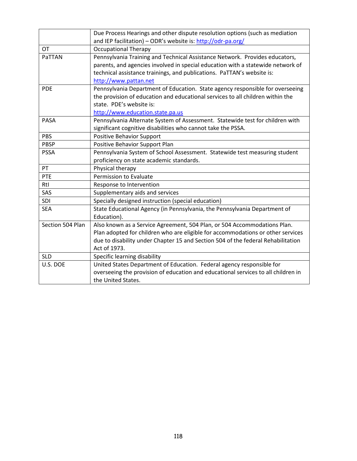|                  | Due Process Hearings and other dispute resolution options (such as mediation      |
|------------------|-----------------------------------------------------------------------------------|
|                  | and IEP facilitation) - ODR's website is: http://odr-pa.org/                      |
| <b>OT</b>        | <b>Occupational Therapy</b>                                                       |
| PaTTAN           | Pennsylvania Training and Technical Assistance Network. Provides educators,       |
|                  | parents, and agencies involved in special education with a statewide network of   |
|                  | technical assistance trainings, and publications. PaTTAN's website is:            |
|                  | http://www.pattan.net                                                             |
| <b>PDE</b>       | Pennsylvania Department of Education. State agency responsible for overseeing     |
|                  | the provision of education and educational services to all children within the    |
|                  | state. PDE's website is:                                                          |
|                  | http://www.education.state.pa.us                                                  |
| PASA             | Pennsylvania Alternate System of Assessment. Statewide test for children with     |
|                  | significant cognitive disabilities who cannot take the PSSA.                      |
| PBS              | <b>Positive Behavior Support</b>                                                  |
| PBSP             | Positive Behavior Support Plan                                                    |
| <b>PSSA</b>      | Pennsylvania System of School Assessment. Statewide test measuring student        |
|                  | proficiency on state academic standards.                                          |
| PT               | Physical therapy                                                                  |
| PTE              | Permission to Evaluate                                                            |
| Rtl              | Response to Intervention                                                          |
| SAS              | Supplementary aids and services                                                   |
| SDI              | Specially designed instruction (special education)                                |
| <b>SEA</b>       | State Educational Agency (in Pennsylvania, the Pennsylvania Department of         |
|                  | Education).                                                                       |
| Section 504 Plan | Also known as a Service Agreement, 504 Plan, or 504 Accommodations Plan.          |
|                  | Plan adopted for children who are eligible for accommodations or other services   |
|                  | due to disability under Chapter 15 and Section 504 of the federal Rehabilitation  |
|                  | Act of 1973.                                                                      |
| <b>SLD</b>       | Specific learning disability                                                      |
| U.S. DOE         | United States Department of Education. Federal agency responsible for             |
|                  | overseeing the provision of education and educational services to all children in |
|                  | the United States.                                                                |